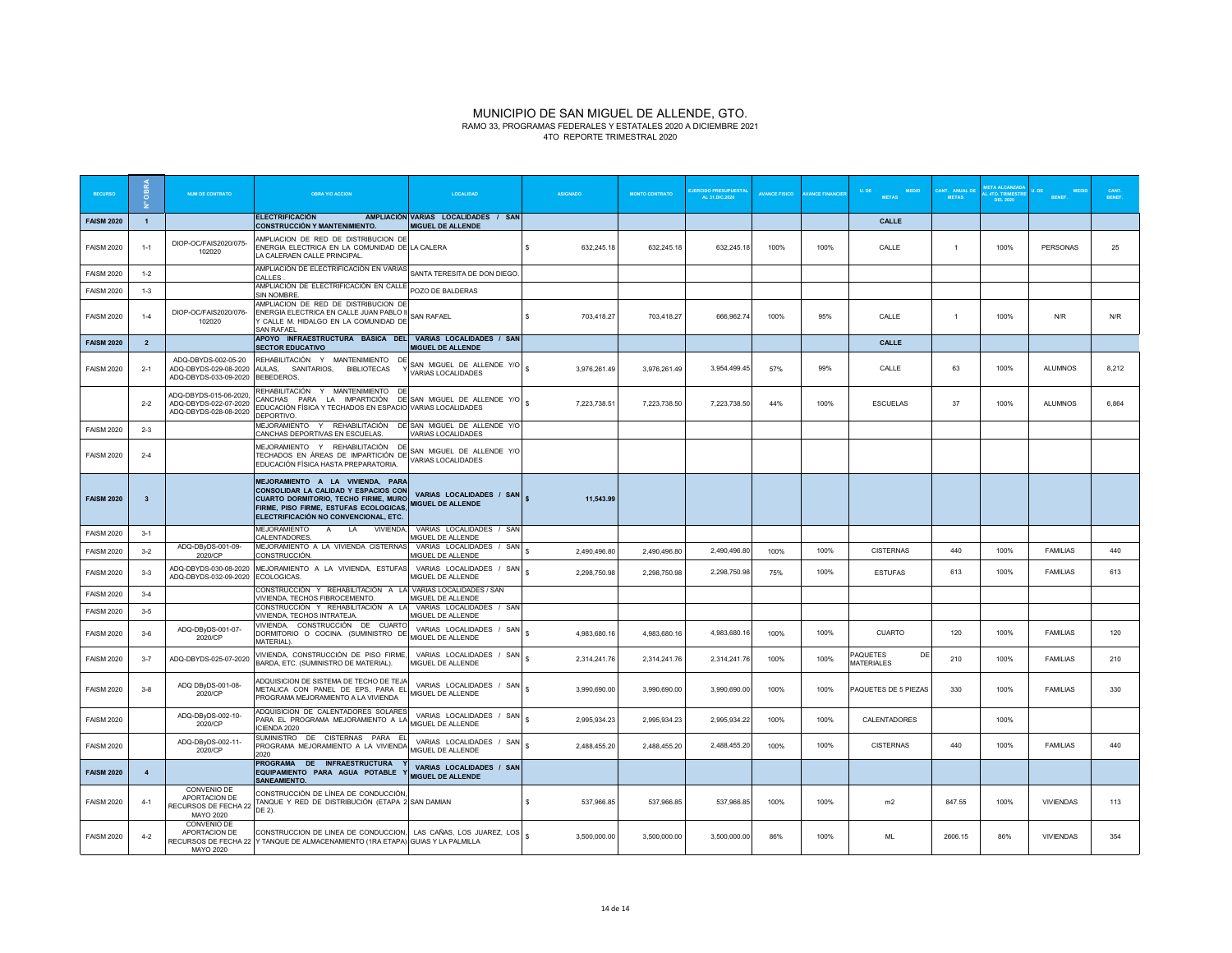#### MUNICIPIO DE SAN MIGUEL DE ALLENDE, GTO. RAMO 33, PROGRAMAS FEDERALES Y ESTATALES 2020 A DICIEMBRE 2021 4TO REPORTE TRIMESTRAL 2020

| <b>RECURSO</b>    |                         | <b>NUM DE CONTRATO</b>                                                   | <b>OBRA Y/O ACCION</b>                                                                                                                                                                              | <b>LOCALIDAD</b>                                                | <b>ASIGNADO</b> |              | <b>MONTO CONTRATO</b> | <b>JERCIDO PRESUPUESTA</b><br>AL 31.DIC.2020 | <b>AVANCE FISICO</b> | <b>VANCE FINANCIE</b> | U. DE<br><b>MEDID</b><br><b>METAS</b> | CANT. ANUAL DI<br><b>METAS</b> | L 4TO. TRIMEST<br>DEL 2020 | <b>BENEF</b>     | <b>BENEF</b> |
|-------------------|-------------------------|--------------------------------------------------------------------------|-----------------------------------------------------------------------------------------------------------------------------------------------------------------------------------------------------|-----------------------------------------------------------------|-----------------|--------------|-----------------------|----------------------------------------------|----------------------|-----------------------|---------------------------------------|--------------------------------|----------------------------|------------------|--------------|
| <b>FAISM 2020</b> | $\overline{1}$          |                                                                          | <b>ELECTRIFICACIÓN</b><br><b>CONSTRUCCIÓN Y MANTENIMIENTO.</b>                                                                                                                                      | AMPLIACIÓN VARIAS LOCALIDADES / SAN<br><b>MIGUEL DE ALLENDE</b> |                 |              |                       |                                              |                      |                       | <b>CALLE</b>                          |                                |                            |                  |              |
| <b>FAISM 2020</b> | $1 - 1$                 | DIOP-OC/FAIS2020/075-<br>102020                                          | MPLIACION DE RED DE DISTRIBUCION DE<br>ENERGIA ELECTRICA EN LA COMUNIDAD DE LA CALERA<br>LA CALERAEN CALLE PRINCIPAL.                                                                               |                                                                 | s               | 632,245.18   | 632,245.18            | 632,245.18                                   | 100%                 | 100%                  | CALLE                                 | -1                             | 100%                       | <b>PERSONAS</b>  | 25           |
| <b>FAISM 2020</b> | $1 - 2$                 |                                                                          | AMPLIACIÓN DE ELECTRIFICACIÓN EN VARIAS SANTA TERESITA DE DON DIEGO<br>CALLES                                                                                                                       |                                                                 |                 |              |                       |                                              |                      |                       |                                       |                                |                            |                  |              |
| <b>FAISM 2020</b> | $1 - 3$                 |                                                                          | AMPLIACIÓN DE ELECTRIFICACIÓN EN CALLE POZO DE BALDERAS<br><b>SIN NOMBRE</b>                                                                                                                        |                                                                 |                 |              |                       |                                              |                      |                       |                                       |                                |                            |                  |              |
| <b>FAISM 2020</b> | $1 - 4$                 | DIOP-OC/FAIS2020/076-<br>102020                                          | AMPLIACION DE RED DE DISTRIBUCION DE<br>ENERGIA ELECTRICA EN CALLE JUAN PABLO II<br>CALLE M. HIDALGO EN LA COMUNIDAD DE<br><b>SAN RAFAFI</b>                                                        | <b>SAN RAFAEL</b>                                               | s               | 703,418.27   | 703,418.27            | 666,962.74                                   | 100%                 | 95%                   | CALLE                                 | $\overline{1}$                 | 100%                       | N/R              | N/R          |
| <b>FAISM 2020</b> | $\overline{\mathbf{2}}$ |                                                                          | APOYO INFRAESTRUCTURA BÁSICA DEL VARIAS LOCALIDADES / SAN<br><b>SECTOR EDUCATIVO</b>                                                                                                                | <b>MIGUEL DE ALLENDE</b>                                        |                 |              |                       |                                              |                      |                       | CALLE                                 |                                |                            |                  |              |
| <b>FAISM 2020</b> | $2 - 1$                 | ADQ-DBYDS-002-05-20<br>ADQ-DBYDS-029-08-2020<br>ADQ-DBYDS-033-09-2020    | REHABILITACIÓN Y MANTENIMIENTO DE<br>AULAS, SANITARIOS, BIBLIOTECAS<br>BEBEDEROS.                                                                                                                   | SAN MIGUEL DE ALLENDE Y/O<br>VARIAS LOCALIDADES                 | $\mathbf{s}$    | 3,976,261.49 | 3,976,261.49          | 3,954,499.45                                 | 57%                  | 99%                   | CALLE                                 | 63                             | 100%                       | <b>ALUMNOS</b>   | 8,212        |
|                   | $2 - 2$                 | ADQ-DBYDS-015-06-2020,<br>ADQ-DBYDS-022-07-2020<br>ADQ-DBYDS-028-08-2020 | REHABILITACIÓN Y MANTENIMIENTO DE<br>CANCHAS PARA LA IMPARTICIÓN DE SAN MIGUEL DE ALLENDE Y/O<br>EDUCACIÓN FÍSICA Y TECHADOS EN ESPACIO VARIAS LOCALIDADES<br>DEPORTIVO.                            |                                                                 | 7,223,738.51    |              | 7,223,738.50          | 7,223,738.50                                 | 44%                  | 100%                  | <b>ESCUELAS</b>                       | 37                             | 100%                       | <b>ALUMNOS</b>   | 6,864        |
| <b>FAISM 2020</b> | $2 - 3$                 |                                                                          | MEJORAMIENTO Y REHABILITACIÓN DE SAN MIGUEL DE ALLENDE Y/O<br>CANCHAS DEPORTIVAS EN ESCUELAS.                                                                                                       | VARIAS LOCALIDADES                                              |                 |              |                       |                                              |                      |                       |                                       |                                |                            |                  |              |
| <b>FAISM 2020</b> | $2 - 4$                 |                                                                          | MEJORAMIENTO Y REHABILITACIÓN DE<br>MEJORAMIENTO I NEUROLITICIÓN DE SAN MIGUEL DE ALLA<br>TECHADOS EN ÁREAS DE IMPARTICIÓN DE VARIAS LOCALIDADES<br>EDUCACIÓN FÍSICA HASTA PREPARATORIA.            | SAN MIGUEL DE ALLENDE Y/O                                       |                 |              |                       |                                              |                      |                       |                                       |                                |                            |                  |              |
| <b>FAISM 2020</b> | $\overline{\mathbf{3}}$ |                                                                          | MEJORAMIENTO A LA VIVIENDA, PARA<br>CONSOLIDAR LA CALIDAD Y ESPACIOS CON<br>CUARTO DORMITORIO, TECHO FIRME, MURO<br>FIRME, PISO FIRME, ESTUFAS ECOLOGICAS,<br>ELECTRIFICACIÓN NO CONVENCIONAL, ETC. | VARIAS LOCALIDADES / SAN<br><b>MIGUEL DE ALLENDE</b>            |                 | 11.543.99    |                       |                                              |                      |                       |                                       |                                |                            |                  |              |
| <b>FAISM 2020</b> | $3 - 1$                 |                                                                          | MEJORAMIENTO<br>A<br>LA<br>VIVIENDA,<br>CALENTADORES.                                                                                                                                               | VARIAS LOCALIDADES / SAN<br>MIGUEL DE ALLENDE                   |                 |              |                       |                                              |                      |                       |                                       |                                |                            |                  |              |
| <b>FAISM 2020</b> | $3 - 2$                 | ADQ-DByDS-001-09-<br>2020/CP                                             | MEJORAMIENTO A LA VIVIENDA CISTERNAS<br>CONSTRUCCIÓN                                                                                                                                                | VARIAS LOCALIDADES / SAN<br>MIGUEL DE ALLENDE                   | 2,490,496.80    |              | 2,490,496.80          | 2,490,496.80                                 | 100%                 | 100%                  | <b>CISTERNAS</b>                      | 440                            | 100%                       | <b>FAMILIAS</b>  | 440          |
| <b>FAISM 2020</b> | $3 - 3$                 | ADQ-DBYDS-030-08-2020<br>ADQ-DBYDS-032-09-2020                           | MEJORAMIENTO A LA VIVIENDA, ESTUFAS<br>ECOLOGICAS.                                                                                                                                                  | VARIAS LOCALIDADES / SAN<br>MIGUEL DE ALLENDE                   |                 | 2,298,750.98 | 2,298,750.98          | 2,298,750.98                                 | 75%                  | 100%                  | <b>ESTUFAS</b>                        | 613                            | 100%                       | <b>FAMILIAS</b>  | 613          |
| <b>FAISM 2020</b> | $3-4$                   |                                                                          | CONSTRUCCIÓN Y REHABILITACIÓN A LA VARIAS LOCALIDADES / SAN<br>VIVIENDA, TECHOS FIBROCEMENTO.                                                                                                       | MIGUEL DE ALLENDE                                               |                 |              |                       |                                              |                      |                       |                                       |                                |                            |                  |              |
| <b>FAISM 2020</b> | $3 - 5$                 |                                                                          | CONSTRUCCIÓN Y REHABILITACIÓN A LA<br>VIVIENDA, TECHOS INTRATEJA.                                                                                                                                   | VARIAS LOCALIDADES / SAN<br>MIGUEL DE ALLENDE                   |                 |              |                       |                                              |                      |                       |                                       |                                |                            |                  |              |
| <b>FAISM 2020</b> | $3 - 6$                 | ADQ-DByDS-001-07-<br>2020/CP                                             | VIVIENDA, CONSTRUCCIÓN DE CUARTO<br>DORMITORIO O COCINA. (SUMINISTRO DE<br>MATERIAL'                                                                                                                | VARIAS LOCALIDADES / SAN<br>MIGUEL DE ALLENDE                   | \$.             | 4.983.680.16 | 4.983.680.16          | 4.983.680.16                                 | 100%                 | 100%                  | CUARTO                                | 120                            | 100%                       | <b>FAMILIAS</b>  | 120          |
| <b>FAISM 2020</b> | $3 - 7$                 | ADQ-DBYDS-025-07-2020                                                    | VIVIENDA, CONSTRUCCIÓN DE PISO FIRME,<br>BARDA, ETC. (SUMINISTRO DE MATERIAL).                                                                                                                      | VARIAS LOCALIDADES / SAN<br>MIGUEL DE ALLENDE                   |                 | 2,314,241.76 | 2,314,241.76          | 2,314,241.76                                 | 100%                 | 100%                  | PAQUETES<br>DE<br><b>MATERIALES</b>   | 210                            | 100%                       | FAMILIAS         | 210          |
| <b>FAISM 2020</b> | $3 - 8$                 | ADQ DByDS-001-08-<br>2020/CP                                             | ADQUISICION DE SISTEMA DE TECHO DE TEJA<br>METALICA CON PANEL DE EPS, PARA EL<br>PROGRAMA MEJORAMIENTO A LA VIVIENDA                                                                                | VARIAS LOCALIDADES / SAN<br>MIGUEL DE ALLENDE                   |                 | 3,990,690.00 | 3,990,690.00          | 3,990,690.00                                 | 100%                 | 100%                  | PAQUETES DE 5 PIEZAS                  | 330                            | 100%                       | <b>FAMILIAS</b>  | 330          |
| <b>FAISM 2020</b> |                         | ADQ-DByDS-002-10-<br>2020/CP                                             | ADQUISICION DE CALENTADORES SOLARES<br>PARA EL PROGRAMA MEJORAMIENTO A LA<br>ICIENDA 2020                                                                                                           | VARIAS LOCALIDADES / SAN<br>MIGUEL DE ALLENDE                   |                 | 2,995,934.23 | 2,995,934.23          | 2,995,934.22                                 | 100%                 | 100%                  | CALENTADORES                          |                                | 100%                       |                  |              |
| <b>FAISM 2020</b> |                         | ADQ-DByDS-002-11-<br>2020/CP                                             | SUMINISTRO DE CISTERNAS PARA EL<br>PROGRAMA MEJORAMIENTO A LA VIVIENDA<br>2020                                                                                                                      | VARIAS LOCALIDADES / SAN<br><b>MIGUEL DE ALLENDE</b>            |                 | 2,488,455.20 | 2,488,455.20          | 2,488,455.20                                 | 100%                 | 100%                  | <b>CISTERNAS</b>                      | 440                            | 100%                       | <b>FAMILIAS</b>  | 440          |
| <b>FAISM 2020</b> | $\overline{4}$          |                                                                          | PROGRAMA DE INFRAESTRUCTURA<br>EQUIPAMIENTO PARA AGUA POTABLE<br><b>SANEAMIENTO.</b>                                                                                                                | VARIAS LOCALIDADES / SAN<br><b>MIGUEL DE ALLENDE</b>            |                 |              |                       |                                              |                      |                       |                                       |                                |                            |                  |              |
| <b>FAISM 2020</b> | $4 - 1$                 | CONVENIO DE<br>APORTACION DE<br>RECURSOS DE FECHA 22<br><b>MAYO 2020</b> | CONSTRUCCIÓN DE LÍNEA DE CONDUCCIÓN.<br>TANQUE Y RED DE DISTRIBUCIÓN (ETAPA 2 SAN DAMIAN<br>DE 2).                                                                                                  |                                                                 | s               | 537,966.85   | 537,966.85            | 537,966.85                                   | 100%                 | 100%                  | m <sub>2</sub>                        | 847.55                         | 100%                       | <b>VIVIENDAS</b> | 113          |
| <b>FAISM 2020</b> | $4-2$                   | CONVENIO DE<br>APORTACION DE<br>MAYO 2020                                | CONSTRUCCION DE LINEA DE CONDUCCION, LAS CAÑAS, LOS JUAREZ, LOS<br>RECURSOS DE FECHA 22 Y TANQUE DE ALMACENAMIENTO (1RA ETAPA) GUIAS Y LA PALMILLA                                                  |                                                                 |                 | 3.500.000.00 | 3.500.000.00          | 3.500.000.00                                 | 86%                  | 100%                  | <b>ML</b>                             | 2606.15                        | 86%                        | <b>VIVIENDAS</b> | 354          |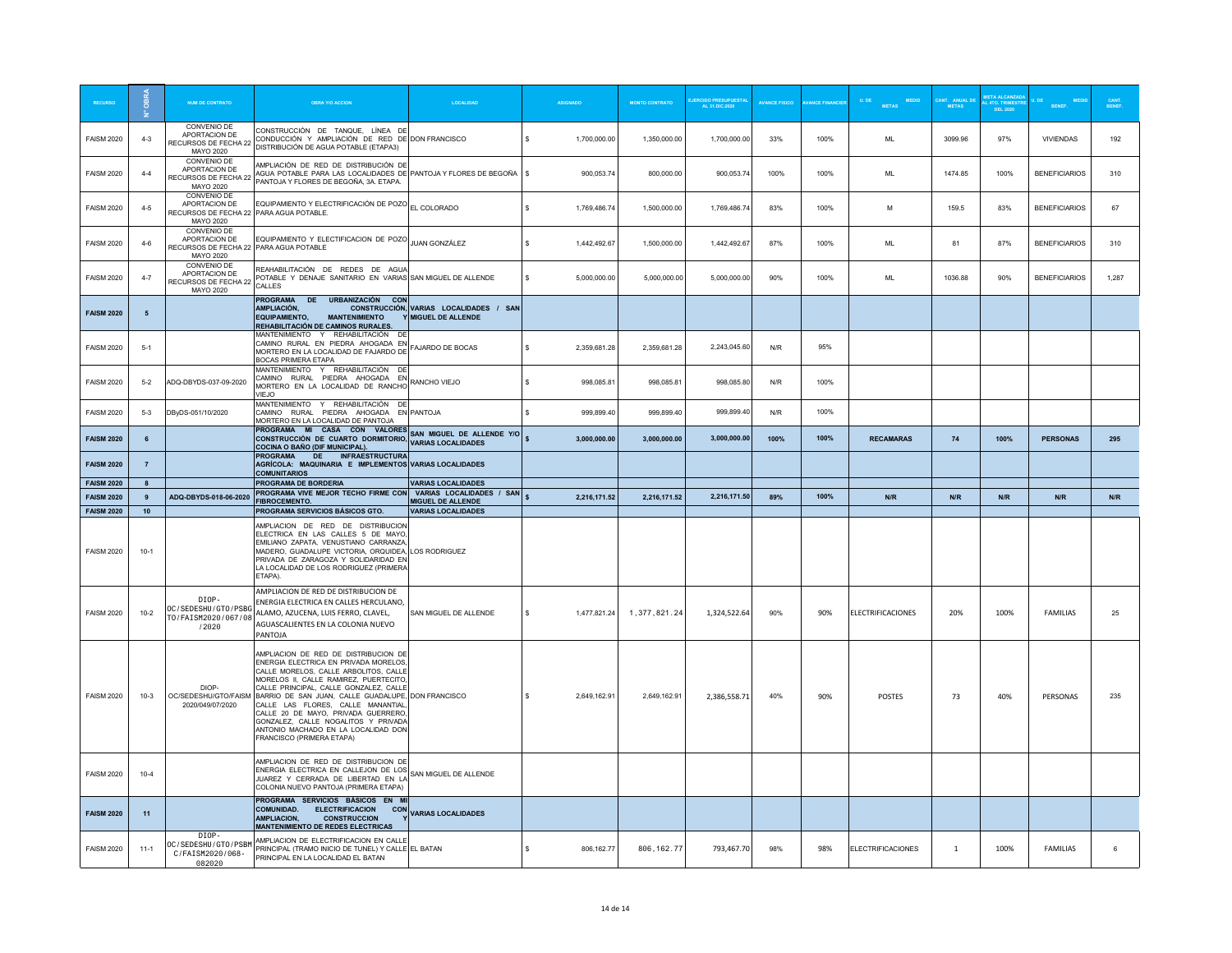|                                        | ÷              | <b>NUM DE CONTRATO</b>                                                               | <b>OBRA Y/O ACCION</b>                                                                                                                                                                                                                                                                                                                                                                                                                              |                                                               |                    |              | <b>MONTO CONTRATO</b> | CIDO PRESUPUESTA<br>AL 31.DIC.2020 | <b>VANCE FISICC</b> | <b>INCE FINANCIE</b> | <b>METAS</b>      | <b>. ANUAL</b><br>METAS | 4TO. TRIMES<br>DEL 2020 |                      |       |
|----------------------------------------|----------------|--------------------------------------------------------------------------------------|-----------------------------------------------------------------------------------------------------------------------------------------------------------------------------------------------------------------------------------------------------------------------------------------------------------------------------------------------------------------------------------------------------------------------------------------------------|---------------------------------------------------------------|--------------------|--------------|-----------------------|------------------------------------|---------------------|----------------------|-------------------|-------------------------|-------------------------|----------------------|-------|
| <b>FAISM 2020</b>                      | $4 - 3$        | CONVENIO DE<br>APORTACION DE<br>RECURSOS DE FECHA 22<br>MAYO 2020                    | CONSTRUCCIÓN DE TANOUE. LÍNEA DE<br>CONDUCCIÓN Y AMPLIACIÓN DE RED DE DON FRANCISCO<br>DISTRIBUCIÓN DE AGUA POTABLE (ETAPA3)                                                                                                                                                                                                                                                                                                                        |                                                               | \$.                | 1,700,000.00 | 1,350,000.00          | 1.700.000.00                       | 33%                 | 100%                 | $\mathsf{ML}$     | 3099.96                 | 97%                     | <b>VIVIENDAS</b>     | 192   |
| <b>FAISM 2020</b>                      | $4 - 4$        | CONVENIO DE<br>APORTACION DE<br>RECURSOS DE FECHA 22<br>MAYO 2020                    | AMPLIACIÓN DE RED DE DISTRIBUCIÓN DE<br>AGUA POTABLE PARA LAS LOCALIDADES DE PANTOJA Y FLORES DE BEGOÑA<br>PANTOJA Y FLORES DE BEGOÑA, 3A. ETAPA.                                                                                                                                                                                                                                                                                                   |                                                               | s                  | 900,053.74   | 800,000.00            | 900,053.74                         | 100%                | 100%                 | ML                | 1474.85                 | 100%                    | <b>BENEFICIARIOS</b> | 310   |
| <b>FAISM 2020</b>                      | $4 - 5$        | CONVENIO DE<br>APORTACION DE<br>RECURSOS DE FECHA 22 PARA AGUA POTABLE.<br>MAYO 2020 | EQUIPAMIENTO Y ELECTRIFICACIÓN DE POZO EL COLORADO                                                                                                                                                                                                                                                                                                                                                                                                  |                                                               | s.                 | 1.769 486 74 | 1.500.000.00          | 1,769,486.74                       | 83%                 | 100%                 | M                 | 159.5                   | 83%                     | <b>BENEFICIARIOS</b> | 67    |
| <b>FAISM 2020</b>                      | $4-6$          | CONVENIO DE<br>APORTACION DE<br>RECURSOS DE FECHA 22 PARA AGUA POTABLE<br>MAYO 2020  | EQUIPAMIENTO Y ELECTIFICACION DE POZO JUAN GONZÁLEZ                                                                                                                                                                                                                                                                                                                                                                                                 |                                                               | s.                 | 1,442,492.67 | 1,500,000.00          | 1.442.492.67                       | 87%                 | 100%                 | MI                | 81                      | 87%                     | <b>BENEFICIARIOS</b> | 310   |
| <b>FAISM 2020</b>                      | $4 - 7$        | CONVENIO DE<br>APORTACION DE<br>RECURSOS DE FECHA 22<br>MAYO 2020                    | REAHABILITACIÓN DE REDES DE AGUA<br>POTABLE Y DENAJE SANITARIO EN VARIAS SAN MIGUEL DE ALLENDE<br>CALLES                                                                                                                                                                                                                                                                                                                                            |                                                               | s                  | 5.000.000.00 | 5,000,000.00          | 5.000.000.00                       | 90%                 | 100%                 | ML                | 1036.88                 | 90%                     | <b>BENEFICIARIOS</b> | 1,287 |
| <b>FAISM 2020</b>                      | 5              |                                                                                      | PROGRAMA DE URBANIZACIÓN CON<br>AMPLIACIÓN.<br><b>EQUIPAMIENTO,</b><br><b>MANTENIMIENTO</b><br>REHABILITACIÓN DE CAMINOS RURALES.                                                                                                                                                                                                                                                                                                                   | CONSTRUCCIÓN, VARIAS LOCALIDADES / SAN<br>Y MIGUEL DE ALLENDE |                    |              |                       |                                    |                     |                      |                   |                         |                         |                      |       |
| <b>FAISM 2020</b>                      | $-5-1$         |                                                                                      | MANTENIMIENTO Y REHABILITACIÓN DE<br>CAMINO RURAL EN PIEDRA AHOGADA EN FAJARDO DE BOCAS<br>MORTERO EN LA LOCALIDAD DE FAJARDO DE<br><b>BOCAS PRIMERA ETAPA</b><br>MANTENIMIENTO Y REHABILITACIÓN DE                                                                                                                                                                                                                                                 |                                                               | s.                 | 2.359.681.28 | 2.359.681.28          | 2.243.045.60                       | N/R                 | 95%                  |                   |                         |                         |                      |       |
| <b>FAISM 2020</b>                      | $5 - 2$        | ADQ-DBYDS-037-09-2020                                                                | CAMINO RURAL PIEDRA AHOGADA EN RANCHO VIEJO<br>MORTERO EN LA LOCALIDAD DE RANCHO<br>VIFJO                                                                                                                                                                                                                                                                                                                                                           |                                                               | $\hat{\mathbf{x}}$ | 998,085.81   | 998.085.81            | 998.085.80                         | N/R                 | 100%                 |                   |                         |                         |                      |       |
| <b>FAISM 2020</b>                      | $5-3$          | DByDS-051/10/2020                                                                    | MANTENIMIENTO Y REHABILITACIÓN DE<br>CAMINO RURAL PIEDRA AHOGADA EN PANTOJA<br>MORTERO EN LA LOCALIDAD DE PANTOJA<br>PROGRAMA MI CASA CON VALORES                                                                                                                                                                                                                                                                                                   |                                                               | $\hat{\mathbf{x}}$ | 999.899.40   | 999.899.40            | 999,899.40                         | N/R                 | 100%                 |                   |                         |                         |                      |       |
| <b>FAISM 2020</b>                      | 6              |                                                                                      | CONSTRUCCIÓN DE CUARTO DORMITORIO,<br>COCINA O BAÑO (DIF MUNICIPAL).<br>DE INFRAESTRUCTURA<br><b>PROGRAMA</b>                                                                                                                                                                                                                                                                                                                                       | SAN MIGUEL DE ALLENDE Y/O<br><b>VARIAS LOCALIDADES</b>        | $\mathbf{s}$       | 3.000.000.00 | 3.000.000.00          | 3,000,000.00                       | 100%                | 100%                 | <b>RECAMARAS</b>  | 74                      | 100%                    | <b>PERSONAS</b>      | 295   |
| <b>FAISM 2020</b>                      | $\overline{7}$ |                                                                                      | AGRÍCOLA: MAQUINARIA E IMPLEMENTOS VARIAS LOCALIDADES<br><b>COMUNITARIOS</b>                                                                                                                                                                                                                                                                                                                                                                        |                                                               |                    |              |                       |                                    |                     |                      |                   |                         |                         |                      |       |
|                                        |                |                                                                                      |                                                                                                                                                                                                                                                                                                                                                                                                                                                     |                                                               |                    |              |                       |                                    |                     |                      |                   |                         |                         |                      |       |
| <b>FAISM 2020</b>                      | $\mathbf{a}$   |                                                                                      | PROGRAMA DE BORDERIA                                                                                                                                                                                                                                                                                                                                                                                                                                | <b>VARIAS LOCALIDADES</b>                                     |                    |              |                       |                                    |                     |                      |                   |                         |                         |                      |       |
| <b>FAISM 2020</b>                      | 9              | ADQ-DBYDS-018-06-2020                                                                | PROGRAMA VIVE MEJOR TECHO FIRME CON VARIAS LOCALIDADES / SAN<br>FIBROCEMENTO.                                                                                                                                                                                                                                                                                                                                                                       | <b>MIGUEL DE ALLENDE</b>                                      |                    | 2,216,171.52 | 2,216,171.52          | 2.216.171.50                       | 89%                 | 100%                 | N/R               | N/R                     | N/R                     | N/R                  | N/R   |
| <b>FAISM 2020</b><br><b>FAISM 2020</b> | 10<br>$10-1$   |                                                                                      | PROGRAMA SERVICIOS BÁSICOS GTO.<br>AMPLIACION DE RED DE DISTRIBUCION<br>ELECTRICA EN LAS CALLES 5 DE MAYO<br>EMILIANO ZAPATA, VENUSTIANO CARRANZA<br>MADERO, GUADALUPE VICTORIA, ORQUIDEA, LOS RODRIGUEZ<br>PRIVADA DE ZARAGOZA Y SOLIDARIDAD EN<br>LA LOCALIDAD DE LOS RODRIGUEZ (PRIMERA<br>ETAPA).                                                                                                                                               | <b>VARIAS LOCALIDADES</b>                                     |                    |              |                       |                                    |                     |                      |                   |                         |                         |                      |       |
| <b>FAISM 2020</b>                      | $10 - 2$       | DIOP-<br>OC/SEDESHU/GTO/PSBG<br>T0/FAISM2020/067/08<br>/2020                         | AMPLIACION DE RED DE DISTRIBUCION DE<br>ENERGIA ELECTRICA EN CALLES HERCULANO,<br>ALAMO, AZUCENA, LUIS FERRO, CLAVEL,<br>AGUASCALIENTES EN LA COLONIA NUEVO<br>PANTOJA                                                                                                                                                                                                                                                                              | SAN MIGUEL DE ALLENDE                                         | s.                 | 1,477,821.24 | 1,377,821.24          | 1,324,522.64                       | 90%                 | 90%                  | ELECTRIFICACIONES | 20%                     | 100%                    | <b>FAMILIAS</b>      | 25    |
| <b>FAISM 2020</b>                      | $10-3$         | DIOP-<br>OC/SEDESHU/GTO/FAISM<br>2020/049/07/2020                                    | AMPLIACION DE RED DE DISTRIBUCION DE<br>ENERGIA ELECTRICA EN PRIVADA MORELOS<br>CALLE MORELOS, CALLE ARBOLITOS, CALLE<br>MORFLOS IL CALLE RAMIREZ PUFRTECITO<br>CALLE PRINCIPAL, CALLE GONZALEZ, CALLE<br>BARRIO DE SAN JUAN, CALLE GUADALUPE, DON FRANCISCO<br>CALLE LAS FLORES, CALLE MANANTIAL<br>CALLE 20 DE MAYO, PRIVADA GUERRERO,<br>GONZALEZ, CALLE NOGALITOS Y PRIVADA<br>ANTONIO MACHADO EN LA LOCALIDAD DON<br>FRANCISCO (PRIMERA ETAPA) |                                                               | $\hat{\mathbf{x}}$ | 2,649,162.91 | 2,649,162.91          | 2,386,558.71                       | 40%                 | 90%                  | POSTES            | 73                      | 40%                     | PERSONAS             | 235   |
| <b>FAISM 2020</b>                      | $10 - 4$       |                                                                                      | AMPLIACION DE RED DE DISTRIBUCION DE<br>ENERGIA ELECTRICA EN CALLEJON DE LOS<br>ENERGIA ELECTRICA EN CALLEJON DE LOS<br>CONFIDENTIAL EN L'INTERNATION LA SAN MIGUEL DE ALLENDE<br>JUAREZ Y CERRADA DE LIBERTAD EN LA<br>COLONIA NUEVO PANTOJA (PRIMERA ETAPA)                                                                                                                                                                                       |                                                               |                    |              |                       |                                    |                     |                      |                   |                         |                         |                      |       |
| <b>FAISM 2020</b>                      | 11             | DTOP-                                                                                | PROGRAMA SERVICIOS BÁSICOS EN MI<br><b>COMUNIDAD.</b><br><b>ELECTRIFICACION</b><br><b>CON</b><br><b>AMPLIACION.</b><br><b>CONSTRUCCION</b><br><b>MANTENIMIENTO DE REDES ELECTRICAS</b>                                                                                                                                                                                                                                                              | <b>VARIAS LOCALIDADES</b>                                     |                    |              |                       |                                    |                     |                      |                   |                         |                         |                      |       |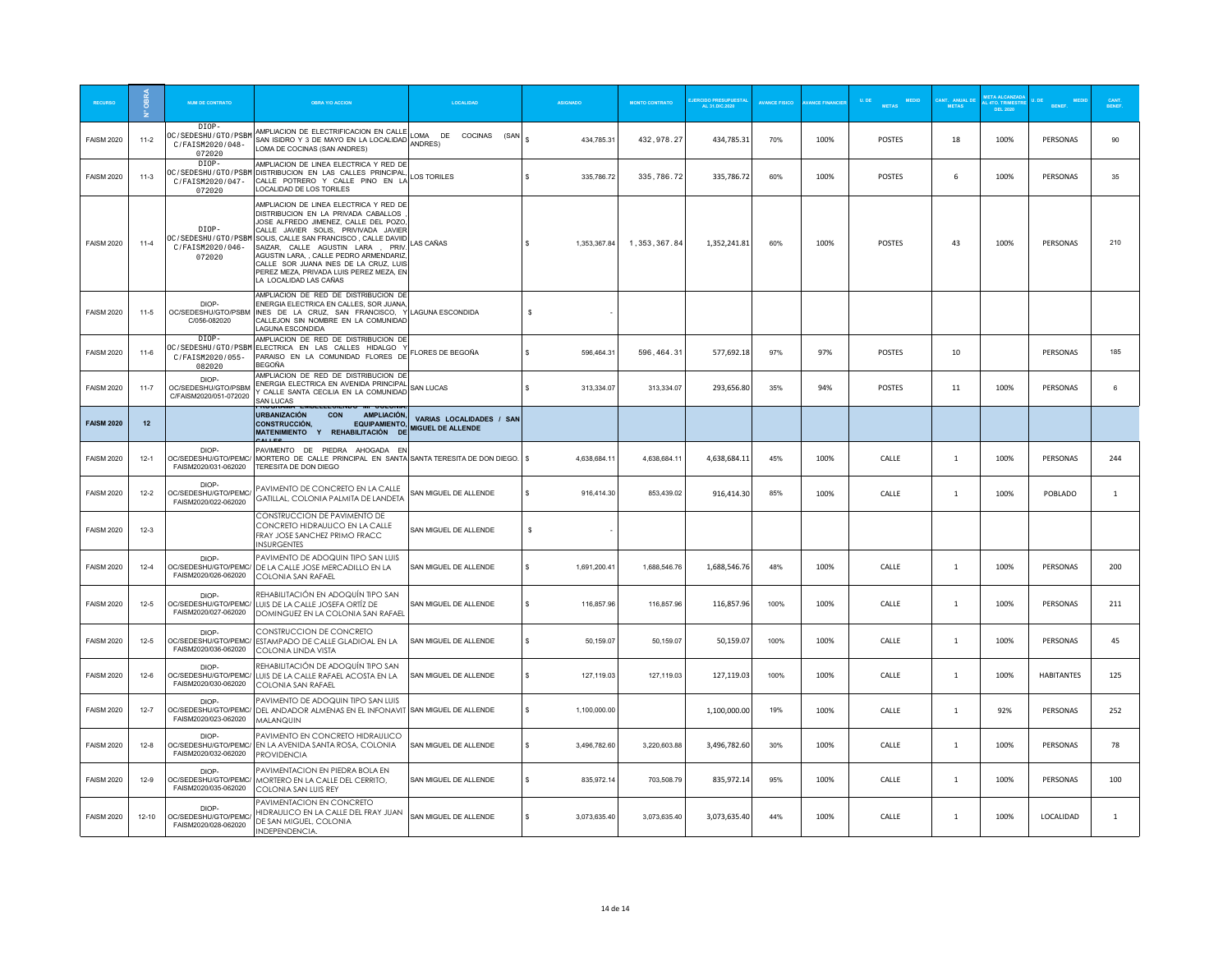|                   | ÷         | <b>NUM DE CONTRATO</b>                                     | <b>OBRA Y/O ACCION</b>                                                                                                                                                                                                                                                                                                                                                                               |                                               |                    |              | <b>MONTO CONTRATO</b> | <b>ERCIDO PRESUPUESTA</b><br>AL 31.DIC.2020 | <b>AVANCE FISICO</b> | <b>ANCE FINANCIE</b> | METAS MEDID   | <b>F. ANUAL D</b><br>METAS | 4TO. TRIMEST.<br>DEL 2020 |                   | CANT.<br>BENEF. |
|-------------------|-----------|------------------------------------------------------------|------------------------------------------------------------------------------------------------------------------------------------------------------------------------------------------------------------------------------------------------------------------------------------------------------------------------------------------------------------------------------------------------------|-----------------------------------------------|--------------------|--------------|-----------------------|---------------------------------------------|----------------------|----------------------|---------------|----------------------------|---------------------------|-------------------|-----------------|
| <b>FAISM 2020</b> | $11-2$    | DIOP-<br>OC/SEDESHU/GTO/PSBM<br>C/FAISM2020/048-<br>072020 | AMPLIACION DE ELECTRIFICACION EN CALLE<br>SAN ISIDRO Y 3 DE MAYO EN LA LOCALIDAD ANDRES)<br>LOMA DE COCINAS (SAN ANDRES)                                                                                                                                                                                                                                                                             | LOMA DE COCINAS (SAN                          | \$.                | 434,785.31   | 432, 978.27           | 434,785.31                                  | 70%                  | 100%                 | POSTES        | 18                         | 100%                      | PERSONAS          | 90              |
| <b>FAISM 2020</b> | $11-3$    | DIOP-<br>OC/SEDESHU/GTO/PSBM<br>C/FAISM2020/047-<br>072020 | AMPLIACION DE LINEA ELECTRICA Y RED DE<br>DISTRIBUCION EN LAS CALLES PRINCIPAL<br>CALLE POTRERO Y CALLE PINO EN LA<br>LOCALIDAD DE LOS TORILES                                                                                                                                                                                                                                                       | <b>LOS TORILES</b>                            | $\hat{\mathbf{x}}$ | 335,786.72   | 335,786.72            | 335,786.72                                  | 60%                  | 100%                 | POSTES        | 6                          | 100%                      | PERSONAS          | 35              |
| <b>FAISM 2020</b> | $11-4$    | DIOP-<br>OC/SEDESHU/GTO/PSBM<br>C/FAISM2020/046-<br>072020 | AMPLIACION DE LINEA ELECTRICA Y RED DE<br>DISTRIBUCION EN LA PRIVADA CABALLOS<br>JOSE ALFREDO JIMENEZ, CALLE DEL POZO<br>CALLE JAVIER SOLIS, PRIVIVADA JAVIER<br>SOLIS, CALLE SAN FRANCISCO, CALLE DAVIID<br>SAIZAR CALLE AGUSTIN LARA PRIV<br>AGUSTIN LARA, , CALLE PEDRO ARMENDARIZ,<br>CALLE SOR JUANA INES DE LA CRUZ, LUIS<br>PEREZ MEZA, PRIVADA LUIS PEREZ MEZA, EN<br>LA LOCALIDAD LAS CAÑAS | LAS CAÑAS                                     | s                  | 1,353,367.84 | 1,353,367.84          | 1,352,241.81                                | 60%                  | 100%                 | POSTES        | 43                         | 100%                      | PERSONAS          | 210             |
| <b>FAISM 2020</b> | $11-5$    | DIOP-<br>OC/SEDESHU/GTO/PSBM<br>C/056-082020               | AMPLIACION DE RED DE DISTRIBUCION DE<br>ENERGIA ELECTRICA EN CALLES, SOR JUANA,<br>INES DE LA CRUZ. SAN FRANCISCO. Y LAGUNA ESCONDIDA<br>CALLEJON SIN NOMBRE EN LA COMUNIDAD<br>LAGUNA ESCONDIDA                                                                                                                                                                                                     |                                               | $\mathbf{s}$       |              |                       |                                             |                      |                      |               |                            |                           |                   |                 |
| <b>FAISM 2020</b> | $11 - 6$  | DIOP-<br>C/FAISM2020/055-<br>082020                        | AMPLIACION DE RED DE DISTRIBUCION DE<br>0C/SEDESHU/GT0/PSBM ELECTRICA EN LAS CALLES HIDALGO Y<br>PARAISO EN LA COMUNIDAD FLORES DE<br><b>BEGOÑA</b>                                                                                                                                                                                                                                                  | FLORES DE BEGOÑA                              | $\hat{\mathbf{x}}$ | 596.464.31   | 596, 464.31           | 577.692.18                                  | 97%                  | 97%                  | <b>POSTES</b> | 10                         |                           | PERSONAS          | 185             |
| <b>FAISM 2020</b> | $11 - 7$  | DIOP-<br>OC/SEDESHU/GTO/PSBM<br>C/FAISM2020/051-072020     | AMPLIACION DE RED DE DISTRIBUCION DE<br>ENERGIA ELECTRICA EN AVENIDA PRINCIPAL<br>Y CALLE SANTA CECILIA EN LA COMUNIDAD<br>SAN I UCAS<br><b>EINDELLECIENDO MI COLONI</b>                                                                                                                                                                                                                             | <b>SAN LUCAS</b>                              | $\mathbf{s}$       | 313.334.07   | 313,334.07            | 293,656.80                                  | 35%                  | 94%                  | <b>POSTES</b> | 11                         | 100%                      | PERSONAS          | 6               |
| <b>FAISM 2020</b> | 12        |                                                            | <b>URBANIZACIÓN</b><br>CON<br>AMPLIACIÓN,<br><b>EQUIPAMIENTO,</b><br><b>CONSTRUCCIÓN.</b><br>MATENIMIENTO Y REHABILITACIÓN DE                                                                                                                                                                                                                                                                        | VARIAS LOCALIDADES / SAN<br>MIGUEL DE ALLENDE |                    |              |                       |                                             |                      |                      |               |                            |                           |                   |                 |
| <b>FAISM 2020</b> | $12-1$    | DIOP-<br>OC/SEDESHU/GTO/PEMC/<br>FAISM2020/031-062020      | PAVIMENTO DE PIEDRA AHOGADA EN<br>MORTERO DE CALLE PRINCIPAL EN SANTA SANTA TERESITA DE DON DIEGO. \$<br>TERESITA DE DON DIEGO                                                                                                                                                                                                                                                                       |                                               |                    | 4,638,684.11 | 4,638,684.11          | 4,638,684.11                                | 45%                  | 100%                 | CALLE         | <sup>1</sup>               | 100%                      | PERSONAS          | 244             |
| <b>FAISM 2020</b> | $12 - 2$  | DIOP-<br>OC/SEDESHU/GTO/PEMC/<br>FAISM2020/022-062020      | PAVIMENTO DE CONCRETO EN LA CALLE<br>GATILLAL, COLONIA PALMITA DE LANDETA                                                                                                                                                                                                                                                                                                                            | SAN MIGUEL DE ALLENDE                         | $\mathbf{s}$       | 916,414.30   | 853,439.02            | 916,414.30                                  | 85%                  | 100%                 | CALLE         | $\mathbf{1}$               | 100%                      | POBLADO           | 1               |
| <b>FAISM 2020</b> | $12-3$    |                                                            | CONSTRUCCION DE PAVIMENTO DE<br>CONCRETO HIDRAULICO EN LA CALLE<br>FRAY JOSE SANCHEZ PRIMO FRACC<br><b>INSURGENTES</b>                                                                                                                                                                                                                                                                               | SAN MIGUEL DE ALLENDE                         | \$                 |              |                       |                                             |                      |                      |               |                            |                           |                   |                 |
| <b>FAISM 2020</b> | $12-4$    | DIOP-<br>OC/SEDESHU/GTO/PEMC/<br>FAISM2020/026-062020      | PAVIMENTO DE ADOQUIN TIPO SAN LUIS<br>DE LA CALLE JOSE MERCADILLO EN LA<br>COLONIA SAN RAFAEL                                                                                                                                                                                                                                                                                                        | SAN MIGUEL DE ALLENDE                         | s.                 | 1,691,200.41 | 1.688.546.76          | 1,688,546.76                                | 48%                  | 100%                 | CALLE         | -1                         | 100%                      | PERSONAS          | 200             |
| <b>FAISM 2020</b> | $12 - 5$  | DIOP-<br>FAISM2020/027-062020                              | REHABILITACIÓN EN ADOQUÍN TIPO SAN<br>OC/SEDESHU/GTO/PEMC/ LUIS DE LA CALLE JOSEFA ORTÍZ DE<br>DOMINGUEZ EN LA COLONIA SAN RAFAEL                                                                                                                                                                                                                                                                    | SAN MIGUEL DE ALLENDE                         | $\mathbf{s}$       | 116,857.96   | 116,857.96            | 116,857.96                                  | 100%                 | 100%                 | CALLE         | $\mathbf{1}$               | 100%                      | PERSONAS          | 211             |
| <b>FAISM 2020</b> | $12 - 5$  | DIOP-<br>OC/SEDESHU/GTO/PEMC/<br>FAISM2020/036-062020      | CONSTRUCCION DE CONCRETO<br>ESTAMPADO DE CALLE GLADIOAL EN LA<br>COLONIA LINDA VISTA                                                                                                                                                                                                                                                                                                                 | SAN MIGUEL DE ALLENDE                         | s.                 | 50,159.07    | 50,159.07             | 50,159.07                                   | 100%                 | 100%                 | CALLE         | 1                          | 100%                      | PERSONAS          | 45              |
| <b>FAISM 2020</b> | $12-6$    | DIOP-<br>OC/SEDESHU/GTO/PEMC/<br>FAISM2020/030-062020      | REHABILITACIÓN DE ADOQUÍN TIPO SAN<br>LUIS DE LA CALLE RAFAEL ACOSTA EN LA<br>COLONIA SAN RAFAEL                                                                                                                                                                                                                                                                                                     | SAN MIGUEL DE ALLENDE                         | s.                 | 127,119.03   | 127,119.03            | 127,119.03                                  | 100%                 | 100%                 | CALLE         | $\mathbf{1}$               | 100%                      | <b>HABITANTES</b> | 125             |
| <b>FAISM 2020</b> | $12 - 7$  | DIOP-<br>OC/SEDESHU/GTO/PEMC/<br>FAISM2020/023-062020      | PAVIMENTO DE ADOQUIN TIPO SAN LUIS<br>DEL ANDADOR ALMENAS EN EL INFONAVIT SAN MIGUEL DE ALLENDE<br><b>MALANQUIN</b>                                                                                                                                                                                                                                                                                  |                                               | $\mathbf{s}$       | 1,100,000.00 |                       | 1,100,000.00                                | 19%                  | 100%                 | CALLE         | <sup>1</sup>               | 92%                       | PERSONAS          | 252             |
| <b>FAISM 2020</b> | $12 - 8$  | DIOP-<br>FAISM2020/032-062020                              | PAVIMENTO EN CONCRETO HIDRAULICO<br>OC/SEDESHU/GTO/PEMC/ EN LA AVENIDA SANTA ROSA, COLONIA<br><b>PROVIDENCIA</b>                                                                                                                                                                                                                                                                                     | SAN MIGUEL DE ALLENDE                         | s.                 | 3,496,782.60 | 3,220,603.88          | 3,496,782.60                                | 30%                  | 100%                 | CALLE         | $\overline{1}$             | 100%                      | PERSONAS          | 78              |
| <b>FAISM 2020</b> | $12-9$    | DIOP-<br>OC/SEDESHU/GTO/PEMC/<br>FAISM2020/035-062020      | PAVIMENTACION EN PIEDRA BOLA EN<br>MORTERO EN LA CALLE DEL CERRITO,<br>COLONIA SAN LUIS REY                                                                                                                                                                                                                                                                                                          | SAN MIGUEL DE ALLENDE                         | s.                 | 835,972.14   | 703,508.79            | 835,972.14                                  | 95%                  | 100%                 | CALLE         | 1                          | 100%                      | PERSONAS          | 100             |
| <b>FAISM 2020</b> | $12 - 10$ | DIOP-<br>OC/SEDESHU/GTO/PEMC/<br>FAISM2020/028-062020      | PAVIMENTACION EN CONCRETO<br>HIDRAULICO EN LA CALLE DEL FRAY JUAN<br>DE SAN MIGUEL, COLONIA<br>INDEPENDENCIA.                                                                                                                                                                                                                                                                                        | SAN MIGUEL DE ALLENDE                         | s.                 | 3.073.635.40 | 3.073.635.40          | 3,073,635.40                                | 44%                  | 100%                 | CALLE         | -1                         | 100%                      | LOCALIDAD         | 1               |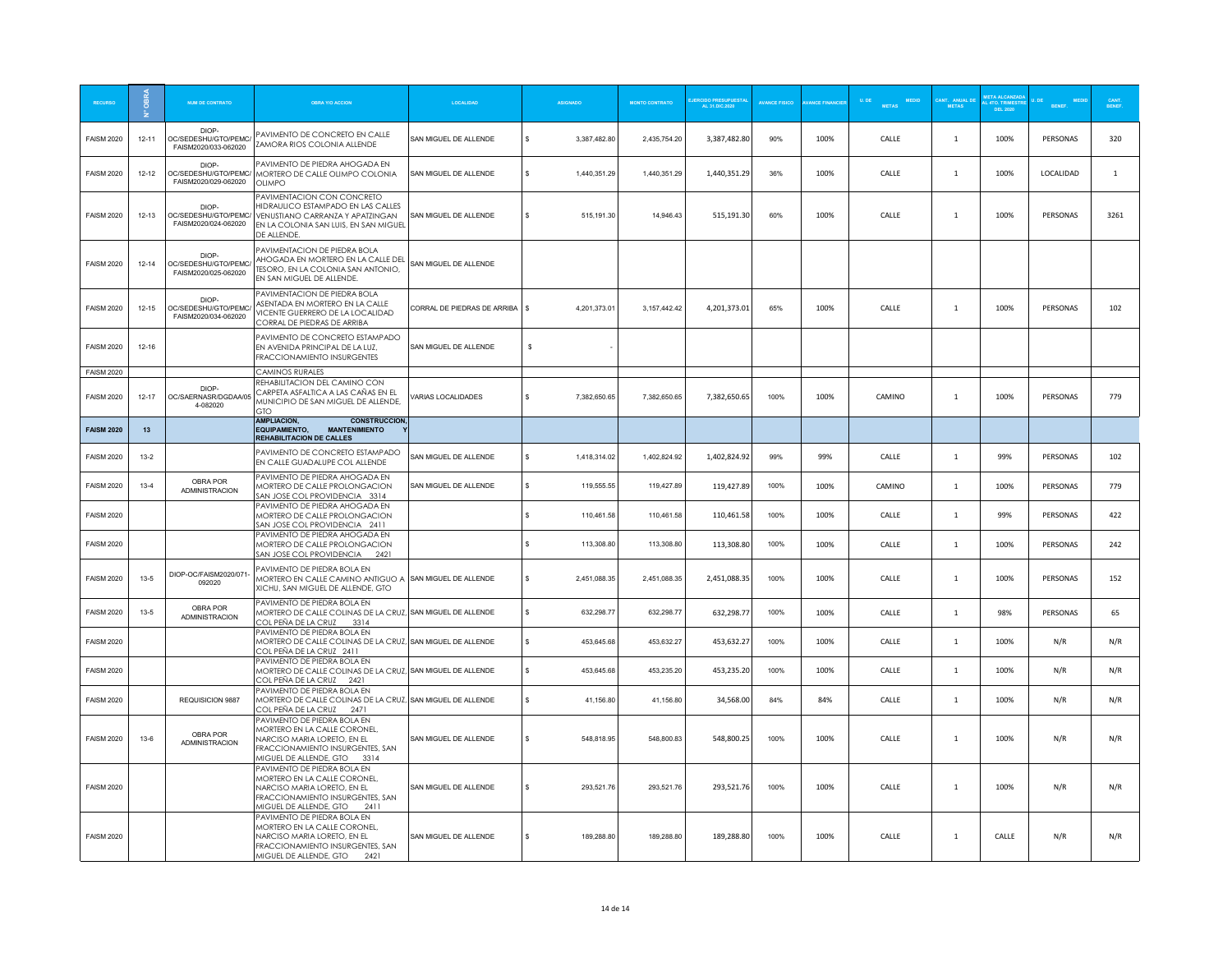| <b>RECURSC</b>    |           | <b>NUM DE CONTRATO</b>                                | <b>OBRA Y/O ACCION</b>                                                                                                                                               | <b>LOCALIDAD</b>            |          | <b>ASIGNADO</b> | <b>MONTO CONTRATO</b> | ERCIDO PRESUPUESTA<br>AL 31.DIC.2020 | <b>AVANCE FISICO</b> | <b>ANCE FINANCIE</b> | MEDID<br>U, DE<br><b>METAS</b> | METAS          | L 4TO. TRIMES<br>DEL 2020 |           | CANT.<br>RENEE |
|-------------------|-----------|-------------------------------------------------------|----------------------------------------------------------------------------------------------------------------------------------------------------------------------|-----------------------------|----------|-----------------|-----------------------|--------------------------------------|----------------------|----------------------|--------------------------------|----------------|---------------------------|-----------|----------------|
| <b>FAISM 2020</b> | $12 - 11$ | DIOP-<br>OC/SEDESHU/GTO/PEMC<br>FAISM2020/033-062020  | PAVIMENTO DE CONCRETO EN CALLE<br>ZAMORA RIOS COLONIA ALLENDE                                                                                                        | SAN MIGUEL DE ALLENDE       | s.       | 3,387,482.80    | 2,435,754.20          | 3,387,482.80                         | 90%                  | 100%                 | CALLE                          | $\overline{1}$ | 100%                      | PERSONAS  | 320            |
| <b>FAISM 2020</b> | $12 - 12$ | DIOP-<br>OC/SEDESHU/GTO/PEMC/<br>FAISM2020/029-062020 | PAVIMENTO DE PIEDRA AHOGADA EN<br>MORTERO DE CALLE OLIMPO COLONIA<br>OIIMPO                                                                                          | SAN MIGUEL DE ALLENDE       | s.       | 1,440,351.29    | 1,440,351.29          | 1,440,351.29                         | 36%                  | 100%                 | CALLE                          | $\mathbf{1}$   | 100%                      | LOCALIDAD | $\mathbf{1}$   |
| <b>FAISM 2020</b> | $12 - 13$ | DIOP-<br>OC/SEDESHU/GTO/PEMC/<br>FAISM2020/024-062020 | PAVIMENTACION CON CONCRETO<br>HIDRAULICO ESTAMPADO EN LAS CALLES<br>VENUSTIANO CARRANZA Y APATZINGAN<br>EN LA COLONIA SAN LUIS, EN SAN MIGUEL<br>DE ALLENDE.         | SAN MIGUEL DE ALLENDE       | s        | 515,191.30      | 14,946.43             | 515,191.30                           | 60%                  | 100%                 | CALLE                          | 1              | 100%                      | PERSONAS  | 3261           |
| <b>FAISM 2020</b> | $12 - 14$ | DIOP-<br>OC/SEDESHU/GTO/PEMC/<br>FAISM2020/025-062020 | PAVIMENTACION DE PIEDRA BOLA<br>AHOGADA EN MORTERO EN LA CALLE DEL<br>TESORO, EN LA COLONIA SAN ANTONIO,<br>EN SAN MIGUEL DE ALLENDE.                                | SAN MIGUEL DE ALLENDE       |          |                 |                       |                                      |                      |                      |                                |                |                           |           |                |
| <b>FAISM 2020</b> | $12 - 15$ | DIOP-<br>OC/SEDESHU/GTO/PEMC/<br>FAISM2020/034-062020 | PAVIMENTACION DE PIEDRA BOLA<br>ASENTADA EN MORTERO EN LA CALLE<br>VICENTE GUERRERO DE LA LOCALIDAD<br>CORRAL DE PIEDRAS DE ARRIBA                                   | CORRAL DE PIEDRAS DE ARRIBA | <b>S</b> | 4,201,373.01    | 3, 157, 442. 42       | 4,201,373.01                         | 65%                  | 100%                 | CALLE                          | $\mathbf{1}$   | 100%                      | PERSONAS  | 102            |
| <b>FAISM 2020</b> | $12 - 16$ |                                                       | PAVIMENTO DE CONCRETO ESTAMPADO<br>EN AVENIDA PRINCIPAL DE LA LUZ,<br>FRACCIONAMIENTO INSURGENTES                                                                    | SAN MIGUEL DE ALLENDE       | s        |                 |                       |                                      |                      |                      |                                |                |                           |           |                |
| <b>FAISM 2020</b> |           |                                                       | <b>CAMINOS RURALES</b>                                                                                                                                               |                             |          |                 |                       |                                      |                      |                      |                                |                |                           |           |                |
| <b>FAISM 2020</b> | 12-17     | DIOP-<br>OC/SAERNASR/DGDAA/05<br>4-082020             | REHABILITACION DEL CAMINO CON<br>CARPETA ASFALTICA A LAS CAÑAS EN EL<br>MUNICIPIO DE SAN MIGUEL DE ALLENDE,<br>GTO                                                   | VARIAS LOCALIDADES          | s.       | 7,382,650.65    | 7.382.650.65          | 7,382,650.65                         | 100%                 | 100%                 | CAMINO                         | 1              | 100%                      | PERSONAS  | 779            |
| <b>FAISM 2020</b> | 13        |                                                       | <b>AMPLIACION.</b><br><b>CONSTRUCCION</b><br>EQUIPAMIENTO,<br><b>MANTENIMIENTO</b><br><b>REHABILITACION DE CALLES</b>                                                |                             |          |                 |                       |                                      |                      |                      |                                |                |                           |           |                |
| <b>FAISM 2020</b> | $13 - 2$  |                                                       | PAVIMENTO DE CONCRETO ESTAMPADO<br>EN CALLE GUADALUPE COL ALLENDE                                                                                                    | SAN MIGUEL DE ALLENDE       | s.       | 1,418,314.02    | 1,402,824.92          | 1,402,824.92                         | 99%                  | 99%                  | CALLE                          | 1              | 99%                       | PERSONAS  | 102            |
| <b>FAISM 2020</b> | $13-4$    | OBRA POR<br><b>ADMINISTRACION</b>                     | PAVIMENTO DE PIEDRA AHOGADA EN<br>MORTERO DE CALLE PROLONGACION<br>SAN JOSE COL PROVIDENCIA 3314                                                                     | SAN MIGUEL DE ALLENDE       | s        | 119,555.55      | 119,427.89            | 119,427.89                           | 100%                 | 100%                 | CAMINO                         | $\mathbf{1}$   | 100%                      | PERSONAS  | 779            |
| <b>FAISM 2020</b> |           |                                                       | PAVIMENTO DE PIEDRA AHOGADA EN<br>MORTERO DE CALLE PROLONGACION<br>SAN JOSE COL PROVIDENCIA 2411                                                                     |                             | s        | 110,461.58      | 110,461.58            | 110,461.58                           | 100%                 | 100%                 | CALLE                          | 1              | 99%                       | PERSONAS  | 422            |
| <b>FAISM 2020</b> |           |                                                       | PAVIMENTO DE PIEDRA AHOGADA EN<br>MORTERO DE CALLE PROLONGACION<br>SAN JOSE COL PROVIDENCIA 2421                                                                     |                             | s        | 113,308.80      | 113,308.80            | 113,308.80                           | 100%                 | 100%                 | CALLE                          | $\mathbf{1}$   | 100%                      | PERSONAS  | 242            |
| <b>FAISM 2020</b> | $13 - 5$  | DIOP-OC/FAISM2020/071-<br>092020                      | PAVIMENTO DE PIEDRA BOLA EN<br>MORTERO EN CALLE CAMINO ANTIGUO A SAN MIGUEL DE ALLENDE<br>XICHU, SAN MIGUEL DE ALLENDE, GTO                                          |                             | s.       | 2,451,088.35    | 2,451,088.35          | 2,451,088.35                         | 100%                 | 100%                 | CALLE                          | $\mathbf{1}$   | 100%                      | PERSONAS  | 152            |
| <b>FAISM 2020</b> | $13-5$    | OBRA POR<br><b>ADMINISTRACION</b>                     | PAVIMENTO DE PIEDRA BOLA EN<br>MORTERO DE CALLE COLINAS DE LA CRUZ, SAN MIGUEL DE ALLENDE<br>COL PEÑA DE LA CRUZ 3314                                                |                             | s        | 632,298.77      | 632,298.77            | 632,298.77                           | 100%                 | 100%                 | CALLE                          | $\overline{1}$ | 98%                       | PERSONAS  | 65             |
| <b>FAISM 2020</b> |           |                                                       | PAVIMENTO DE PIEDRA BOLA EN<br>MORTERO DE CALLE COLINAS DE LA CRUZ, SAN MIGUEL DE ALLENDE<br>COL PEÑA DE LA CRUZ 2411                                                |                             | s.       | 453,645.68      | 453,632.27            | 453,632.27                           | 100%                 | 100%                 | CALLE                          | $\mathbf{1}$   | 100%                      | N/R       | N/R            |
| <b>FAISM 2020</b> |           |                                                       | PAVIMENTO DE PIEDRA BOLA EN<br>MORTERO DE CALLE COLINAS DE LA CRUZ, SAN MIGUEL DE ALLENDE<br>COL PEÑA DE LA CRUZ 2421                                                |                             | s        | 453,645.68      | 453,235.20            | 453,235.20                           | 100%                 | 100%                 | CALLE                          | $\mathbf{1}$   | 100%                      | N/R       | N/R            |
| <b>FAISM 2020</b> |           | REQUISICION 9887                                      | PAVIMENTO DE PIEDRA BOI A EN<br>MORTERO DE CALLE COLINAS DE LA CRUZ, SAN MIGUEL DE ALLENDE<br>COL PEÑA DE LA CRUZ 2471                                               |                             | s.       | 41,156.80       | 41,156.80             | 34,568.00                            | 84%                  | 84%                  | CALLE                          | $\mathbf{1}$   | 100%                      | N/R       | N/R            |
| <b>FAISM 2020</b> | $13-6$    | OBRA POR<br><b>ADMINISTRACION</b>                     | PAVIMENTO DE PIEDRA BOLA EN<br>MORTERO EN LA CALLE CORONEL,<br>NARCISO MARIA LORETO, EN EL<br>FRACCIONAMIENTO INSURGENTES, SAN<br>MIGUEL DE ALLENDE, GTO 3314        | SAN MIGUEL DE ALLENDE       | s        | 548,818.95      | 548,800.83            | 548,800.25                           | 100%                 | 100%                 | CALLE                          | $\mathbf{1}$   | 100%                      | N/R       | N/R            |
| <b>FAISM 2020</b> |           |                                                       | PAVIMENTO DE PIEDRA BOLA EN<br><b>MORTERO EN LA CALLE CORONEL,</b><br>NARCISO MARIA LORETO, EN EL<br>FRACCIONAMIENTO INSURGENTES, SAN<br>MIGUEL DE ALLENDE, GTO 2411 | SAN MIGUEL DE ALLENDE       | s.       | 293,521.76      | 293,521.76            | 293,521.76                           | 100%                 | 100%                 | CALLE                          | $\mathbf{1}$   | 100%                      | N/R       | N/R            |
| <b>FAISM 2020</b> |           |                                                       | PAVIMENTO DE PIEDRA BOLA EN<br>MORTERO EN LA CALLE CORONEL,<br>NARCISO MARIA LORETO. EN EL<br>FRACCIONAMIENTO INSURGENTES, SAN<br>MIGUEL DE ALLENDE, GTO 2421        | SAN MIGUEL DE ALLENDE       | s.       | 189,288.80      | 189.288.80            | 189,288.80                           | 100%                 | 100%                 | CALLE                          | $\overline{1}$ | CALLE                     | N/R       | N/R            |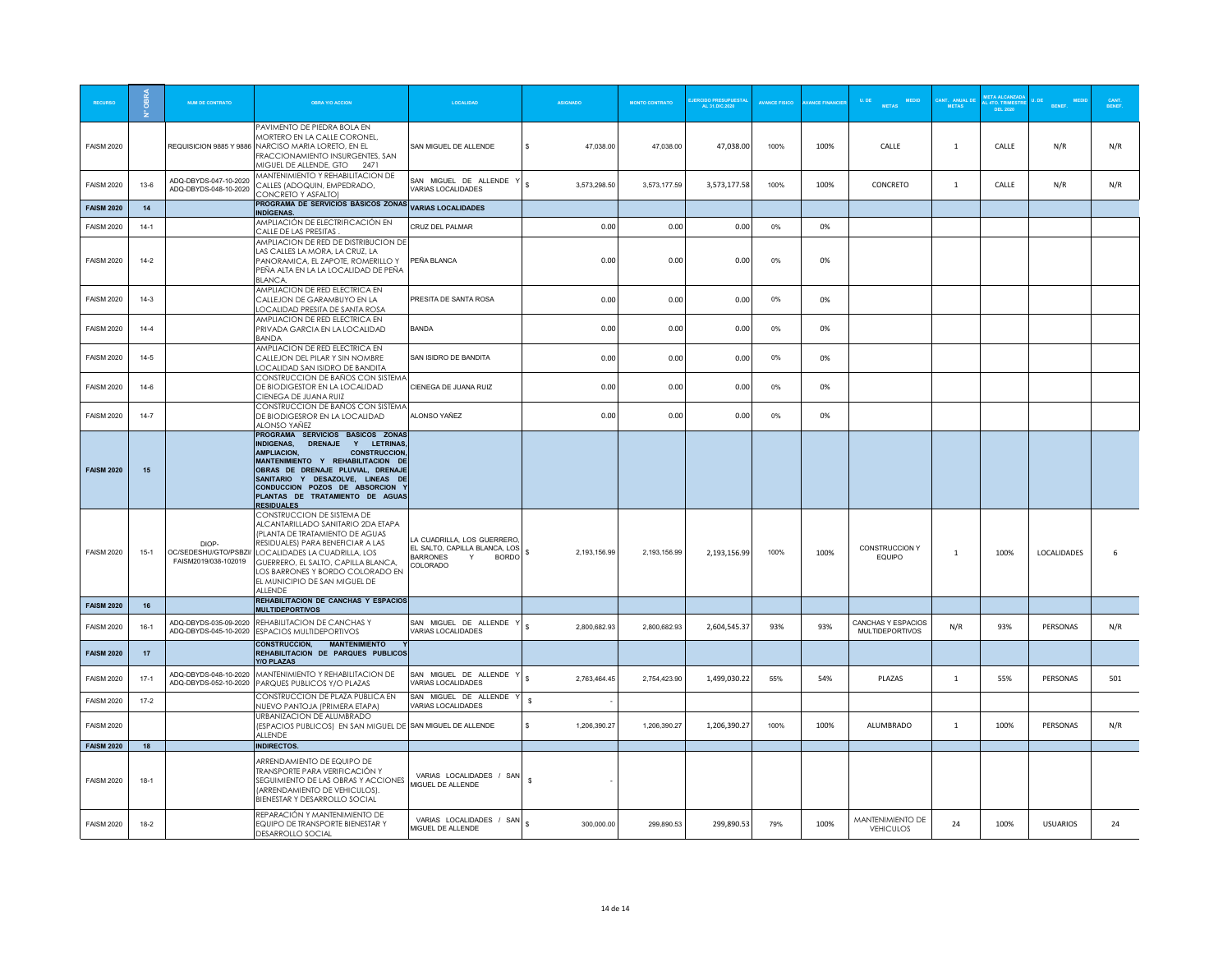|                   |          | <b>NUM DE CONTRATO</b>                                 | <b>OBRA Y/O ACCION</b>                                                                                                                                                                                                                                                                                                                      | LOCALIDAD                                                                                                      | <b>ASIGNADO</b>              | <b>MONTO CONTRATO</b> | <b>JERCIDO PRESUPUESTA</b><br>AL 31.DIC.2020 | <b>AVANCE FISICO</b> | <b>ANCE FINANCIE</b> | MEDID<br>U. DE<br><b>METAS</b>               | <b>METAS</b>   | L 4TO. TRIMES<br>DEL 2020 | <b>RENEE</b>    | <b>CANT.</b><br>BENEF |
|-------------------|----------|--------------------------------------------------------|---------------------------------------------------------------------------------------------------------------------------------------------------------------------------------------------------------------------------------------------------------------------------------------------------------------------------------------------|----------------------------------------------------------------------------------------------------------------|------------------------------|-----------------------|----------------------------------------------|----------------------|----------------------|----------------------------------------------|----------------|---------------------------|-----------------|-----------------------|
| <b>FAISM 2020</b> |          | REQUISICION 9885 Y 9886                                | PAVIMENTO DE PIEDRA BOLA EN<br>MORTERO EN LA CALLE CORONEL,<br>NARCISO MARIA LORETO, EN EL<br>FRACCIONAMIENTO INSURGENTES, SAN<br>MIGUEL DE ALLENDE, GTO 2471                                                                                                                                                                               | SAN MIGUEL DE ALLENDE                                                                                          | s<br>47.038.00               | 47,038.00             | 47,038.00                                    | 100%                 | 100%                 | CALLE                                        | -1             | CALLE                     | N/R             | N/R                   |
| <b>FAISM 2020</b> | $13-6$   | ADQ-DBYDS-047-10-2020<br>ADQ-DBYDS-048-10-2020         | MANTENIMIENTO Y REHABILITACION DE<br>CALLES (ADOQUIN, EMPEDRADO,<br>CONCRETO Y ASFALTO)                                                                                                                                                                                                                                                     | SAN MIGUEL DE ALLENDE Y<br>VARIAS LOCALIDADES                                                                  | $\mathbf{s}$<br>3,573,298.50 | 3,573,177.59          | 3,573,177.58                                 | 100%                 | 100%                 | CONCRETO                                     | $\mathbf{1}$   | CALLE                     | N/R             | N/R                   |
| <b>FAISM 2020</b> | 14       |                                                        | PROGRAMA DE SERVICIOS BÁSICOS ZONAS<br><b>INDÍGENAS.</b>                                                                                                                                                                                                                                                                                    | <b>VARIAS LOCALIDADES</b>                                                                                      |                              |                       |                                              |                      |                      |                                              |                |                           |                 |                       |
| <b>FAISM 2020</b> | $14-1$   |                                                        | AMPLIACIÓN DE ELECTRIFICACIÓN EN<br>CALLE DE LAS PRESITAS                                                                                                                                                                                                                                                                                   | CRUZ DEL PALMAR                                                                                                | 0.00                         | 0.00                  | 0.00                                         | $0\%$                | 0%                   |                                              |                |                           |                 |                       |
| <b>FAISM 2020</b> | $14-2$   |                                                        | AMPLIACION DE RED DE DISTRIBUCION DE<br>LAS CALLES LA MORA, LA CRUZ, LA<br>PANORAMICA, EL ZAPOTE, ROMERILLO Y<br>PEÑA ALTA EN LA LA LOCALIDAD DE PEÑA<br>BLANCA.                                                                                                                                                                            | PEÑA BLANCA                                                                                                    | 0.00                         | 0.00                  | 0.00                                         | 0%                   | 0%                   |                                              |                |                           |                 |                       |
| <b>FAISM 2020</b> | $14-3$   |                                                        | AMPLIACION DE RED ELECTRICA EN<br>CALLEJON DE GARAMBUYO EN LA<br>LOCALIDAD PRESITA DE SANTA ROSA                                                                                                                                                                                                                                            | PRESITA DE SANTA ROSA                                                                                          | 0.00                         | 0.00                  | 0.00                                         | $0\%$                | 0%                   |                                              |                |                           |                 |                       |
| <b>FAISM 2020</b> | $14-4$   |                                                        | AMPLIACION DE RED ELECTRICA EN<br>PRIVADA GARCIA EN LA LOCALIDAD<br><b>BANDA</b>                                                                                                                                                                                                                                                            | <b>BANDA</b>                                                                                                   | 0.00                         | 0.00                  | 0.00                                         | 0%                   | 0%                   |                                              |                |                           |                 |                       |
| <b>FAISM 2020</b> | $14-5$   |                                                        | AMPLIACION DE RED ELECTRICA EN<br>CALLEJON DEL PILAR Y SIN NOMBRE<br>LOCALIDAD SAN ISIDRO DE BANDITA                                                                                                                                                                                                                                        | SAN ISIDRO DE BANDITA                                                                                          | 0.00                         | 0.00                  | 0.00                                         | 0%                   | 0%                   |                                              |                |                           |                 |                       |
| <b>FAISM 2020</b> | $14-6$   |                                                        | CONSTRUCCION DE BAÑOS CON SISTEMA<br>DE BIODIGESTOR EN LA LOCALIDAD<br>CIENEGA DE JUANA RUIZ                                                                                                                                                                                                                                                | CIENEGA DE JUANA RUIZ                                                                                          | 0.00                         | 0.00                  | 0.00                                         | 0%                   | 0%                   |                                              |                |                           |                 |                       |
| <b>FAISM 2020</b> | $14 - 7$ |                                                        | CONSTRUCCION DE BAÑOS CON SISTEMA<br>DE BIODIGESROR EN LA LOCALIDAD<br>ALONSO YAÑEZ                                                                                                                                                                                                                                                         | ALONSO YAÑEZ                                                                                                   | 0.00                         | 0.00                  | 0.00                                         | 0%                   | 0%                   |                                              |                |                           |                 |                       |
| <b>FAISM 2020</b> | 15       |                                                        | PROGRAMA SERVICIOS BASICOS ZONAS<br>Y LETRINAS,<br><b>INDIGENAS.</b><br><b>DRENAJE</b><br><b>AMPLIACION</b><br><b>CONSTRUCCION</b><br>MANTENIMIENTO Y REHABILITACION DE<br>OBRAS DE DRENAJE PLUVIAL. DRENAJE<br>SANITARIO Y DESAZOLVE, LINEAS DE<br>CONDUCCION POZOS DE ABSORCION Y<br>PLANTAS DE TRATAMIENTO DE AGUAS<br><b>RESIDUALES</b> |                                                                                                                |                              |                       |                                              |                      |                      |                                              |                |                           |                 |                       |
| <b>FAISM 2020</b> | $15-1$   | DIOP-<br>OC/SEDESHU/GTO/PSBZI/<br>FAISM2019/038-102019 | CONSTRUCCION DE SISTEMA DE<br>ALCANTARILLADO SANITARIO 2DA ETAPA<br>(PLANTA DE TRATAMIENTO DE AGUAS<br>RESIDUALES) PARA BENEFICIAR A LAS<br>LOCALIDADES LA CUADRILLA, LOS<br>GUERRERO, EL SALTO, CAPILLA BLANCA.<br>LOS BARRONES Y BORDO COLORADO EN<br>EL MUNICIPIO DE SAN MIGUEL DE<br>AI I FNDF                                          | LA CUADRILLA LOS GUERRERO<br>EL SALTO, CAPILLA BLANCA, LOS<br><b>BARRONES</b><br>Y<br><b>BORDO</b><br>COLORADO | 2.193.156.99<br>-S           | 2,193,156.99          | 2,193,156.99                                 | 100%                 | 100%                 | CONSTRUCCION Y<br>EQUIPO                     | $\overline{1}$ | 100%                      | LOCALIDADES     | 6                     |
| <b>FAISM 2020</b> | 16       |                                                        | REHABILITACION DE CANCHAS Y ESPACIOS<br><b>MULTIDEPORTIVOS</b>                                                                                                                                                                                                                                                                              |                                                                                                                |                              |                       |                                              |                      |                      |                                              |                |                           |                 |                       |
| <b>FAISM 2020</b> | $16-1$   | ADQ-DBYDS-035-09-2020                                  | REHABILITACION DE CANCHAS Y<br>ADQ-DBYDS-045-10-2020 ESPACIOS MULTIDEPORTIVOS                                                                                                                                                                                                                                                               | SAN MIGUEL DE ALLENDE Y<br>VARIAS LOCALIDADES                                                                  | $\mathbf{s}$<br>2,800,682.93 | 2,800,682.93          | 2,604,545.37                                 | 93%                  | 93%                  | CANCHAS Y ESPACIOS<br><b>MULTIDEPORTIVOS</b> | N/R            | 93%                       | PERSONAS        | N/R                   |
| <b>FAISM 2020</b> | 17       |                                                        | CONSTRUCCION, MANTENIMIENTO<br>REHABILITACION DE PARQUES PUBLICOS<br><b>Y/O PLAZAS</b>                                                                                                                                                                                                                                                      |                                                                                                                |                              |                       |                                              |                      |                      |                                              |                |                           |                 |                       |
| <b>FAISM 2020</b> | $17-1$   | ADQ-DBYDS-048-10-2020<br>ADQ-DBYDS-052-10-2020         | MANTENIMIENTO Y REHABILITACION DE<br>PARQUES PUBLICOS Y/O PLAZAS                                                                                                                                                                                                                                                                            | SAN MIGUEL DE ALLENDE Y<br>VARIAS LOCALIDADES                                                                  | $\mathbf{s}$<br>2,763,464.45 | 2,754,423.90          | 1,499,030.22                                 | 55%                  | 54%                  | PLAZAS                                       | 1              | 55%                       | PERSONAS        | 501                   |
| <b>FAISM 2020</b> | $17 - 2$ |                                                        | CONSTRUCCION DE PLAZA PUBLICA EN<br>NUEVO PANTOJA (PRIMERA ETAPA)                                                                                                                                                                                                                                                                           | SAN MIGUEL DE ALLENDE<br>VARIAS LOCALIDADES                                                                    | \$                           |                       |                                              |                      |                      |                                              |                |                           |                 |                       |
| <b>FAISM 2020</b> |          |                                                        | URBANIZACION DE ALUMBRADO<br>(ESPACIOS PUBLICOS) EN SAN MIGUEL DE SAN MIGUEL DE ALLENDE<br>ALLENDE                                                                                                                                                                                                                                          |                                                                                                                | \$<br>1,206,390.27           | 1,206,390.27          | 1,206,390.27                                 | 100%                 | 100%                 | ALUMBRADO                                    | 1              | 100%                      | PERSONAS        | N/R                   |
| <b>FAISM 2020</b> | 18       |                                                        | <b>INDIRECTOS.</b>                                                                                                                                                                                                                                                                                                                          |                                                                                                                |                              |                       |                                              |                      |                      |                                              |                |                           |                 |                       |
| <b>FAISM 2020</b> | $18-1$   |                                                        | ARRENDAMIENTO DE EQUIPO DE<br>TRANSPORTE PARA VERIFICACIÓN Y<br>SEGUIMIENTO DE LAS OBRAS Y ACCIONES<br>(ARRENDAMIENTO DE VEHICULOS).<br>BIENESTAR Y DESARROLLO SOCIAL                                                                                                                                                                       | VARIAS LOCALIDADES / SAN<br>MIGUEL DE ALLENDE                                                                  | $\mathbf{s}$                 |                       |                                              |                      |                      |                                              |                |                           |                 |                       |
| <b>FAISM 2020</b> | $18-2$   |                                                        | REPARACIÓN Y MANTENIMIENTO DE<br>EQUIPO DE TRANSPORTE BIENESTAR Y<br>DESARROLLO SOCIAL                                                                                                                                                                                                                                                      | VARIAS LOCALIDADES / SAN<br>MIGUEL DE ALLENDE                                                                  | 300,000.00                   | 299,890.53            | 299,890.53                                   | 79%                  | 100%                 | MANTENIMIENTO DE<br><b>VEHICULOS</b>         | 24             | 100%                      | <b>USUARIOS</b> | 24                    |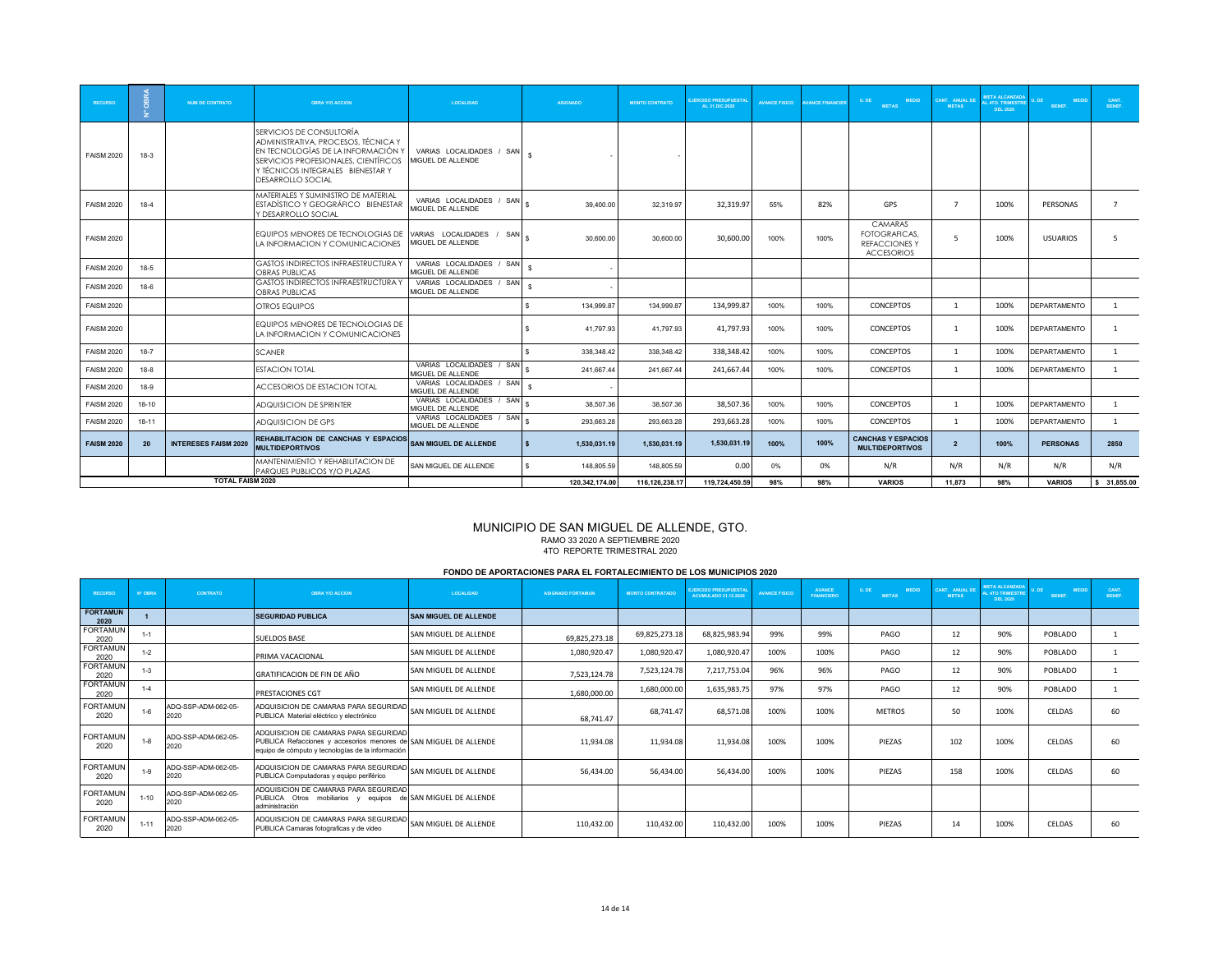| <b>RECURSO</b>    |           | <b>NUM DE CONTRATO</b>      | <b>OBRA Y/O ACCION</b>                                                                                                                                                                                  | LOCALIDAD                                       | <b>ASIGNADO</b>              | <b>MONTO CONTRATO</b> | <b>JERCIDO PRESUPUESTA</b><br>AL 31.DIC.2020 | <b>AVANCE FISICO</b> | <b>VANCE FINANCIER</b> | <b>MEDID</b><br>U.DE<br><b>METAS</b>                                         | <b>CANT. ANUAL DE</b><br><b>METAS</b> | <b>META ALCANZADA</b><br><b>L 4TO. TRIMESTRE</b><br><b>DEL 2020</b> | <b>MEDIC</b><br><b>BENEF.</b> | CANT.<br>BENEF. |
|-------------------|-----------|-----------------------------|---------------------------------------------------------------------------------------------------------------------------------------------------------------------------------------------------------|-------------------------------------------------|------------------------------|-----------------------|----------------------------------------------|----------------------|------------------------|------------------------------------------------------------------------------|---------------------------------------|---------------------------------------------------------------------|-------------------------------|-----------------|
| <b>FAISM 2020</b> | $18-3$    |                             | SERVICIOS DE CONSULTORÍA<br>ADMINISTRATIVA, PROCESOS, TÉCNICA Y<br>EN TECNOLOGÍAS DE LA INFORMACIÓN Y<br>SERVICIOS PROFESIONALES, CIENTÍFICOS<br>Y TÉCNICOS INTEGRALES BIENESTAR Y<br>DESARROLLO SOCIAL | VARIAS LOCALIDADES / SAN<br>MIGUEL DE ALLENDE   |                              |                       |                                              |                      |                        |                                                                              |                                       |                                                                     |                               |                 |
| <b>FAISM 2020</b> | $18-4$    |                             | MATERIALES Y SUMINISTRO DE MATERIAL<br>ESTADÍSTICO Y GEOGRÁFICO BIENESTAR<br>Y DESARROLLO SOCIAL                                                                                                        | VARIAS LOCALIDADES / SAN &<br>MIGUEL DE ALLENDE | 39.400.00                    | 32.319.97             | 32,319.97                                    | 55%                  | 82%                    | GPS                                                                          | $\overline{ }$                        | 100%                                                                | PERSONAS                      | $7^{\circ}$     |
| <b>FAISM 2020</b> |           |                             | EQUIPOS MENORES DE TECNOLOGIAS DE<br>LA INFORMACION Y COMUNICACIONES                                                                                                                                    | VARIAS LOCALIDADES / SAN<br>MIGUEL DE ALLENDE   | 30.600.00                    | 30.600.00             | 30,600.00                                    | 100%                 | 100%                   | <b>CAMARAS</b><br>FOTOGRAFICAS.<br><b>REFACCIONES Y</b><br><b>ACCESORIOS</b> | -5.                                   | 100%                                                                | <b>USUARIOS</b>               | -5              |
| <b>FAISM 2020</b> | $18-5$    |                             | <b>GASTOS INDIRECTOS INFRAESTRUCTURA Y</b><br>OBRAS PUBLICAS                                                                                                                                            | VARIAS LOCALIDADES / SAN<br>MIGUEL DE ALLENDE   |                              |                       |                                              |                      |                        |                                                                              |                                       |                                                                     |                               |                 |
| <b>FAISM 2020</b> | $18-6$    |                             | <b>GASTOS INDIRECTOS INFRAESTRUCTURA Y</b><br>OBRAS PUBLICAS                                                                                                                                            | VARIAS LOCALIDADES / SAN<br>MIGUEL DE ALLENDE   |                              |                       |                                              |                      |                        |                                                                              |                                       |                                                                     |                               |                 |
| <b>FAISM 2020</b> |           |                             | <b>OTROS EQUIPOS</b>                                                                                                                                                                                    |                                                 | 134.999.87<br>s              | 134.999.87            | 134,999.87                                   | 100%                 | 100%                   | <b>CONCEPTOS</b>                                                             | $\mathbf{1}$                          | 100%                                                                | <b>IDEPARTAMENTO</b>          | 1               |
| <b>FAISM 2020</b> |           |                             | EQUIPOS MENORES DE TECNOLOGIAS DE<br>LA INFORMACION Y COMUNICACIONES                                                                                                                                    |                                                 | 41.797.93                    | 41.797.93             | 41,797.93                                    | 100%                 | 100%                   | <b>CONCEPTOS</b>                                                             | $\mathbf{1}$                          | 100%                                                                | <b>DEPARTAMENTO</b>           |                 |
| <b>FAISM 2020</b> | $18-7$    |                             | <b>SCANER</b>                                                                                                                                                                                           |                                                 | 338,348.42                   | 338,348.42            | 338,348.42                                   | 100%                 | 100%                   | CONCEPTOS                                                                    | $\mathbf{1}$                          | 100%                                                                | <b>DEPARTAMENTO</b>           | 1               |
| <b>FAISM 2020</b> | $18-8$    |                             | <b>ESTACION TOTAL</b>                                                                                                                                                                                   | VARIAS LOCALIDADES / SAN<br>MIGUEL DE ALLENDE   | 241,667.44                   | 241,667.44            | 241,667.44                                   | 100%                 | 100%                   | CONCEPTOS                                                                    | $\mathbf{1}$                          | 100%                                                                | <b>DEPARTAMENTO</b>           | $\mathbf{1}$    |
| <b>FAISM 2020</b> | 18-9      |                             | ACCESORIOS DE ESTACION TOTAL                                                                                                                                                                            | VARIAS LOCALIDADES / SAN<br>MIGUEL DE ALLENDE   |                              |                       |                                              |                      |                        |                                                                              |                                       |                                                                     |                               |                 |
| <b>FAISM 2020</b> | 18-10     |                             | ADQUISICION DE SPRINTER                                                                                                                                                                                 | VARIAS LOCALIDADES / SAN<br>MIGUEL DE ALLENDE   | 38,507.36                    | 38,507.36             | 38,507.36                                    | 100%                 | 100%                   | CONCEPTOS                                                                    | $\mathbf{1}$                          | 100%                                                                | <b>DEPARTAMENTO</b>           | $\mathbf{1}$    |
| <b>FAISM 2020</b> | $18 - 11$ |                             | ADQUISICION DE GPS                                                                                                                                                                                      | VARIAS LOCALIDADES / SAN &<br>MIGUEL DE ALLENDE | 293.663.28                   | 293.663.28            | 293,663.28                                   | 100%                 | 100%                   | CONCEPTOS                                                                    | $\overline{1}$                        | 100%                                                                | <b>DEPARTAMENTO</b>           | $\mathbf{1}$    |
| <b>FAISM 2020</b> | 20        | <b>INTERESES FAISM 2020</b> | REHABILITACION DE CANCHAS Y ESPACIOS<br><b>MULTIDEPORTIVOS</b>                                                                                                                                          | <b>SAN MIGUEL DE ALLENDE</b>                    | $\mathbf{s}$<br>1.530.031.19 | 1.530.031.19          | 1,530,031.19                                 | 100%                 | 100%                   | <b>CANCHAS Y ESPACIOS</b><br><b>MULTIDEPORTIVOS</b>                          | $\overline{2}$                        | 100%                                                                | <b>PERSONAS</b>               | 2850            |
|                   |           |                             | MANTENIMIENTO Y REHABILITACION DE<br>PARQUES PUBLICOS Y/O PLAZAS                                                                                                                                        | SAN MIGUEL DE ALLENDE                           | 148.805.59<br>s.             | 148.805.59            | 0.00                                         | 0%                   | 0%                     | N/R                                                                          | N/R                                   | N/R                                                                 | N/R                           | N/R             |
|                   |           | <b>TOTAL FAISM 2020</b>     |                                                                                                                                                                                                         |                                                 | 120.342.174.00               | 116,126,238.17        | 119,724,450.59                               | 98%                  | 98%                    | <b>VARIOS</b>                                                                | 11.873                                | 98%                                                                 | <b>VARIOS</b>                 | \$31,855.00     |

#### MUNICIPIO DE SAN MIGUEL DE ALLENDE, GTO. RAMO 33 2020 A SEPTIEMBRE 2020 4TO REPORTE TRIMESTRAL 2020

#### **FONDO DE APORTACIONES PARA EL FORTALECIMIENTO DE LOS MUNICIPIOS 2020**

| <b>RECURSO</b>          | N' ORRA  | CONTRATO                    | <b>OBRA Y/O ACCION</b>                                                                                                                                          | <b>LOCALIDAD</b>             | <b>ASIGNADO FORTAMUN</b> | <b>MONTO CONTRATADO</b> | <b>EJERCIDO PRESUPUESTAI</b><br><b>ACUMULADO 31.12.2020</b> | <b>AVANCE FISICO</b> | <b>AVANCE</b><br><b>FINANCIERO</b> | U. DE<br><b>MEDID</b><br><b>METAS</b> | CANT. ANUAL DE<br><b>METAS</b> | <b>META ALCANZADA</b><br><b>IL ATO TRIMESTR</b><br><b>DEL 2020</b> | <b>MEDID</b><br>BENEF. | CANT.<br>BENEF. |
|-------------------------|----------|-----------------------------|-----------------------------------------------------------------------------------------------------------------------------------------------------------------|------------------------------|--------------------------|-------------------------|-------------------------------------------------------------|----------------------|------------------------------------|---------------------------------------|--------------------------------|--------------------------------------------------------------------|------------------------|-----------------|
| <b>FORTAMUN</b><br>2020 |          |                             | <b>SEGURIDAD PUBLICA</b>                                                                                                                                        | <b>SAN MIGUEL DE ALLENDE</b> |                          |                         |                                                             |                      |                                    |                                       |                                |                                                                    |                        |                 |
| <b>FORTAMUN</b><br>2020 | $1 - 1$  |                             | <b>SUELDOS BASE</b>                                                                                                                                             | SAN MIGUEL DE ALLENDE        | 69,825,273.18            | 69,825,273.18           | 68,825,983.94                                               | 99%                  | 99%                                | PAGO                                  | 12                             | 90%                                                                | POBLADO                |                 |
| <b>FORTAMUN</b><br>2020 | $1 - 2$  |                             | PRIMA VACACIONAL                                                                                                                                                | SAN MIGUEL DE ALLENDE        | 1,080,920.47             | 1,080,920.47            | 1,080,920.47                                                | 100%                 | 100%                               | PAGO                                  | 12                             | 90%                                                                | POBLADO                |                 |
| <b>FORTAMUN</b><br>2020 | $1 - 3$  |                             | GRATIFICACION DE FIN DE AÑO                                                                                                                                     | SAN MIGUEL DE ALLENDE        | 7,523,124.78             | 7,523,124.78            | 7,217,753.04                                                | 96%                  | 96%                                | PAGO                                  | 12                             | 90%                                                                | POBLADO                |                 |
| <b>FORTAMUN</b><br>2020 | $1 - 4$  |                             | PRESTACIONES CGT                                                                                                                                                | SAN MIGUEL DE ALLENDE        | 1,680,000.00             | 1,680,000.00            | 1,635,983.75                                                | 97%                  | 97%                                | PAGO                                  | 12                             | 90%                                                                | POBLADO                |                 |
| <b>FORTAMUN</b><br>2020 | $1 - 6$  | ADO-SSP-ADM-062-05-<br>2020 | ADQUISICION DE CAMARAS PARA SEGURIDAD<br>PUBLICA Material eléctrico y electrónico                                                                               | SAN MIGUEL DE ALLENDE        | 68,741.47                | 68,741.47               | 68,571.08                                                   | 100%                 | 100%                               | <b>METROS</b>                         | 50                             | 100%                                                               | CELDAS                 | 60              |
| <b>FORTAMUN</b><br>2020 | $1 - 8$  | ADQ-SSP-ADM-062-05-<br>2020 | ADQUISICION DE CAMARAS PARA SEGURIDAD<br>PUBLICA Refacciones y accesorios menores de SAN MIGUEL DE ALLENDE<br>equipo de cómputo y tecnologías de la información |                              | 11,934.08                | 11.934.08               | 11,934.08                                                   | 100%                 | 100%                               | PIEZAS                                | 102                            | 100%                                                               | CELDAS                 | 60              |
| <b>FORTAMUN</b><br>2020 | $1 - 9$  | ADQ-SSP-ADM-062-05-<br>2020 | ADQUISICION DE CAMARAS PARA SEGURIDAD SAN MIGUEL DE ALLENDE<br>PUBLICA Computadoras y equipo periférico                                                         |                              | 56,434.00                | 56,434.00               | 56.434.00                                                   | 100%                 | 100%                               | PIF7AS                                | 158                            | 100%                                                               | CELDAS                 | 60              |
| <b>FORTAMUN</b><br>2020 | $1 - 10$ | ADQ-SSP-ADM-062-05-<br>2020 | ADQUISICION DE CAMARAS PARA SEGURIDAD<br>PUBLICA Otros mobiliarios y equipos de SAN MIGUEL DE ALLENDE<br>administración                                         |                              |                          |                         |                                                             |                      |                                    |                                       |                                |                                                                    |                        |                 |
| <b>FORTAMUN</b><br>2020 | $1 - 11$ | ADQ-SSP-ADM-062-05-<br>2020 | ADQUISICION DE CAMARAS PARA SEGURIDAD<br>PUBLICA Camaras fotograficas y de video                                                                                | SAN MIGUEL DE ALLENDE        | 110,432.00               | 110,432.00              | 110,432.00                                                  | 100%                 | 100%                               | PIEZAS                                | 14                             | 100%                                                               | CELDAS                 | 60              |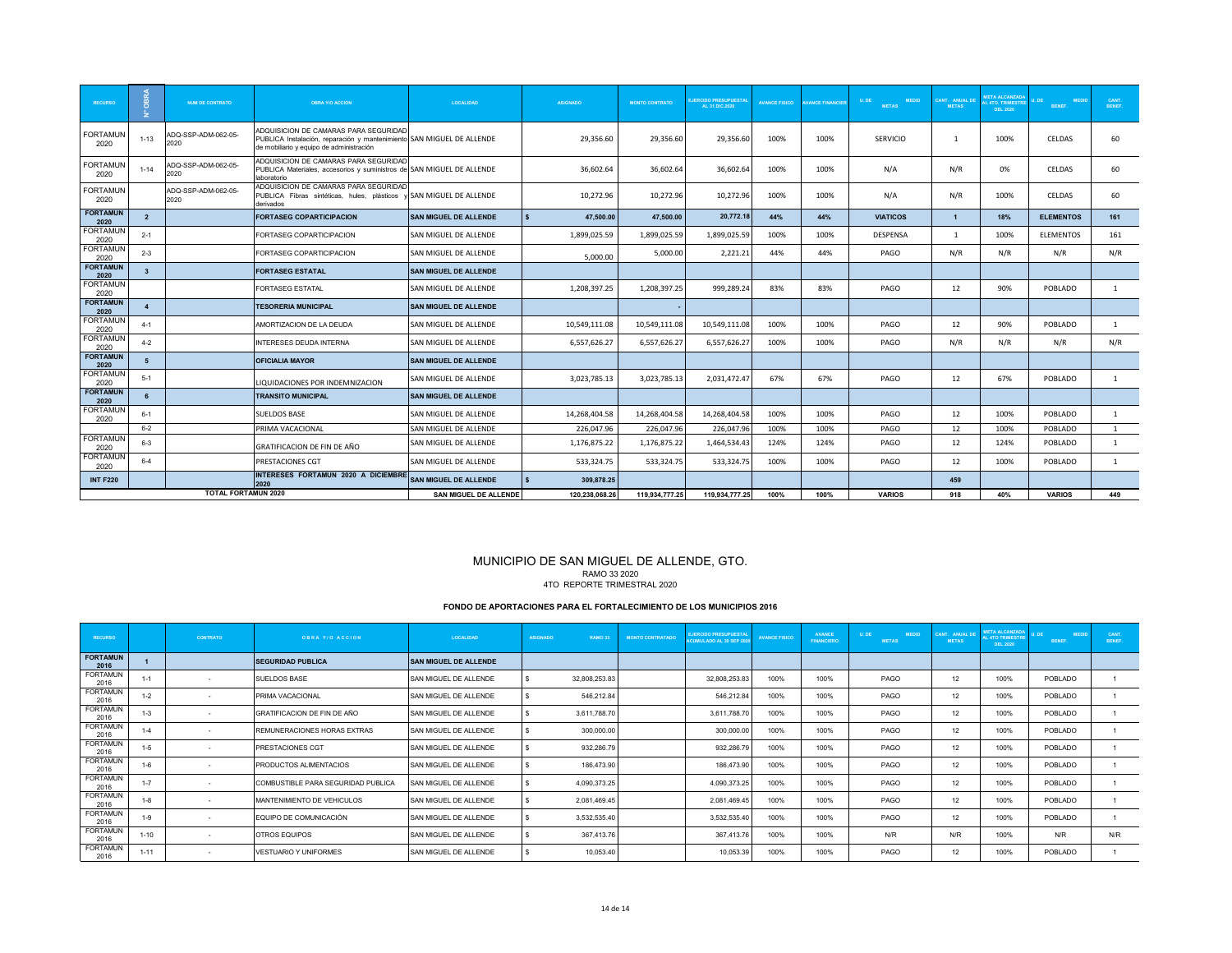| <b>RECURSO</b>          | 离                       | <b>NUM DE CONTRATO</b>      | <b>OBRA Y/O ACCION</b>                                                                                                                                     | <b>LOCALIDAD</b>             | <b>ASIGNADO</b> | <b>MONTO CONTRATO</b> | <b>JERCIDO PRESUPUESTA</b><br>AL 31.DIC.2020 | <b>AVANCE FISICO</b> | <b>AVANCE FINANCIER</b> | <b>MEDID</b><br>U. DE<br><b>METAS</b> | CANT. ANUAL DE<br><b>METAS</b> | <b>META ALCANZADA</b><br><b>L 4TO. TRIMESTRE</b><br><b>DEL 2020</b> | <b>MEDID</b><br><b>BENEF.</b> | CANT.<br>BENEF. |
|-------------------------|-------------------------|-----------------------------|------------------------------------------------------------------------------------------------------------------------------------------------------------|------------------------------|-----------------|-----------------------|----------------------------------------------|----------------------|-------------------------|---------------------------------------|--------------------------------|---------------------------------------------------------------------|-------------------------------|-----------------|
| <b>FORTAMUN</b><br>2020 | $1 - 13$                | ADQ-SSP-ADM-062-05-<br>2020 | ADQUISICION DE CAMARAS PARA SEGURIDAD<br>PUBLICA Instalación, reparación y mantenimiento SAN MIGUEL DE ALLENDE<br>de mobiliario y equipo de administración |                              | 29,356.60       | 29.356.60             | 29,356.60                                    | 100%                 | 100%                    | <b>SERVICIO</b>                       | $\mathbf{1}$                   | 100%                                                                | CELDAS                        | 60              |
| <b>FORTAMUN</b><br>2020 | $1 - 14$                | ADQ-SSP-ADM-062-05-<br>2020 | ADQUISICION DE CAMARAS PARA SEGURIDAD<br>PUBLICA Materiales, accesorios y suministros de SAN MIGUEL DE ALLENDE<br>laboratorio                              |                              | 36.602.64       | 36.602.64             | 36,602.64                                    | 100%                 | 100%                    | N/A                                   | N/R                            | 0%                                                                  | CELDAS                        | 60              |
| <b>FORTAMUN</b><br>2020 |                         | ADQ-SSP-ADM-062-05-<br>2020 | ADQUISICION DE CAMARAS PARA SEGURIDAD<br>PUBLICA Fibras sintéticas, hules, plásticos y SAN MIGUEL DE ALLENDE<br>derivados                                  |                              | 10,272.96       | 10,272.96             | 10,272.96                                    | 100%                 | 100%                    | N/A                                   | N/R                            | 100%                                                                | CELDAS                        | 60              |
| <b>FORTAMUN</b><br>2020 | $\overline{2}$          |                             | <b>FORTASEG COPARTICIPACION</b>                                                                                                                            | <b>SAN MIGUEL DE ALLENDE</b> | 47.500.00       | 47,500.00             | 20,772.18                                    | 44%                  | 44%                     | <b>VIATICOS</b>                       | $\mathbf{1}$                   | 18%                                                                 | <b>ELEMENTOS</b>              | 161             |
| <b>FORTAMUN</b><br>2020 | $2 - 1$                 |                             | FORTASEG COPARTICIPACION                                                                                                                                   | SAN MIGUEL DE ALLENDE        | 1,899,025.59    | 1,899,025.59          | 1,899,025.59                                 | 100%                 | 100%                    | <b>DESPENSA</b>                       | $\mathbf{1}$                   | 100%                                                                | <b>ELEMENTOS</b>              | 161             |
| <b>FORTAMUN</b><br>2020 | $2 - 3$                 |                             | FORTASEG COPARTICIPACION                                                                                                                                   | SAN MIGUEL DE ALLENDE        | 5.000.00        | 5,000.00              | 2,221.21                                     | 44%                  | 44%                     | PAGO                                  | N/R                            | N/R                                                                 | N/R                           | N/R             |
| <b>FORTAMUN</b><br>2020 | $\overline{\mathbf{3}}$ |                             | <b>FORTASEG ESTATAL</b>                                                                                                                                    | <b>SAN MIGUEL DE ALLENDE</b> |                 |                       |                                              |                      |                         |                                       |                                |                                                                     |                               |                 |
| <b>FORTAMUN</b><br>2020 |                         |                             | <b>FORTASEG ESTATAL</b>                                                                                                                                    | SAN MIGUEL DE ALLENDE        | 1,208,397.25    | 1,208,397.25          | 999,289.24                                   | 83%                  | 83%                     | PAGO                                  | 12                             | 90%                                                                 | POBLADO                       | 1               |
| <b>FORTAMUN</b><br>2020 | $\boldsymbol{\Lambda}$  |                             | <b>TESORERIA MUNICIPAL</b>                                                                                                                                 | <b>SAN MIGUEL DE ALLENDE</b> |                 |                       |                                              |                      |                         |                                       |                                |                                                                     |                               |                 |
| <b>FORTAMUN</b><br>2020 | $4 - 1$                 |                             | AMORTIZACION DE LA DEUDA                                                                                                                                   | <b>SAN MIGUEL DE ALLENDE</b> | 10,549,111.08   | 10,549,111.08         | 10,549,111.08                                | 100%                 | 100%                    | PAGO                                  | 12                             | 90%                                                                 | POBLADO                       | 1               |
| <b>FORTAMUN</b><br>2020 | $4 - 2$                 |                             | <b>INTERESES DEUDA INTERNA</b>                                                                                                                             | SAN MIGUEL DE ALLENDE        | 6,557,626.27    | 6,557,626.27          | 6,557,626.27                                 | 100%                 | 100%                    | PAGO                                  | N/R                            | N/R                                                                 | N/R                           | N/R             |
| <b>FORTAMUN</b><br>2020 | 5                       |                             | <b>OFICIALIA MAYOR</b>                                                                                                                                     | <b>SAN MIGUEL DE ALLENDE</b> |                 |                       |                                              |                      |                         |                                       |                                |                                                                     |                               |                 |
| <b>FORTAMUN</b><br>2020 | $5 - 1$                 |                             | LIQUIDACIONES POR INDEMNIZACION                                                                                                                            | SAN MIGUEL DE ALLENDE        | 3.023.785.13    | 3.023.785.13          | 2,031,472.47                                 | 67%                  | 67%                     | PAGO                                  | 12                             | 67%                                                                 | POBLADO                       | 1               |
| <b>FORTAMUN</b><br>2020 | 6                       |                             | <b>TRANSITO MUNICIPAL</b>                                                                                                                                  | <b>SAN MIGUEL DE ALLENDE</b> |                 |                       |                                              |                      |                         |                                       |                                |                                                                     |                               |                 |
| <b>FORTAMUN</b><br>2020 | $6 - 1$                 |                             | <b>SUELDOS BASE</b>                                                                                                                                        | SAN MIGUEL DE ALLENDE        | 14,268,404.58   | 14,268,404.58         | 14,268,404.58                                | 100%                 | 100%                    | PAGO                                  | 12                             | 100%                                                                | POBLADO                       | $\mathbf{1}$    |
|                         | $6 - 2$                 |                             | PRIMA VACACIONAL                                                                                                                                           | SAN MIGUEL DE ALLENDE        | 226,047.96      | 226,047.96            | 226,047.96                                   | 100%                 | 100%                    | PAGO                                  | 12                             | 100%                                                                | POBLADO                       | 1               |
| <b>FORTAMUN</b><br>2020 | $6 - 3$                 |                             | <b>GRATIFICACION DE FIN DE AÑO</b>                                                                                                                         | SAN MIGUEL DE ALLENDE        | 1,176,875.22    | 1,176,875.22          | 1,464,534.43                                 | 124%                 | 124%                    | PAGO                                  | 12                             | 124%                                                                | POBLADO                       | 1               |
| <b>FORTAMUN</b><br>2020 | $6 - 4$                 |                             | PRESTACIONES CGT                                                                                                                                           | SAN MIGUEL DE ALLENDE        | 533.324.75      | 533,324.75            | 533,324.75                                   | 100%                 | 100%                    | PAGO                                  | 12                             | 100%                                                                | POBLADO                       | $\mathbf{1}$    |
| <b>INT F220</b>         |                         |                             | INTERESES FORTAMUN 2020 A DICIEMBRE<br>2020                                                                                                                | <b>SAN MIGUEL DE ALLENDE</b> | 309,878.25      |                       |                                              |                      |                         |                                       | 459                            |                                                                     |                               |                 |
|                         |                         | <b>TOTAL FORTAMUN 2020</b>  |                                                                                                                                                            | <b>SAN MIGUEL DE ALLENDE</b> | 120.238.068.26  | 119.934.777.25        | 119.934.777.25                               | 100%                 | 100%                    | <b>VARIOS</b>                         | 918                            | 40%                                                                 | <b>VARIOS</b>                 | 449             |

### MUNICIPIO DE SAN MIGUEL DE ALLENDE, GTO. RAMO 33 2020 4TO REPORTE TRIMESTRAL 2020

### **FONDO DE APORTACIONES PARA EL FORTALECIMIENTO DE LOS MUNICIPIOS 2016**

| <b>RECURSO</b>          |          | <b>CONTRATO</b> | OBRA Y/O ACCION                    | LOCALIDAD                    | <b>ASIGNADO</b> | RAMO <sub>33</sub> | <b>MONTO CONTRATADO</b> | <b>EJERCIDO PRESUPUESTAI</b><br><b>CUMULADO AL 30 SEP 202</b> | <b>AVANCE FISICO</b> | <b>AVANCE</b><br><b>FINANCIERO</b> | U. DE<br><b>MEDID</b><br><b>METAS</b> | CANT. ANUAL DE<br><b>METAS</b> | <b>META ALCANZADA</b><br>AL 4TO TRIMESTR<br><b>DEL 2020</b> | <b>MFDI</b><br>BENEF. | CANT.<br>BENEF. |
|-------------------------|----------|-----------------|------------------------------------|------------------------------|-----------------|--------------------|-------------------------|---------------------------------------------------------------|----------------------|------------------------------------|---------------------------------------|--------------------------------|-------------------------------------------------------------|-----------------------|-----------------|
| <b>FORTAMUN</b><br>2016 |          |                 | <b>SEGURIDAD PUBLICA</b>           | <b>SAN MIGUEL DE ALLENDE</b> |                 |                    |                         |                                                               |                      |                                    |                                       |                                |                                                             |                       |                 |
| <b>FORTAMUN</b><br>2016 | $1 - 1$  |                 | SUELDOS BASE                       | SAN MIGUEL DE ALLENDE        |                 | 32,808,253.83      |                         | 32,808,253.83                                                 | 100%                 | 100%                               | PAGO                                  | 12                             | 100%                                                        | POBLADO               |                 |
| <b>FORTAMUN</b><br>2016 | $1 - 2$  |                 | PRIMA VACACIONAL                   | <b>SAN MIGUEL DE ALLENDE</b> |                 | 546,212.84         |                         | 546,212.84                                                    | 100%                 | 100%                               | PAGO                                  | 12                             | 100%                                                        | POBLADO               |                 |
| <b>FORTAMUN</b><br>2016 | $1 - 3$  |                 | GRATIFICACION DE FIN DE AÑO        | SAN MIGUEL DE ALLENDE        |                 | 3,611,788.70       |                         | 3,611,788.70                                                  | 100%                 | 100%                               | PAGO                                  | 12                             | 100%                                                        | POBLADO               |                 |
| <b>FORTAMUN</b><br>2016 | $1 - 4$  |                 | REMUNERACIONES HORAS EXTRAS        | SAN MIGUEL DE ALLENDE        |                 | 300,000.00         |                         | 300,000.00                                                    | 100%                 | 100%                               | PAGO                                  | 12                             | 100%                                                        | POBLADO               |                 |
| <b>FORTAMUN</b><br>2016 | $1 - 5$  |                 | PRESTACIONES CGT                   | <b>SAN MIGUEL DE ALLENDE</b> |                 | 932,286.79         |                         | 932,286.79                                                    | 100%                 | 100%                               | PAGO                                  | 12                             | 100%                                                        | POBLADO               |                 |
| <b>FORTAMUN</b><br>2016 | $1 - 6$  |                 | <b>PRODUCTOS ALIMENTACIOS</b>      | SAN MIGUEL DE ALLENDE        |                 | 186,473.90         |                         | 186,473.90                                                    | 100%                 | 100%                               | PAGO                                  | 12                             | 100%                                                        | POBLADO               |                 |
| <b>FORTAMUN</b><br>2016 | $1 - 7$  |                 | COMBUSTIBLE PARA SEGURIDAD PUBLICA | SAN MIGUEL DE ALLENDE        |                 | 4,090,373.25       |                         | 4,090,373.25                                                  | 100%                 | 100%                               | PAGO                                  | 12                             | 100%                                                        | POBLADO               |                 |
| <b>FORTAMUN</b><br>2016 | $1 - 8$  |                 | MANTENIMIENTO DE VEHICULOS         | SAN MIGUEL DE ALLENDE        |                 | 2,081,469.45       |                         | 2,081,469.45                                                  | 100%                 | 100%                               | PAGO                                  | 12                             | 100%                                                        | POBLADO               |                 |
| <b>FORTAMUN</b><br>2016 | $1 - 9$  |                 | EQUIPO DE COMUNICACIÓN             | SAN MIGUEL DE ALLENDE        |                 | 3,532,535.40       |                         | 3,532,535.40                                                  | 100%                 | 100%                               | PAGO                                  | 12                             | 100%                                                        | POBLADO               |                 |
| <b>FORTAMUN</b><br>2016 | $1 - 10$ |                 | OTROS EQUIPOS                      | SAN MIGUEL DE ALLENDE        |                 | 367,413.76         |                         | 367,413.76                                                    | 100%                 | 100%                               | N/R                                   | N/R                            | 100%                                                        | N/R                   | N/R             |
| <b>FORTAMUN</b><br>2016 | $1 - 11$ |                 | <b>VESTUARIO Y UNIFORMES</b>       | SAN MIGUEL DE ALLENDE        |                 | 10,053.40          |                         | 10,053.39                                                     | 100%                 | 100%                               | PAGO                                  | 12                             | 100%                                                        | POBLADO               |                 |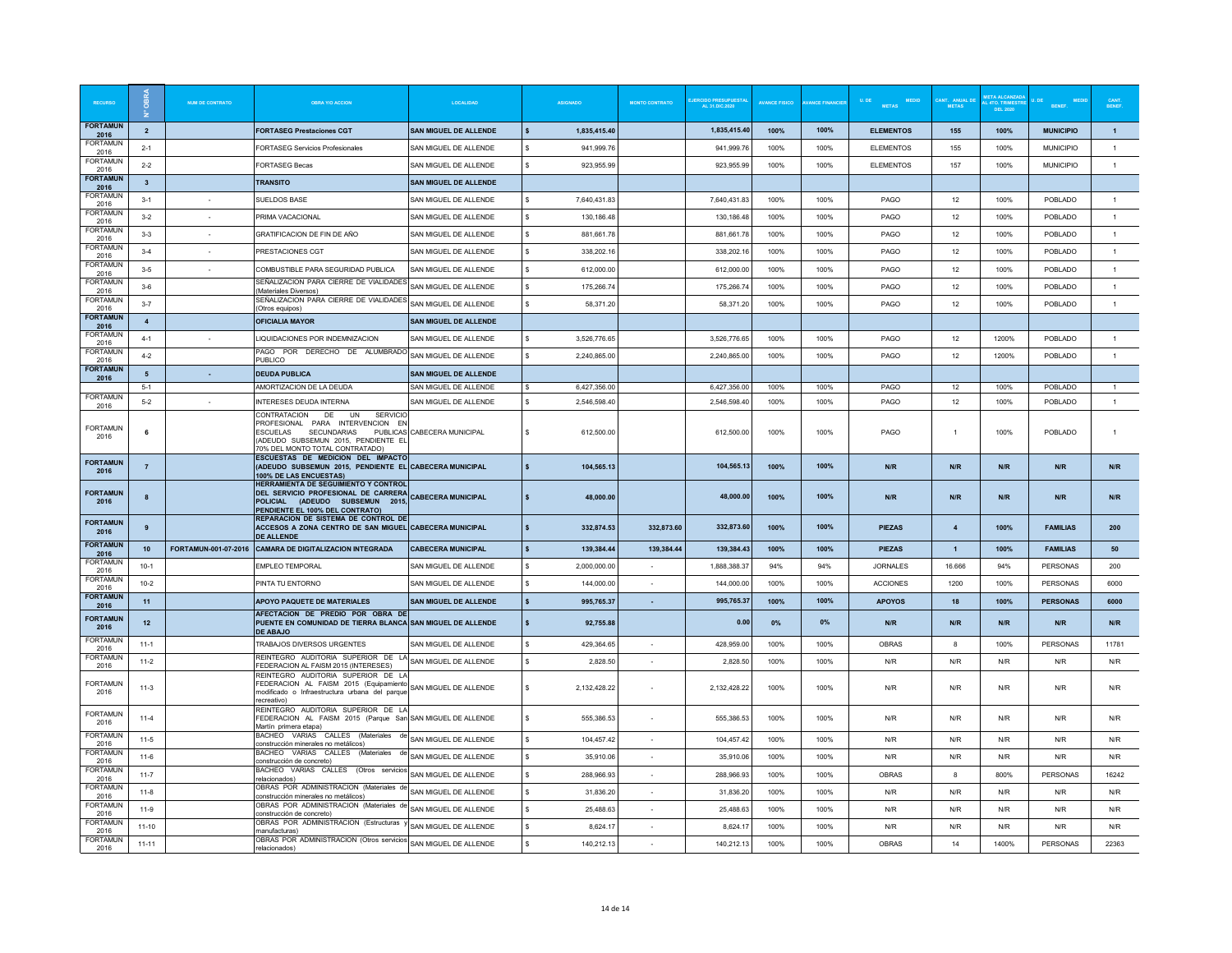|                         |                         | NUM DE CONTRATO | ORRA Y/O ACCION                                                                                                                                     | <b>LOCALIDAD</b>             |                    | <b>ASIGNADO</b> | <b>MONTO CONTRATO</b> | DO PRESUPUESTA<br>\L 31.DIC.2020 | <b>AVANCE FISICO</b> | <b>ANCE FINANCIE</b> | $\ensuremath{\mathsf{U}}\xspace.$ DE<br><b>MEDID</b><br><b>METAS</b> | <b>METAS</b>     | 4TO. TRIMES<br>DEL 2020 | <b>BENEF</b>     | CANT.<br>BENEF |
|-------------------------|-------------------------|-----------------|-----------------------------------------------------------------------------------------------------------------------------------------------------|------------------------------|--------------------|-----------------|-----------------------|----------------------------------|----------------------|----------------------|----------------------------------------------------------------------|------------------|-------------------------|------------------|----------------|
| <b>FORTAMUN</b><br>2016 | $\overline{2}$          |                 | <b>FORTASEG Prestaciones CGT</b>                                                                                                                    | SAN MIGUEL DE ALLENDE        | $\mathbf{s}$       | 1,835,415.40    |                       | 1,835,415.40                     | 100%                 | 100%                 | <b>ELEMENTOS</b>                                                     | 155              | 100%                    | <b>MUNICIPIO</b> | $\overline{1}$ |
| <b>FORTAMUN</b><br>2016 | $2 - 1$                 |                 | <b>FORTASEG Servicios Profesionales</b>                                                                                                             | SAN MIGUEL DE ALLENDE        |                    | 941,999.76      |                       | 941,999.76                       | 100%                 | 100%                 | <b>ELEMENTOS</b>                                                     | 155              | 100%                    | <b>MUNICIPIO</b> | $\mathbf{1}$   |
| FORTAMUN<br>2016        | $2 - 2$                 |                 | <b>FORTASEG Becas</b>                                                                                                                               | SAN MIGUEL DE ALLENDE        | $\mathbf{s}$       | 923,955.99      |                       | 923,955.99                       | 100%                 | 100%                 | <b>ELEMENTOS</b>                                                     | 157              | 100%                    | <b>MUNICIPIO</b> | $\mathbf{1}$   |
| <b>FORTAMUN</b><br>2016 | $\overline{\mathbf{3}}$ |                 | <b>TRANSITO</b>                                                                                                                                     | <b>SAN MIGUEL DE ALLENDE</b> |                    |                 |                       |                                  |                      |                      |                                                                      |                  |                         |                  |                |
| <b>FORTAMUN</b><br>2016 | $3 - 1$                 |                 | <b>SUELDOS BASE</b>                                                                                                                                 | SAN MIGUEL DE ALLENDE        | s.                 | 7.640.431.83    |                       | 7.640.431.83                     | 100%                 | 100%                 | PAGO                                                                 | 12               | 100%                    | POBLADO          | $\overline{1}$ |
| <b>FORTAMUN</b><br>2016 | $3 - 2$                 |                 | PRIMA VACACIONAL                                                                                                                                    | SAN MIGUEL DE ALLENDE        | s.                 | 130,186.48      |                       | 130,186.48                       | 100%                 | 100%                 | PAGO                                                                 | 12               | 100%                    | POBLADO          | $\overline{1}$ |
| <b>FORTAMUN</b><br>2016 | $3 - 3$                 |                 | GRATIFICACION DE FIN DE AÑO                                                                                                                         | SAN MIGUEL DE ALLENDE        |                    | 881,661.78      |                       | 881,661.78                       | 100%                 | 100%                 | PAGO                                                                 | 12               | 100%                    | POBLADO          | $\overline{1}$ |
| <b>FORTAMUN</b><br>2016 | $3-4$                   | $\sim$          | PRESTACIONES CGT                                                                                                                                    | SAN MIGUEL DE ALLENDE        | s.                 | 338.202.16      |                       | 338.202.16                       | 100%                 | 100%                 | PAGO                                                                 | 12               | 100%                    | POBLADO          | $\overline{1}$ |
| FORTAMUN<br>2016        | $3 - 5$                 |                 | COMBUSTIBLE PARA SEGURIDAD PUBLICA                                                                                                                  | SAN MIGUEL DE ALLENDE        | s.                 | 612.000.00      |                       | 612,000.00                       | 100%                 | 100%                 | PAGO                                                                 | 12               | 100%                    | POBLADO          | $\overline{1}$ |
| <b>FORTAMUN</b><br>2016 | $3-6$                   |                 | SEÑALIZACION PARA CIERRE DE VIALIDADES<br>(Materiales Diversos)                                                                                     | SAN MIGUEL DE ALLENDE        |                    | 175,266.74      |                       | 175,266.74                       | 100%                 | 100%                 | PAGO                                                                 | 12               | 100%                    | POBLADO          | $\overline{1}$ |
| FORTAMUN<br>2016        | $3 - 7$                 |                 | SEÑALIZACION PARA CIERRE DE VIALIDADES<br>(Otros equipos)                                                                                           | SAN MIGUEL DE ALLENDE        | $\mathbf{s}$       | 58,371.20       |                       | 58,371.20                        | 100%                 | 100%                 | PAGO                                                                 | 12               | 100%                    | POBLADO          | $\mathbf{1}$   |
| <b>FORTAMUN</b><br>2016 | $\boldsymbol{A}$        |                 | <b>OFICIALIA MAYOR</b>                                                                                                                              | <b>SAN MIGUEL DE ALLENDE</b> |                    |                 |                       |                                  |                      |                      |                                                                      |                  |                         |                  |                |
| <b>FORTAMUN</b><br>2016 | $4 - 1$                 |                 | LIQUIDACIONES POR INDEMNIZACION                                                                                                                     | SAN MIGUEL DE ALLENDE        |                    | 3.526.776.65    |                       | 3.526.776.65                     | 100%                 | 100%                 | PAGO                                                                 | 12               | 1200%                   | POBLADO          | $\overline{1}$ |
| <b>FORTAMUN</b><br>2016 | $4 - 2$                 |                 | PAGO POR DERECHO DE ALUMBRADO<br>PUBLICO                                                                                                            | SAN MIGUEL DE ALLENDE        | s.                 | 2,240,865.00    |                       | 2,240,865.00                     | 100%                 | 100%                 | PAGO                                                                 | 12               | 1200%                   | POBLADO          | $\overline{1}$ |
| <b>FORTAMUN</b><br>2016 | 5                       |                 | <b>DEUDA PUBLICA</b>                                                                                                                                | SAN MIGUEL DE ALLENDE        |                    |                 |                       |                                  |                      |                      |                                                                      |                  |                         |                  |                |
| <b>FORTAMUN</b>         | $5 - 1$                 |                 | AMORTIZACION DE LA DEUDA                                                                                                                            | SAN MIGUEL DE ALLENDE        | $\mathbf{s}$       | 6,427,356.00    |                       | 6 427 356 00                     | 100%                 | 100%                 | PAGO                                                                 | 12               | 100%                    | POBLADO          | $\mathbf{1}$   |
| 2016                    | $5 - 2$                 |                 | <b>INTERESES DEUDA INTERNA</b><br><b>CONTRATACION</b><br>DE.<br><b>UN</b><br><b>SERVICK</b>                                                         | SAN MIGUEL DE ALLENDE        | s                  | 2,546,598.40    |                       | 2,546,598.40                     | 100%                 | 100%                 | PAGO                                                                 | 12               | 100%                    | POBLADO          | $\mathbf{1}$   |
| <b>FORTAMUN</b><br>2016 | 6                       |                 | PROFESIONAL PARA INTERVENCION EN<br><b>FSCUFLAS</b><br><b>SECUNDARIAS</b><br>(ADEUDO SUBSEMUN 2015, PENDIENTE EL<br>70% DEL MONTO TOTAL CONTRATADO) | PUBLICAS CABECERA MUNICIPAL  | s.                 | 612,500.00      |                       | 612,500.00                       | 100%                 | 100%                 | PAGO                                                                 | $\mathbf{1}$     | 100%                    | POBLADO          | 1              |
| <b>FORTAMUN</b><br>2016 | $\overline{7}$          |                 | ESCUESTAS DE MEDICION DEL IMPACTO<br>(ADEUDO SUBSEMUN 2015, PENDIENTE EL CABECERA MUNICIPAL<br>100% DE LAS ENCUESTAS)                               |                              |                    | 104,565.13      |                       | 104,565.13                       | 100%                 | 100%                 | N/R                                                                  | N/R              | N/R                     | N/R              | N/R            |
| <b>FORTAMUN</b><br>2016 | 8                       |                 | HERRAMIENTA DE SEGUIMIENTO Y CONTROL<br>DEL SERVICIO PROFESIONAL DE CARRERA<br>POLICIAL (ADEUDO SUBSEMUN 2015.<br>PENDIENTE EL 100% DEL CONTRATO)   | <b>CABECERA MUNICIPAL</b>    |                    | 48,000.00       |                       | 48,000.00                        | 100%                 | 100%                 | N/R                                                                  | N/R              | N/R                     | N/R              | N/R            |
| <b>FORTAMUN</b><br>2016 | 9                       |                 | REPARACION DE SISTEMA DE CONTROL DE<br>ACCESOS A ZONA CENTRO DE SAN MIGUEL CABECERA MUNICIPAL<br><b>DE ALLENDE</b>                                  |                              |                    | 332,874.53      | 332,873.60            | 332.873.60                       | 100%                 | 100%                 | <b>PIEZAS</b>                                                        | $\overline{4}$   | 100%                    | <b>FAMILIAS</b>  | 200            |
| <b>FORTAMUN</b><br>2016 | 10                      |                 | FORTAMUN-001-07-2016 CAMARA DE DIGITALIZACION INTEGRADA                                                                                             | <b>CABECERA MUNICIPAL</b>    |                    | 139,384.44      | 139,384.44            | 139,384.43                       | 100%                 | 100%                 | <b>PIEZAS</b>                                                        | $\overline{1}$   | 100%                    | <b>FAMILIAS</b>  | 50             |
| <b>FORTAMUN</b><br>2016 | $10 - 1$                |                 | <b>EMPLEO TEMPORAL</b>                                                                                                                              | SAN MIGUEL DE ALLENDE        | s.                 | 2,000,000.00    |                       | 1,888,388.37                     | 94%                  | 94%                  | <b>JORNALES</b>                                                      | 16.666           | 94%                     | PERSONAS         | 200            |
| <b>FORTAMUN</b><br>2016 | $10 - 2$                |                 | PINTA TU ENTORNO                                                                                                                                    | SAN MIGUEL DE ALLENDE        | $\epsilon$         | 144,000.00      |                       | 144,000.00                       | 100%                 | 100%                 | <b>ACCIONES</b>                                                      | 1200             | 100%                    | <b>PFRSONAS</b>  | 6000           |
| <b>FORTAMUN</b><br>2016 | 11                      |                 | APOYO PAQUETE DE MATERIALES                                                                                                                         | <b>SAN MIGUEL DE ALLENDE</b> | $\mathbf{s}$       | 995.765.37      | $\sim$                | 995,765.37                       | 100%                 | 100%                 | <b>APOYOS</b>                                                        | 18               | 100%                    | <b>PERSONAS</b>  | 6000           |
| <b>FORTAMUN</b><br>2016 | 12                      |                 | AFECTACION DE PREDIO POR OBRA DE<br>PUENTE EN COMUNIDAD DE TIERRA BLANCA SAN MIGUEL DE ALLENDE<br><b>DE ABAJO</b>                                   |                              | $\mathbf{s}$       | 92,755.88       |                       | 0.00                             | $0\%$                | 0%                   | N/R                                                                  | N/R              | N/R                     | N/R              | N/R            |
| <b>FORTAMUN</b><br>2016 | $11-1$                  |                 | TRABAJOS DIVERSOS URGENTES                                                                                                                          | SAN MIGUEL DE ALLENDE        | $\mathbf{s}$       | 429.364.65      | $\sim$                | 428,959.00                       | 100%                 | 100%                 | <b>OBRAS</b>                                                         | $\boldsymbol{8}$ | 100%                    | PERSONAS         | 11781          |
| <b>FORTAMUN</b><br>2016 | $11-2$                  |                 | REINTEGRO AUDITORIA SUPERIOR DE LA<br>FEDERACION AL FAISM 2015 (INTERESES)                                                                          | SAN MIGUEL DE ALLENDE        | s                  | 2,828.50        | $\sim$                | 2.828.50                         | 100%                 | 100%                 | N/R                                                                  | N/R              | N/R                     | N/R              | N/R            |
| <b>FORTAMUN</b><br>2016 | $11-3$                  |                 | REINTEGRO AUDITORIA SUPERIOR DE LA<br>FEDERACION AL FAISM 2015 (Equipamiento<br>modificado o Infraestructura urbana del parque<br>recreativo)       | SAN MIGUEL DE ALLENDE        | s                  | 2,132,428.22    |                       | 2,132,428.22                     | 100%                 | 100%                 | N/R                                                                  | N/R              | N/R                     | N/R              | N/R            |
| <b>FORTAMUN</b><br>2016 | $11-4$                  |                 | REINTEGRO AUDITORIA SUPERIOR DE LA<br>FEDERACION AL FAISM 2015 (Parque San<br>Martín primera etapa)                                                 | SAN MIGUEL DE ALLENDE        | s                  | 555,386.53      |                       | 555,386.53                       | 100%                 | 100%                 | N/R                                                                  | N/R              | N/R                     | N/R              | N/R            |
| <b>FORTAMUN</b><br>2016 | $11-5$                  |                 | BACHEO VARIAS CALLES (Materiales de<br>construcción minerales no metálicos)                                                                         | SAN MIGUEL DE ALLENDE        | s.                 | 104 457 42      | <b>1999</b>           | 104,457.42                       | 100%                 | 100%                 | N/R                                                                  | N/R              | N/R                     | N/R              | N/R            |
| <b>FORTAMUN</b><br>2016 | $11-6$                  |                 | BACHEO VARIAS CALLES (Materiales de<br>construcción de concreto)                                                                                    | SAN MIGUEL DE ALLENDE        | s                  | 35,910.06       |                       | 35,910.06                        | 100%                 | 100%                 | N/R                                                                  | N/R              | N/R                     | N/R              | N/R            |
| <b>FORTAMUN</b><br>2016 | $11 - 7$                |                 | BACHEO VARIAS CALLES (Otros servicios<br>relacionados)                                                                                              | SAN MIGUEL DE ALLENDE        | s                  | 288,966.93      | $\sim$                | 288,966.93                       | 100%                 | 100%                 | <b>OBRAS</b>                                                         | 8                | 800%                    | PERSONAS         | 16242          |
| FORTAMUN<br>2016        | $11-8$                  |                 | OBRAS POR ADMINISTRACION (Materiales de<br>construcción minerales no metálicos)                                                                     | SAN MIGUEL DE ALLENDE        | s.                 | 31.836.20       | $\sim$                | 31.836.20                        | 100%                 | 100%                 | N/R                                                                  | N/R              | N/R                     | N/R              | N/R            |
| <b>FORTAMUN</b><br>2016 | $11-9$                  |                 | OBRAS POR ADMINISTRACION (Materiales de<br>construcción de concreto)                                                                                | SAN MIGUEL DE ALLENDE        | $\hat{\mathbf{s}}$ | 25 488 63       | $\sim$                | 25 488 63                        | 100%                 | 100%                 | N/R                                                                  | N/R              | N/R                     | N/R              | N/R            |
| <b>FORTAMUN</b><br>2016 | $11-10$                 |                 | OBRAS POR ADMINISTRACION (Estructuras<br>manufacturas)                                                                                              | SAN MIGUEL DE ALLENDE        |                    | 8.624.17        |                       | 8.624.1                          | 100%                 | 100%                 | N/R                                                                  | N/R              | N/R                     | N/R              | N/R            |
| <b>FORTAMUN</b><br>2016 | $11 - 11$               |                 | OBRAS POR ADMINISTRACION (Otros servicios<br>relacionados)                                                                                          | SAN MIGUEL DE ALLENDE        | s                  | 140,212.13      |                       | 140,212.13                       | 100%                 | 100%                 | <b>OBRAS</b>                                                         | 14               | 1400%                   | PERSONAS         | 22363          |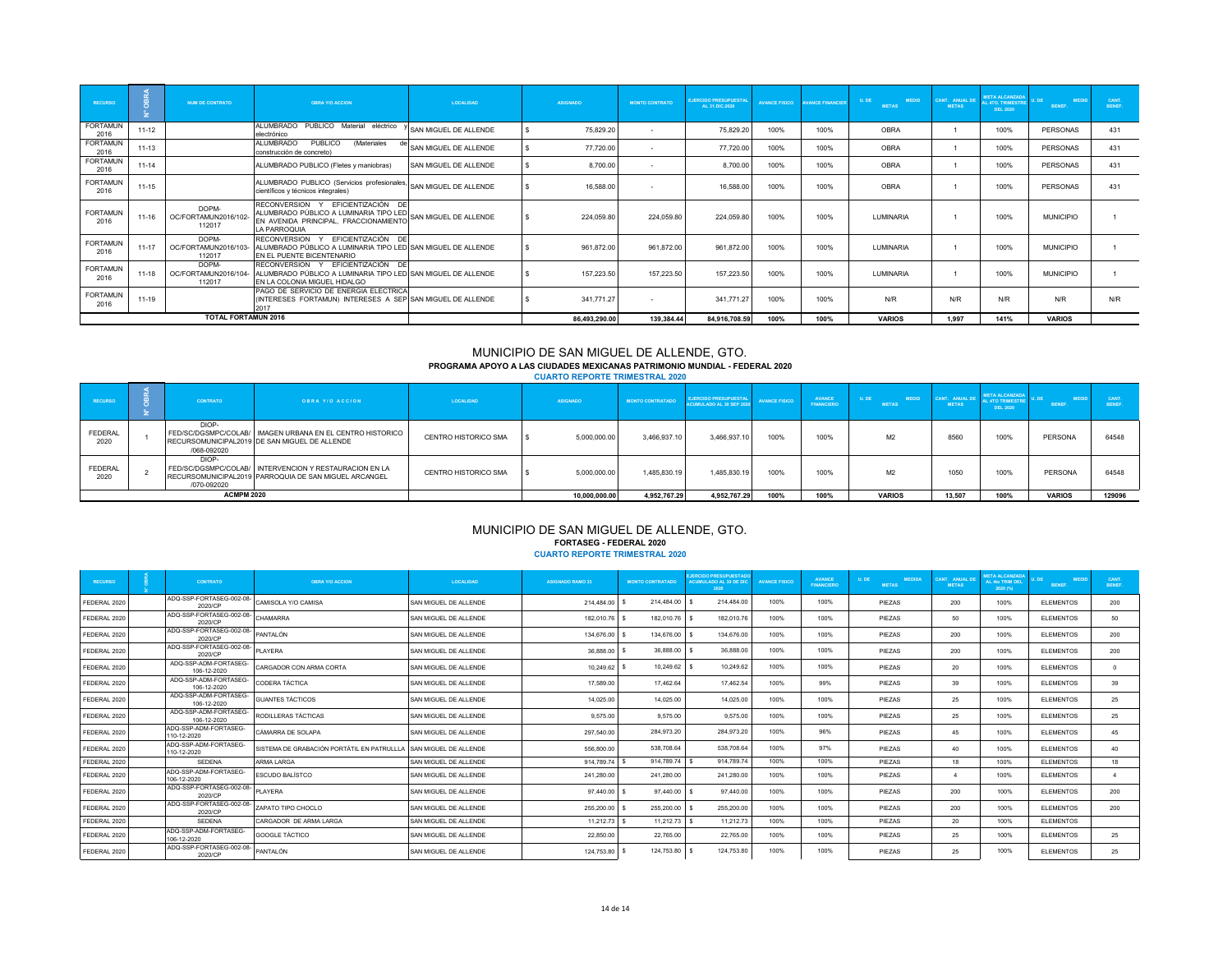| <b>RECURSO</b>          |           | NUM DE CONTRATO                         | <b>OBRA Y/O ACCION</b>                                                                                                               | <b>LOCALIDAD</b>      | <b>ASIGNADO</b> | <b>MONTO CONTRATO</b> | <b>EJERCIDO PRESUPUESTAL</b><br>AL 31.DIC.2020 | <b>AVANCE FISICO</b> | <b>NVANCE EINANCIER</b> | U. DE<br><b>MEDID</b><br><b>METAS</b> | CANT. ANUAL DE<br><b>METAS</b> | <b>META ALCANZADA</b><br><b>L 4TO, TRIMESTRE</b><br><b>DEL 2020</b> | <b>MEDID</b><br><b>RENEE</b> | CANT.<br><b>RENEE</b> |
|-------------------------|-----------|-----------------------------------------|--------------------------------------------------------------------------------------------------------------------------------------|-----------------------|-----------------|-----------------------|------------------------------------------------|----------------------|-------------------------|---------------------------------------|--------------------------------|---------------------------------------------------------------------|------------------------------|-----------------------|
| <b>FORTAMUN</b><br>2016 | $11 - 12$ |                                         | ALUMBRADO PUBLICO Material eléctrico<br>electrónico                                                                                  | SAN MIGUEL DE ALLENDE | 75,829.20       | ٠.                    | 75,829.20                                      | 100%                 | 100%                    | OBRA                                  |                                | 100%                                                                | PERSONAS                     | 431                   |
| <b>FORTAMUN</b><br>2016 | $11 - 13$ |                                         | PUBLICO<br>ALUMBRADO<br>(Materiales<br>construcción de concreto)                                                                     | SAN MIGUEL DE ALLENDE | 77,720.00       |                       | 77,720.00                                      | 100%                 | 100%                    | OBRA                                  |                                | 100%                                                                | PERSONAS                     | 431                   |
| <b>FORTAMUN</b><br>2016 | $11 - 14$ |                                         | ALUMBRADO PUBLICO (Fletes y maniobras)                                                                                               | SAN MIGUEL DE ALLENDE | 8,700.00        |                       | 8,700.00                                       | 100%                 | 100%                    | <b>OBRA</b>                           |                                | 100%                                                                | PERSONAS                     | 431                   |
| <b>FORTAMUN</b><br>2016 | 11-15     |                                         | ALUMBRADO PUBLICO (Servicios profesionales,<br>científicos y técnicos integrales)                                                    | SAN MIGUEL DE ALLENDE | 16,588.00       | ٠                     | 16,588.00                                      | 100%                 | 100%                    | OBRA                                  |                                | 100%                                                                | PERSONAS                     | 431                   |
| <b>FORTAMUN</b><br>2016 | $11 - 16$ | DOPM-<br>OC/FORTAMUN2016/102-<br>112017 | RECONVERSION Y EFICIENTIZACIÓN DE<br>ALUMBRADO PÚBLICO A LUMINARIA TIPO LED<br>EN AVENIDA PRINCIPAL, FRACCIONAMIENTO<br>LA PARROQUIA | SAN MIGUEL DE ALLENDE | 224,059.80      | 224,059.80            | 224,059.80                                     | 100%                 | 100%                    | <b>I UMINARIA</b>                     |                                | 100%                                                                | <b>MUNICIPIO</b>             |                       |
| <b>FORTAMUN</b><br>2016 | $11 - 17$ | DOPM-<br>OC/FORTAMUN2016/103-<br>112017 | RECONVERSION Y EFICIENTIZACIÓN DE<br>ALUMBRADO PÚBLICO A LUMINARIA TIPO LED SAN MIGUEL DE ALLENDE<br>EN EL PUENTE BICENTENARIO       |                       | 961,872.00      | 961,872.00            | 961,872.00                                     | 100%                 | 100%                    | <b>LUMINARIA</b>                      |                                | 100%                                                                | <b>MUNICIPIO</b>             |                       |
| <b>FORTAMUN</b><br>2016 | $11 - 18$ | DOPM-<br>OC/FORTAMUN2016/104-<br>112017 | RECONVERSION Y EFICIENTIZACIÓN DE<br>ALUMBRADO PÚBLICO A LUMINARIA TIPO LED SAN MIGUEL DE ALLENDE<br>EN LA COLONIA MIGUEL HIDALGO    |                       | 157.223.50      | 157,223.50            | 157,223.50                                     | 100%                 | 100%                    | <b>I UMINARIA</b>                     |                                | 100%                                                                | <b>MUNICIPIO</b>             |                       |
| <b>FORTAMUN</b><br>2016 | $11 - 19$ |                                         | PAGO DE SERVICIO DE ENERGIA ELECTRICA<br>(INTERESES FORTAMUN) INTERESES A SEP SAN MIGUEL DE ALLENDE<br>2017                          |                       | 341,771.27      | $\sim$                | 341.771.27                                     | 100%                 | 100%                    | N/R                                   | N/R                            | N/R                                                                 | N/R                          | N/R                   |
|                         |           | <b>TOTAL FORTAMUN 2016</b>              |                                                                                                                                      |                       | 86,493,290.00   | 139,384.44            | 84,916,708.59                                  | 100%                 | 100%                    | <b>VARIOS</b>                         | 1.997                          | 141%                                                                | <b>VARIOS</b>                |                       |

# MUNICIPIO DE SAN MIGUEL DE ALLENDE, GTO. **PROGRAMA APOYO A LAS CIUDADES MEXICANAS PATRIMONIO MUNDIAL - FEDERAL 2020 CUARTO REPORTE TRIMESTRAL 2020**

| <b>RECURSO</b>         | <b>CONTRATO</b>      | <b>OBRA Y/O ACCION</b>                                                                                          | LOCALIDAD            | <b>ASIGNADO</b> | <b>MONTO CONTRATADO</b> | <b>EJERCIDO PRESUPUESTAL</b><br><b>ACUMULADO AL 30 SEP 2020</b> | <b>AVANCE FISICO</b> | AVANCE<br><b>FINANCIERO</b> | <b>MEDID</b><br><b>ULDE</b><br><b>METAS</b> | <b>CANT. ANUAL DE</b><br><b>METAS</b> | <b>META ALCANZADA</b><br><b>AL 4TO TRIMESTRE</b><br>DEL 2020 | <b>BENEF</b>  | <b>CANT</b><br>BENEF. |
|------------------------|----------------------|-----------------------------------------------------------------------------------------------------------------|----------------------|-----------------|-------------------------|-----------------------------------------------------------------|----------------------|-----------------------------|---------------------------------------------|---------------------------------------|--------------------------------------------------------------|---------------|-----------------------|
| <b>FEDERAL</b><br>2020 | DIOP-<br>/068-092020 | FED/SC/DGSMPC/COLAB/   IMAGEN URBANA EN EL CENTRO HISTORICO<br>RECURSOMUNICIPAL2019 DE SAN MIGUEL DE ALLENDE    | CENTRO HISTORICO SMA | 5,000,000.00    | 3,466,937.10            | 3.466.937.10                                                    | 100%                 | 100%                        | M <sub>2</sub>                              | 8560                                  | 100%                                                         | PERSONA       | 64548                 |
| <b>FEDERAL</b><br>2020 | DIOP-<br>/070-092020 | FED/SC/DGSMPC/COLAB/ INTERVENCION Y RESTAURACION EN LA<br>RECURSOMUNICIPAL2019 PARROQUIA DE SAN MIGUEL ARCANGEL | CENTRO HISTORICO SMA | 5.000.000.00    | 1.485.830.19            | 1.485.830.19                                                    | 100%                 | 100%                        | M <sup>2</sup>                              | 1050                                  | 100%                                                         | PERSONA       | 64548                 |
|                        | <b>ACMPM 2020</b>    |                                                                                                                 |                      | 10.000.000.00   | 4.952.767.29            | 4.952.767.29                                                    | 100%                 | 100%                        | <b>VARIOS</b>                               | 13.507                                | 100%                                                         | <b>VARIOS</b> | 129096                |

# MUNICIPIO DE SAN MIGUEL DE ALLENDE, GTO. **FORTASEG - FEDERAL 2020 CUARTO REPORTE TRIMESTRAL 2020**

| <b>RECURSO</b> | <b>CONTRATO</b>                              | <b>OBRA Y/O ACCION</b>                     | <b>LOCALIDAD</b>      | <b>ASIGNADO RAMO 33</b> | <b>MONTO CONTRATADO</b> | <b>JERCIDO PRESUPUESTADO</b><br><b>ACUMULADO AL 30 DE DIC</b><br>2020 | <b>AVANCE FISICO</b> | <b>AVANCE</b><br><b>FINANCIERO</b> | U. DE<br><b>MEDIDA</b><br><b>METAS</b> | <b>CANT. ANUAL DE</b><br><b>METAS</b> | <b>META ALCANZADA</b><br>AL 4to TRIM DEL<br>2020 (%) | <b>MEDID</b><br>BENEF. | CANT.<br>BENEF. |
|----------------|----------------------------------------------|--------------------------------------------|-----------------------|-------------------------|-------------------------|-----------------------------------------------------------------------|----------------------|------------------------------------|----------------------------------------|---------------------------------------|------------------------------------------------------|------------------------|-----------------|
| FEDERAL 2020   | ADQ-SSP-FORTASEG-002-08-<br>2020/CP          | CAMISOLA Y/O CAMISA                        | SAN MIGUEL DE ALLENDE | 214.484.00              | 214.484.00              | 214,484.00                                                            | 100%                 | 100%                               | PIEZAS                                 | 200                                   | 100%                                                 | <b>ELEMENTOS</b>       | 200             |
| FEDERAL 2020   | ADQ-SSP-FORTASEG-002-08-<br>2020/CP          | CHAMARRA                                   | SAN MIGUEL DE ALLENDE | 182.010.76              | 182.010.76              | 182.010.76                                                            | 100%                 | 100%                               | PIEZAS                                 | 50                                    | 100%                                                 | <b>ELEMENTOS</b>       | 50              |
| FEDERAL 2020   | ADQ-SSP-FORTASEG-002-08-<br>2020/CP          | <b>PANTALÓN</b>                            | SAN MIGUEL DE ALLENDE | 134,676.00              | 134.676.00              | 134.676.00                                                            | 100%                 | 100%                               | PIEZAS                                 | 200                                   | 100%                                                 | <b>ELEMENTOS</b>       | 200             |
| FEDERAL 2020   | ADQ-SSP-FORTASEG-002-08-<br>2020/CP          | PI AYERA                                   | SAN MIGUEL DE ALLENDE | 36,888.00               | 36,888.00               | 36,888.00                                                             | 100%                 | 100%                               | PIEZAS                                 | 200                                   | 100%                                                 | <b>ELEMENTOS</b>       | 200             |
| FEDERAL 2020   | ADO-SSP-ADM-FORTASEG-<br>106-12-2020         | CARGADOR CON ARMA CORTA                    | SAN MIGUEL DE ALLENDE | 10.249.62               | 10.249.62               | 10.249.62                                                             | 100%                 | 100%                               | PIEZAS                                 | 20                                    | 100%                                                 | <b>ELEMENTOS</b>       | $\Omega$        |
| FEDERAL 2020   | ADQ-SSP-ADM-FORTASEG-<br>106-12-2020         | CODERA TÁCTICA                             | SAN MIGUEL DE ALLENDE | 17,589.00               | 17.462.64               | 17,462.54                                                             | 100%                 | 99%                                | PIEZAS                                 | 39                                    | 100%                                                 | <b>ELEMENTOS</b>       | 39              |
| FEDERAL 2020   | ADQ-SSP-ADM-FORTASEG-<br>106-12-2020         | <b>GUANTES TÁCTICOS</b>                    | SAN MIGUEL DE ALLENDE | 14.025.00               | 14.025.00               | 14.025.00                                                             | 100%                 | 100%                               | PIEZAS                                 | 25                                    | 100%                                                 | <b>ELEMENTOS</b>       | 25              |
| FEDERAL 2020   | ADQ-SSP-ADM-FORTASEG-<br>106-12-2020         | RODILLERAS TÁCTICAS                        | SAN MIGUEL DE ALLENDE | 9.575.00                | 9.575.00                | 9.575.00                                                              | 100%                 | 100%                               | PIEZAS                                 | 25                                    | 100%                                                 | <b>ELEMENTOS</b>       | 25              |
| FEDERAL 2020   | ADQ-SSP-ADM-FORTASEG-<br>110-12-2020         | CÁMARRA DE SOLAPA                          | SAN MIGUEL DE ALLENDE | 297.540.00              | 284.973.20              | 284.973.20                                                            | 100%                 | 96%                                | PIEZAS                                 | 45                                    | 100%                                                 | <b>ELEMENTOS</b>       | 45              |
| FEDERAL 2020   | ADQ-SSP-ADM-FORTASEG-<br>110-12-2020         | SISTEMA DE GRABACIÓN PORTÁTIL EN PATRULLLA | SAN MIGUEL DE ALLENDE | 556,800.00              | 538,708.64              | 538,708.64                                                            | 100%                 | 97%                                | PIEZAS                                 | 40                                    | 100%                                                 | <b>ELEMENTOS</b>       | 40              |
| FEDERAL 2020   | SEDENA                                       | <b>ARMA LARGA</b>                          | SAN MIGUEL DE ALLENDE | 914.789.74              | 914,789.74              | 914,789.74                                                            | 100%                 | 100%                               | PIEZAS                                 | 18                                    | 100%                                                 | <b>ELEMENTOS</b>       | 18              |
| FEDERAL 2020   | ADQ-SSP-ADM-FORTASEG-<br>106-12-2020         | <b>ESCUDO BALÍSTCO</b>                     | SAN MIGUEL DE ALLENDE | 241.280.00              | 241,280.00              | 241,280.00                                                            | 100%                 | 100%                               | PIEZAS                                 |                                       | 100%                                                 | <b>ELEMENTOS</b>       |                 |
| FEDERAL 2020   | ADQ-SSP-FORTASEG-002-08-<br>2020/CP          | PLAYERA                                    | SAN MIGUEL DE ALLENDE | 97.440.00               | 97,440.00               | 97,440.00                                                             | 100%                 | 100%                               | PIEZAS                                 | 200                                   | 100%                                                 | <b>ELEMENTOS</b>       | 200             |
| FEDERAL 2020   | ADQ-SSP-FORTASEG-002-08-<br>2020/CP          | ZAPATO TIPO CHOCLO                         | SAN MIGUEL DE ALLENDE | 255.200.00              | 255,200.00              | 255,200.00                                                            | 100%                 | 100%                               | PIEZAS                                 | 200                                   | 100%                                                 | <b>ELEMENTOS</b>       | 200             |
| FEDERAL 2020   | <b>SEDENA</b>                                | CARGADOR DE ARMA LARGA                     | SAN MIGUEL DE ALLENDE | 11.212.73               | 11.212.73               | 11.212.73                                                             | 100%                 | 100%                               | PIEZAS                                 | 20                                    | 100%                                                 | <b>ELEMENTOS</b>       |                 |
| FEDERAL 2020   | ADO-SSP-ADM-FORTASEG-<br>106-12-2020         | GOOGLE TÁCTICO                             | SAN MIGUEL DE ALLENDE | 22,850.00               | 22.765.00               | 22,765.00                                                             | 100%                 | 100%                               | PIEZAS                                 | 25                                    | 100%                                                 | <b>ELEMENTOS</b>       | 25              |
| FEDERAL 2020   | ADQ-SSP-FORTASEG-002-08- PANTALÓN<br>2020/CP |                                            | SAN MIGUEL DE ALLENDE | 124,753.80              | 124.753.80              | 124,753.80                                                            | 100%                 | 100%                               | PIEZAS                                 | 25                                    | 100%                                                 | <b>ELEMENTOS</b>       | 25              |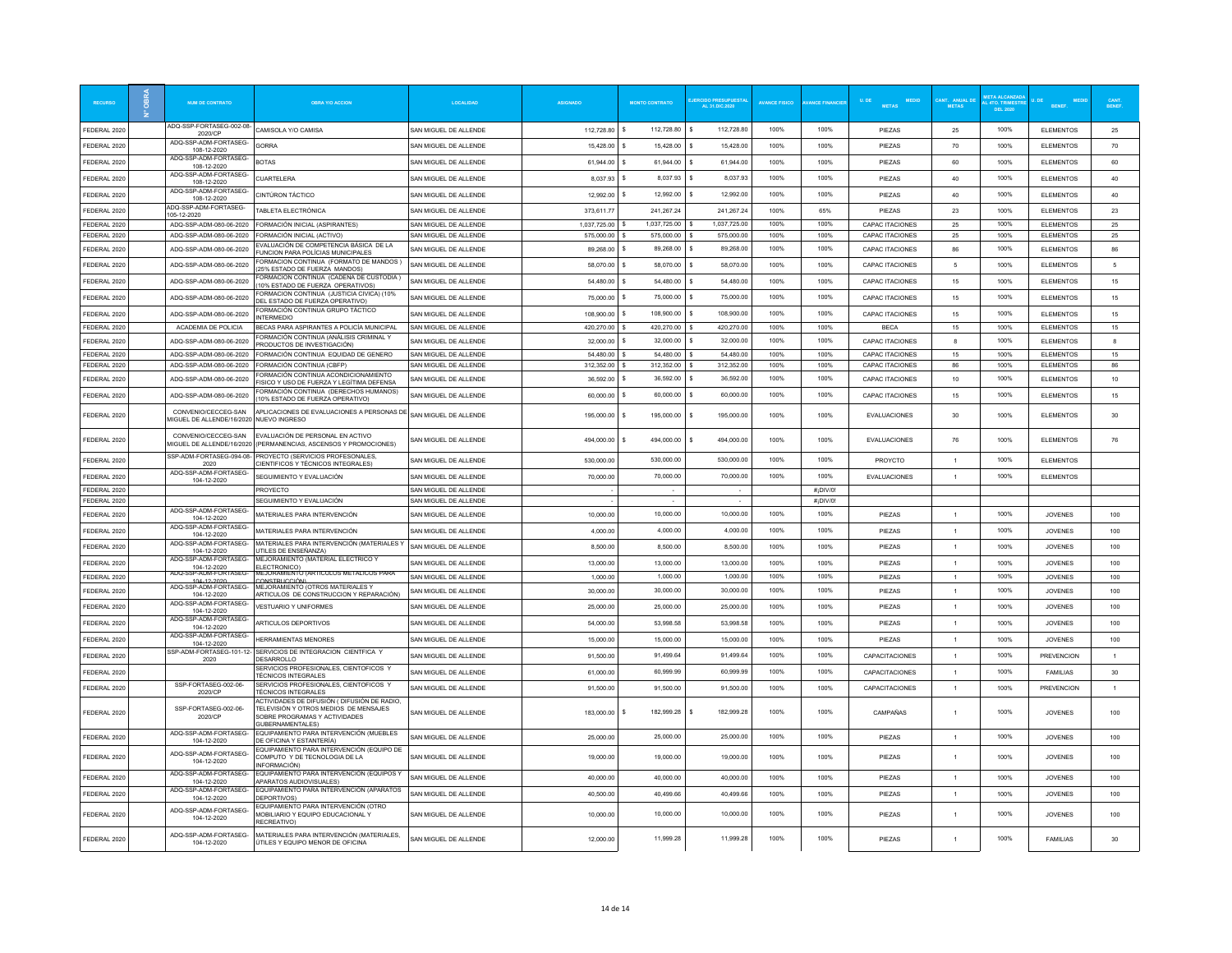|                              | <b>NUM DE CONTRATO</b>                                        | <b>ORRA Y/O ACCION</b>                                                                                                 | <b>OCALIDAD</b>                                | <b>ASIGNADO</b>            | <b>MONTO CONTRATO</b>      | RCIDO PRESUPUESTA:<br>AL 31.DIC.2020 | <b>AVANCE FISICO</b> | <b>ANCE FINANCIE</b> | U.DE<br>MEDIC<br><b>METAS</b>      | <b>METAS</b>   | <b>4TO, TRIME!</b><br><b>DEL 2020</b> |                                      |                 |
|------------------------------|---------------------------------------------------------------|------------------------------------------------------------------------------------------------------------------------|------------------------------------------------|----------------------------|----------------------------|--------------------------------------|----------------------|----------------------|------------------------------------|----------------|---------------------------------------|--------------------------------------|-----------------|
| FEDERAL 2020                 | ADQ-SSP-FORTASEG-002-08-<br>2020/CP                           | CAMISOLA Y/O CAMISA                                                                                                    | SAN MIGUEL DE ALLENDE                          | 112,728.80                 | 112,728.80<br>s            | 112,728.80<br>$\mathbf{s}$           | 100%                 | 100%                 | PIEZAS                             | 25             | 100%                                  | <b>ELEMENTOS</b>                     | 25              |
| FEDERAL 2020                 | ADQ-SSP-ADM-FORTASEG-<br>108-12-2020                          | <b>GORRA</b>                                                                                                           | SAN MIGUEL DE ALLENDE                          | 15.428.00                  | 15,428.00                  | 15,428.00                            | 100%                 | 100%                 | PIEZAS                             | 70             | 100%                                  | <b>ELEMENTOS</b>                     | 70              |
| FEDERAL 2020                 | ADQ-SSP-ADM-FORTASEG-                                         | <b>BOTAS</b>                                                                                                           | SAN MIGUEL DE ALLENDE                          | 61.944.00                  | 61.944.00                  | 61.944.00                            | 100%                 | 100%                 | PIEZAS                             | 60             | 100%                                  | <b>ELEMENTOS</b>                     | 60              |
| FEDERAL 2020                 | 108-12-2020<br>ADQ-SSP-ADM-FORTASEG-                          | <b>CUARTELERA</b>                                                                                                      | SAN MIGUEL DE ALLENDE                          | 8,037.93                   | 8,037.93                   | 8,037.93                             | 100%                 | 100%                 | PIEZAS                             | 40             | 100%                                  | <b>ELEMENTOS</b>                     | 40              |
|                              | 108-12-2020<br>ADQ-SSP-ADM-FORTASEG                           |                                                                                                                        |                                                |                            | 12.992.00                  | 12,992.00                            | 100%                 | 100%                 |                                    |                | 100%                                  |                                      |                 |
| FEDERAL 2020                 | 108-12-2020<br>ADQ-SSP-ADM-FORTASEG-                          | CINTÚRON TÁCTICO                                                                                                       | SAN MIGUEL DE ALLENDE                          | 12.992.00                  |                            |                                      |                      |                      | PIEZAS                             | 40             |                                       | <b>ELEMENTOS</b>                     | 40              |
| FEDERAL 2020                 | 05-12-2020                                                    | TABLETA ELECTRÓNICA                                                                                                    | SAN MIGUEL DE ALLENDE                          | 373,611.77                 | 241 267 24                 | 241 267 24                           | 100%                 | 65%                  | PIEZAS                             | 23             | 100%                                  | <b>ELEMENTOS</b>                     | 23              |
| FEDERAL 2020<br>FEDERAL 2020 | ADQ-SSP-ADM-080-06-2020<br>ADQ-SSP-ADM-080-06-2020            | FORMACIÓN INICIAL (ASPIRANTES)<br>ORMACIÓN INICIAL (ACTIVO)                                                            | SAN MIGUEL DE ALLENDE<br>SAN MIGUEL DE ALLENDE | 1,037,725.00<br>575,000.00 | 1,037,725.00<br>575,000.00 | 1.037.725.00<br>575,000.00           | 100%<br>100%         | 100%<br>100%         | CAPAC ITACIONES<br>CAPAC ITACIONES | 25<br>25       | 100%<br>100%                          | <b>ELEMENTOS</b><br><b>ELEMENTOS</b> | 25<br>25        |
| FEDERAL 2020                 | ADO-SSP-ADM-080-06-2020                                       | VALUACIÓN DE COMPETENCIA BÁSICA DE LA                                                                                  | SAN MIGUEL DE ALLENDE                          | 89,268.00                  | 89.268.00                  | 89,268.00                            | 100%                 | 100%                 | <b>CAPAC ITACIONES</b>             | 86             | 100%                                  | <b>FI EMENTOS</b>                    | 86              |
|                              |                                                               | UNCION PARA POLÍCIAS MUNICIPALES<br>ORMACION CONTINUA (FORMATO DE MANDOS)                                              |                                                |                            | 58,070.00                  | 58.070.00                            | 100%                 | 100%                 |                                    | 5              | 100%                                  |                                      | 5               |
| FEDERAL 2020                 | ADQ-SSP-ADM-080-06-2020                                       | 25% ESTADO DE FUERZA MANDOS)<br>ORMACION CONTINUA (CADENA DE CUSTODIA)                                                 | SAN MIGUEL DE ALLENDE                          | 58,070.00                  |                            |                                      |                      |                      | CAPAC ITACIONES                    |                |                                       | <b>ELEMENTOS</b>                     |                 |
| FEDERAL 2020                 | ADQ-SSP-ADM-080-06-2020                                       | 10% ESTADO DE FUERZA OPERATIVOS)                                                                                       | SAN MIGUEL DE ALLENDE                          | 54,480.00                  | 54,480.00                  | 54,480.00                            | 100%                 | 100%                 | <b>CAPAC ITACIONES</b>             | 15             | 100%                                  | <b>ELEMENTOS</b>                     | 15              |
| FEDERAL 2020                 | ADQ-SSP-ADM-080-06-2020                                       | ORMACION CONTINUA (JUSTICIA CIVICA) (10%<br>DEL ESTADO DE FUERZA OPERATIVO)                                            | SAN MIGUEL DE ALLENDE                          | 75,000.00                  | 75,000.00                  | 75,000.00                            | 100%                 | 100%                 | <b>CAPAC ITACIONES</b>             | 15             | 100%                                  | <b>ELEMENTOS</b>                     | 15              |
| FEDERAL 2020                 | ADQ-SSP-ADM-080-06-2020                                       | FORMACIÓN CONTINUA GRUPO TÁCTICO<br><b>INTERMEDIO</b>                                                                  | SAN MIGUEL DE ALLENDE                          | 108,900.00 \$              | 108,900.00                 | 108,900.00                           | 100%                 | 100%                 | CAPAC ITACIONES                    | 15             | 100%                                  | <b>ELEMENTOS</b>                     | 15              |
| FEDERAL 2020                 | ACADEMIA DE POLICIA                                           | BECAS PARA ASPIRANTES A POLICÍA MUNICIPAL                                                                              | SAN MIGUEL DE ALLENDE                          | 420.270.00                 | 420,270.00                 | 420.270.00                           | 100%                 | 100%                 | <b>BECA</b>                        | 15             | 100%                                  | <b>ELEMENTOS</b>                     | 15              |
| FEDERAL 2020                 | ADO-SSP-ADM-080-06-2020                                       | ORMACIÓN CONTINUA (ANÁLISIS CRIMINAL Y<br>PRODUCTOS DE INVESTIGACIÓN)                                                  | SAN MIGUEL DE ALLENDE                          | 32,000.00                  | 32,000.00                  | 32,000.00                            | 100%                 | 100%                 | CAPAC ITACIONES                    | $\mathbf{R}$   | 100%                                  | <b>FI EMENTOS</b>                    | 8               |
| FEDERAL 2020                 | ADO-SSP-ADM-080-06-2020                                       | FORMACIÓN CONTINUA EQUIDAD DE GENERO                                                                                   | SAN MIGUEL DE ALLENDE                          | 54 480 00                  | 54 480 00                  | 54 480 00                            | 100%                 | 100%                 | CAPAC ITACIONES                    | 15             | 100%                                  | <b>ELEMENTOS</b>                     | 15              |
| FEDERAL 2020                 | ADQ-SSP-ADM-080-06-2020                                       | FORMACIÓN CONTINUA (CBFP)<br>ORMACIÓN CONTINUA ACONDICIONAMIENTO                                                       | SAN MIGUEL DE ALLENDE                          | 312,352.00                 | 312,352.00                 | 312,352.00                           | 100%                 | 100%                 | CAPAC ITACIONES                    | 86             | 100%                                  | <b>ELEMENTOS</b>                     | 86              |
| FEDERAL 2020                 | ADQ-SSP-ADM-080-06-2020                                       | FISICO Y USO DE FUERZA Y LEGÍTIMA DEFENSA                                                                              | SAN MIGUEL DE ALLENDE                          | 36,592.00                  | 36,592.00                  | 36,592.00                            | 100%                 | 100%                 | CAPAC ITACIONES                    | 10             | 100%                                  | <b>ELEMENTOS</b>                     | 10              |
| FEDERAL 2020                 | ADQ-SSP-ADM-080-06-2020                                       | ORMACIÓN CONTINUA (DERECHOS HUMANOS)<br>0% ESTADO DE FUERZA OPERATIVO)                                                 | SAN MIGUEL DE ALLENDE                          | 60,000.00                  | 60,000.00                  | 60,000.00                            | 100%                 | 100%                 | <b>CAPAC ITACIONES</b>             | 15             | 100%                                  | <b>ELEMENTOS</b>                     | 15              |
| FEDERAL 2020                 | CONVENIO/CECCEG-SAN<br><b>IIGUEL DE ALLENDE/16/2020</b>       | APLICACIONES DE EVALUACIONES A PERSONAS DE<br>NUEVO INGRESO                                                            | SAN MIGUEL DE ALLENDE                          | 195,000.00                 | 195.000.00<br>-S           | 195,000.00                           | 100%                 | 100%                 | <b>EVALUACIONES</b>                | 30             | 100%                                  | <b>ELEMENTOS</b>                     | 30              |
| FEDERAL 2020                 | CONVENIO/CECCEG-SAN                                           | EVALUACIÓN DE PERSONAL EN ACTIVO<br>MIGUEL DE ALLENDE/16/2020 (PERMANENCIAS ASCENSOS Y PROMOCIONES)                    | SAN MIGUEL DE ALLENDE                          | 494.000.00                 | 494.000.00                 | 494.000.00                           | 100%                 | 100%                 | <b>EVALUACIONES</b>                | 76             | 100%                                  | <b>ELEMENTOS</b>                     | 76              |
| FEDERAL 2020                 | SSP-ADM-FORTASEG-094-08-<br>2020                              | PROYECTO (SERVICIOS PROFESONALES,<br>CIENTIFICOS Y TÉCNICOS INTEGRALES)                                                | SAN MIGUEL DE ALLENDE                          | 530,000.00                 | 530,000.00                 | 530,000.00                           | 100%                 | 100%                 | PROYCTO                            |                | 100%                                  | <b>ELEMENTOS</b>                     |                 |
| FEDERAL 2020                 | ADQ-SSP-ADM-FORTASEG-<br>104-12-2020                          | SEGUIMIENTO Y EVALUACIÓN                                                                                               | SAN MIGUEL DE ALLENDE                          | 70,000.00                  | 70,000.00                  | 70,000.00                            | 100%                 | 100%                 | EVALUACIONES                       | $\overline{1}$ | 100%                                  | <b>ELEMENTOS</b>                     |                 |
| FEDERAL 2020                 |                                                               | <b>PROYECTO</b>                                                                                                        | SAN MIGUEL DE ALLENDE                          |                            |                            |                                      |                      | #¡DIV/0!             |                                    |                |                                       |                                      |                 |
| FEDERAL 2020                 |                                                               | SEGUIMIENTO Y EVALUACIÓN                                                                                               | SAN MIGUEL DE ALLENDE                          |                            |                            |                                      |                      | #¡DIV/0!             |                                    |                |                                       |                                      |                 |
| FEDERAL 2020                 | ADQ-SSP-ADM-FORTASEG-<br>104-12-2020                          | MATERIALES PARA INTERVENCIÓN                                                                                           | SAN MIGUEL DE ALLENDE                          | 10,000.00                  | 10,000.00                  | 10,000.00                            | 100%                 | 100%                 | PIEZAS                             | $\overline{1}$ | 100%                                  | <b>JOVENES</b>                       | 100             |
| FEDERAL 2020                 | ADQ-SSP-ADM-FORTASEG-<br>104-12-2020                          | MATERIALES PARA INTERVENCIÓN                                                                                           | SAN MIGUEL DE ALLENDE                          | 4,000.00                   | 4.000.00                   | 4.000.00                             | 100%                 | 100%                 | <b>PIFZAS</b>                      | $\overline{1}$ | 100%                                  | JOVENES                              | 100             |
| FEDERAL 2020                 | ADQ-SSP-ADM-FORTASEG-<br>104-12-2020                          | MATERIALES PARA INTERVENCIÓN (MATERIALES Y<br>UTILES DE ENSEÑANZA)                                                     | SAN MIGUEL DE ALLENDE                          | 8,500.00                   | 8,500.00                   | 8,500.00                             | 100%                 | 100%                 | PIEZAS                             | $\overline{1}$ | 100%                                  | <b>JOVENES</b>                       | 100             |
| FEDERAL 2020                 | ADQ-SSP-ADM-FORTASEG                                          | MEJORAMIENTO (MATERIAL ELECTRICO Y                                                                                     | AN MIGUEL DE ALLENDE                           | 13,000.00                  | 13,000.00                  | 13,000.00                            | 100%                 | 100%                 | PIEZAS                             | $\overline{1}$ | 100%                                  | <b>JOVENES</b>                       | 100             |
| FEDERAL 2020                 | 104-12-2020<br>ADQ-SSP-ADM-FORTASEG-                          | <b>FLECTRONICO)</b><br>MEJORAMIENTO (ARTICULOS METALICOS PARA                                                          | SAN MIGUEL DE ALLENDE                          | 1,000.00                   | 1,000.00                   | 1,000.00                             | 100%                 | 100%                 | <b>PIFZAS</b>                      | $\overline{1}$ | 100%                                  | <b>JOVENES</b>                       | 100             |
| FEDERAL 2020                 | ADQ-SSP-ADM-FORTASEG-                                         | MEJORAMIENTO (OTROS MATERIALES Y                                                                                       | SAN MIGUEL DE ALLENDE                          | 30,000.00                  | 30,000.00                  | 30,000.00                            | 100%                 | 100%                 | PIEZAS                             | $\overline{1}$ | 100%                                  | <b>JOVENES</b>                       | 100             |
| FEDERAL 2020                 | 104-12-2020<br>ADQ-SSP-ADM-FORTASEG-                          | ARTICULOS DE CONSTRUCCION Y REPARACIÓN)<br><b>VESTUARIO Y UNIFORMES</b>                                                | SAN MIGUEL DE ALLENDE                          | 25,000.00                  | 25,000.00                  | 25,000.00                            | 100%                 | 100%                 | PIEZAS                             | $\overline{1}$ | 100%                                  | <b>JOVENES</b>                       | 100             |
|                              | 104-12-2020<br>ADQ-SSP-ADM-FORTASEG-                          |                                                                                                                        |                                                |                            | 53 998 58                  | 53 998 58                            | 100%                 | 100%                 |                                    | $\overline{1}$ | 100%                                  |                                      |                 |
| FEDERAL 202                  | 104-12-2020<br>ADQ-SSP-ADM-FORTASEG-                          | ARTICULOS DEPORTIVOS                                                                                                   | SAN MIGUEL DE ALLENDE                          | 54,000.00                  |                            |                                      |                      |                      | PIEZAS                             |                |                                       | <b>JOVENES</b>                       | 100             |
| FEDERAL 2020                 | 104-12-2020                                                   | <b>HERRAMIENTAS MENORES</b>                                                                                            | SAN MIGUEL DE ALLENDE                          | 15,000.00                  | 15,000.00                  | 15,000.00                            | 100%                 | 100%                 | PIEZAS                             | $\overline{1}$ | 100%                                  | <b>JOVENES</b>                       | 100             |
| FEDERAL 2020                 | SSP-ADM-FORTASEG-101-12-<br>2020                              | SERVICIOS DE INTEGRACION CIENTFICA Y<br>DESARROLLO                                                                     | SAN MIGUEL DE ALLENDE                          | 91.500.00                  | 91,499.64                  | 91,499.64                            | 100%                 | 100%                 | CAPACITACIONES                     | 1              | 100%                                  | <b>PREVENCION</b>                    | 1               |
| FEDERAL 2020                 |                                                               | SERVICIOS PROFESIONALES, CIENTOFICOS Y<br><b>TÉCNICOS INTEGRALES</b>                                                   | SAN MIGUEL DE ALLENDE                          | 61.000.00                  | 60,999.99                  | 60.999.99                            | 100%                 | 100%                 | CAPACITACIONES                     | $\overline{1}$ | 100%                                  | <b>FAMILIAS</b>                      | 30 <sub>o</sub> |
| FEDERAL 2020                 | SSP-FORTASEG-002-06-<br>2020/CP                               | SERVICIOS PROFESIONALES, CIENTOFICOS Y<br>TÉCNICOS INTEGRALES                                                          | SAN MIGUEL DE ALLENDE                          | 91.500.00                  | 91.500.00                  | 91.500.00                            | 100%                 | 100%                 | CAPACITACIONES                     | $\overline{1}$ | 100%                                  | <b>PREVENCION</b>                    | $\mathbf{1}$    |
| FEDERAL 2020                 | SSP-FORTASEG-002-06-<br>2020/CP                               | ACTIVIDADES DE DIFUSIÓN ( DIFUSIÓN DE RADIO,<br>TELEVISIÓN Y OTROS MEDIOS DE MENSAJES<br>SOBRE PROGRAMAS Y ACTIVIDADES | SAN MIGUEL DE ALLENDE                          | 183,000.00 \$              | 182.999.28                 | 182.999.28                           | 100%                 | 100%                 | CAMPAÑAS                           |                | 100%                                  | <b>JOVENES</b>                       | 100             |
| FEDERAL 202                  | ADQ-SSP-ADM-FORTASEG-                                         | GUBERNAMENTALES)<br>EQUIPAMIENTO PARA INTERVENCIÓN (MUEBLES                                                            | SAN MIGUEL DE ALLENDE                          | 25,000.00                  | 25,000.00                  | 25,000.00                            | 100%                 | 100%                 | PIEZAS                             |                | 100%                                  | <b>JOVENES</b>                       | 100             |
|                              | 104-12-2020                                                   | DE OFICINA Y ESTANTERÍA)<br>EQUIPAMIENTO PARA INTERVENCIÓN (EQUIPO DE                                                  |                                                |                            |                            |                                      |                      |                      |                                    |                |                                       |                                      |                 |
| FEDERAL 2020                 | ADQ-SSP-ADM-FORTASEG-<br>104-12-2020<br>ADQ-SSP-ADM-FORTASEG- | COMPUTO Y DE TECNOLOGIA DE LA<br>INFORMACIÓN)<br>EQUIPAMIENTO PARA INTERVENCIÓN (EQUIPOS Y                             | SAN MIGUEL DE ALLENDE                          | 19,000.00                  | 19,000.00                  | 19,000.00                            | 100%                 | 100%                 | PIEZAS                             |                | 100%                                  | <b>JOVENES</b>                       | 100             |
| FEDERAL 2020                 | 104-12-2020                                                   | APARATOS AUDIOVISUALES)                                                                                                | SAN MIGUEL DE ALLENDE                          | 40,000.00                  | 40,000.00                  | 40,000.00                            | 100%                 | 100%                 | PIEZAS                             | $\overline{1}$ | 100%                                  | <b>JOVENES</b>                       | 100             |
| FEDERAL 2020                 | ADQ-SSP-ADM-FORTASEG-<br>104-12-2020                          | EQUIPAMIENTO PARA INTERVENCIÓN (APARATOS<br>DEPORTIVOS)                                                                | SAN MIGUEL DE ALLENDE                          | 40.500.00                  | 40.499.66                  | 40.499.66                            | 100%                 | 100%                 | <b>PIFZAS</b>                      | $\overline{1}$ | 100%                                  | <b>JOVENES</b>                       | 100             |
| FEDERAL 2020                 | ADQ-SSP-ADM-FORTASEG-<br>104-12-2020                          | EQUIPAMIENTO PARA INTERVENCIÓN (OTRO<br>MOBILIARIO Y EQUIPO EDUCACIONAL Y<br>RECREATIVO!                               | SAN MIGUEL DE ALLENDE                          | 10,000.00                  | 10.000.00                  | 10,000.00                            | 100%                 | 100%                 | PIEZAS                             |                | 100%                                  | <b>JOVENES</b>                       | 100             |
| FEDERAL 2020                 | ADQ-SSP-ADM-FORTASEG-<br>104-12-2020                          | MATERIALES PARA INTERVENCIÓN (MATERIALES,<br>ÚTILES Y EQUIPO MENOR DE OFICINA                                          | SAN MIGUEL DE ALLENDE                          | 12.000.00                  | 11.999.28                  | 11.999.28                            | 100%                 | 100%                 | PIEZAS                             |                | 100%                                  | <b>FAMILIAS</b>                      | 30              |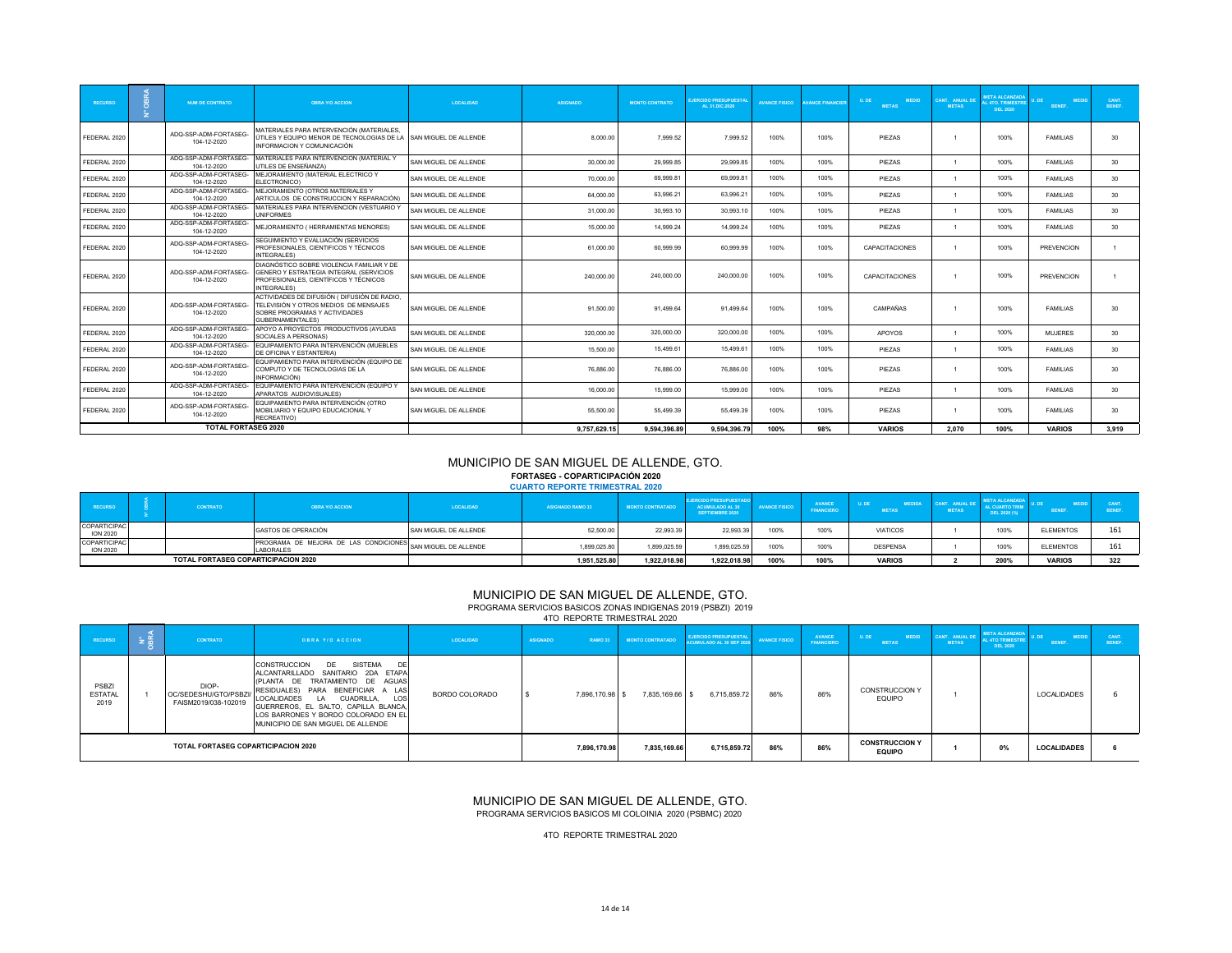| <b>RECURSO</b> | <b>NUM DE CONTRATO</b>               | <b>OBRA Y/O ACCION</b>                                                                                                                              | <b>LOCALIDAD</b>      | <b>ASIGNADO</b> | <b>MONTO CONTRATO</b> | <b>JERCIDO PRESUPUESTA</b><br>AL 31.DIC.2020 | <b>AVANCE FISICO</b> | <b>VANCE FINANCIEF</b> | <b>MEDID</b><br>U.DE<br><b>METAS</b> | CANT. ANUAL D<br><b>METAS</b> | <b>META ALCANZADA</b><br><b>L 4TO. TRIMESTRE</b><br><b>DEL 2020</b> | <b>MEDID</b><br>BENEF. | CANT.<br>BENEF. |
|----------------|--------------------------------------|-----------------------------------------------------------------------------------------------------------------------------------------------------|-----------------------|-----------------|-----------------------|----------------------------------------------|----------------------|------------------------|--------------------------------------|-------------------------------|---------------------------------------------------------------------|------------------------|-----------------|
| FEDERAL 2020   | ADQ-SSP-ADM-FORTASEG-<br>104-12-2020 | MATERIALES PARA INTERVENCIÓN (MATERIALES,<br>ÚTILES Y EQUIPO MENOR DE TECNOLOGIAS DE LA SAN MIGUEL DE ALLENDE<br>INFORMACION Y COMUNICACIÓN         |                       | 8.000.00        | 7.999.52              | 7,999.52                                     | 100%                 | 100%                   | PIEZAS                               |                               | 100%                                                                | <b>FAMILIAS</b>        | 30              |
| FEDERAL 2020   | ADQ-SSP-ADM-FORTASEG-<br>104-12-2020 | MATERIALES PARA INTERVENCION (MATERIAL Y<br>UTILES DE ENSEÑANZA)                                                                                    | SAN MIGUEL DE ALLENDE | 30,000.00       | 29.999.85             | 29.999.85                                    | 100%                 | 100%                   | PIEZAS                               | $\overline{1}$                | 100%                                                                | <b>FAMILIAS</b>        | 30              |
| FEDERAL 2020   | ADQ-SSP-ADM-FORTASEG-<br>104-12-2020 | MEJORAMIENTO (MATERIAL ELECTRICO Y<br>ELECTRONICO)                                                                                                  | SAN MIGUEL DE ALLENDE | 70,000.00       | 69,999.81             | 69,999.81                                    | 100%                 | 100%                   | PIEZAS                               | $\mathbf{1}$                  | 100%                                                                | <b>FAMILIAS</b>        | 30              |
| FEDERAL 2020   | ADQ-SSP-ADM-FORTASEG-<br>104-12-2020 | MEJORAMIENTO (OTROS MATERIALES Y<br>ARTICULOS DE CONSTRUCCION Y REPARACIÓN)                                                                         | SAN MIGUEL DE ALLENDE | 64,000.00       | 63,996.21             | 63,996.21                                    | 100%                 | 100%                   | PIEZAS                               | $\overline{1}$                | 100%                                                                | <b>FAMILIAS</b>        | 30              |
| FEDERAL 2020   | ADQ-SSP-ADM-FORTASEG-<br>104-12-2020 | MATERIALES PARA INTERVENCION (VESTUARIO Y<br><b>UNIFORMES</b>                                                                                       | SAN MIGUEL DE ALLENDE | 31,000.00       | 30,993.10             | 30,993.10                                    | 100%                 | 100%                   | PIEZAS                               | $\overline{1}$                | 100%                                                                | <b>FAMILIAS</b>        | 30              |
| FEDERAL 2020   | ADQ-SSP-ADM-FORTASEG-<br>104-12-2020 | MEJORAMIENTO ( HERRAMIENTAS MENORES)                                                                                                                | SAN MIGUEL DE ALLENDE | 15,000.00       | 14,999.24             | 14,999.24                                    | 100%                 | 100%                   | PIEZAS                               | $\mathbf{1}$                  | 100%                                                                | <b>FAMILIAS</b>        | 30              |
| FEDERAL 2020   | ADQ-SSP-ADM-FORTASEG-<br>104-12-2020 | SEGUIMIENTO Y EVALUACIÓN (SERVICIOS<br>PROFESIONALES, CIENTIFICOS Y TÉCNICOS<br>INTEGRALES)                                                         | SAN MIGUEL DE ALLENDE | 61,000.00       | 60.999.99             | 60.999.99                                    | 100%                 | 100%                   | CAPACITACIONES                       |                               | 100%                                                                | <b>PREVENCION</b>      |                 |
| FEDERAL 2020   | ADQ-SSP-ADM-FORTASEG-<br>104-12-2020 | DIAGNÓSTICO SOBRE VIOLENCIA FAMILIAR Y DE<br>GENERO Y ESTRATEGIA INTEGRAL (SERVICIOS<br>PROFESIONALES, CIENTÍFICOS Y TÉCNICOS<br><b>INTEGRALES)</b> | SAN MIGUEL DE ALLENDE | 240.000.00      | 240.000.00            | 240.000.00                                   | 100%                 | 100%                   | CAPACITACIONES                       |                               | 100%                                                                | <b>PREVENCION</b>      |                 |
| FEDERAL 2020   | ADQ-SSP-ADM-FORTASEG-<br>104-12-2020 | ACTIVIDADES DE DIFUSIÓN ( DIFUSIÓN DE RADIO,<br>TELEVISIÓN Y OTROS MEDIOS DE MENSAJES<br>SOBRE PROGRAMAS Y ACTIVIDADES<br>GUBERNAMENTALES)          | SAN MIGUEL DE ALLENDE | 91,500.00       | 91,499.64             | 91,499.64                                    | 100%                 | 100%                   | CAMPAÑAS                             |                               | 100%                                                                | <b>FAMILIAS</b>        | 30              |
| FEDERAL 2020   | ADQ-SSP-ADM-FORTASEG-<br>104-12-2020 | APOYO A PROYECTOS PRODUCTIVOS (AYUDAS<br>SOCIALES A PERSONAS)                                                                                       | SAN MIGUEL DE ALLENDE | 320,000.00      | 320,000.00            | 320,000.00                                   | 100%                 | 100%                   | <b>APOYOS</b>                        | $\overline{1}$                | 100%                                                                | <b>MUJERES</b>         | 30              |
| FEDERAL 2020   | ADQ-SSP-ADM-FORTASEG-<br>104-12-2020 | EQUIPAMIENTO PARA INTERVENCIÓN (MUEBLES<br>DE OFICINA Y ESTANTERIA)                                                                                 | SAN MIGUEL DE ALLENDE | 15,500.00       | 15,499.61             | 15,499.61                                    | 100%                 | 100%                   | PIEZAS                               | $\overline{1}$                | 100%                                                                | <b>FAMILIAS</b>        | 30              |
| FEDERAL 2020   | ADQ-SSP-ADM-FORTASEG-<br>104-12-2020 | EQUIPAMIENTO PARA INTERVENCIÓN (EQUIPO DE<br>COMPUTO Y DE TECNOLOGIAS DE LA<br>INFORMACIÓN)                                                         | SAN MIGUEL DE ALLENDE | 76,886.00       | 76,886.00             | 76,886.00                                    | 100%                 | 100%                   | PIEZAS                               |                               | 100%                                                                | <b>FAMILIAS</b>        | 30              |
| FEDERAL 2020   | ADQ-SSP-ADM-FORTASEG-<br>104-12-2020 | EQUIPAMIENTO PARA INTERVENCIÓN (EQUIPO Y<br>APARATOS AUDIOVISUALES)                                                                                 | SAN MIGUEL DE ALLENDE | 16,000.00       | 15,999.00             | 15.999.00                                    | 100%                 | 100%                   | PIEZAS                               |                               | 100%                                                                | <b>FAMILIAS</b>        | 30              |
| FEDERAL 2020   | ADQ-SSP-ADM-FORTASEG-<br>104-12-2020 | EQUIPAMIENTO PARA INTERVENCIÓN (OTRO<br>MOBILIARIO Y EQUIPO EDUCACIONAL Y<br>RECREATIVO)                                                            | SAN MIGUEL DE ALLENDE | 55,500.00       | 55,499.39             | 55.499.39                                    | 100%                 | 100%                   | PIEZAS                               |                               | 100%                                                                | <b>FAMILIAS</b>        | 30              |
|                | <b>TOTAL FORTASEG 2020</b>           |                                                                                                                                                     |                       | 9,757,629.15    | 9.594.396.89          | 9.594.396.79                                 | 100%                 | 98%                    | <b>VARIOS</b>                        | 2.070                         | 100%                                                                | <b>VARIOS</b>          | 3.919           |

### MUNICIPIO DE SAN MIGUEL DE ALLENDE, GTO. **FORTASEG - COPARTICIPACIÓN 2020**

|                                        |                                            |                                                                                 |                       | <b>CUARTO REPORTE TRIMESTRAL 2020</b> |                         |                                                                     |                      |                                    |                               |                                       |                                                               |                  |                       |
|----------------------------------------|--------------------------------------------|---------------------------------------------------------------------------------|-----------------------|---------------------------------------|-------------------------|---------------------------------------------------------------------|----------------------|------------------------------------|-------------------------------|---------------------------------------|---------------------------------------------------------------|------------------|-----------------------|
| <b>RECURSO</b>                         | <b>CONTRATO</b>                            | <b>OBRA Y/O ACCION</b>                                                          | LOCALIDAD             | <b>ASIGNADO RAMO 33</b>               | <b>MONTO CONTRATADO</b> | <b>EJERCIDO PRESUPUESTADO</b><br>ACUMULADO AL 30<br>SEPTIEMBRE 2020 | <b>AVANCE FISICO</b> | <b>AVANCE</b><br><b>FINANCIERO</b> | <b>MEDIDA</b><br><b>METAS</b> | <b>CANT. ANUAL DE</b><br><b>METAS</b> | <b>META ALCANZADA</b><br><b>L CUARTO TRIM</b><br>DEL 2020 (%) | BENEF.           | <b>CANT</b><br>BENEF. |
| <b>COPARTICIPAC</b><br><b>ION 2020</b> |                                            | GASTOS DE OPERACIÓN                                                             | SAN MIGUEL DE ALLENDE | 52,500.00                             | 22.993.39               | 22.993.39                                                           | 100%                 | 100%                               | <b>VIATICOS</b>               |                                       | 100%                                                          | <b>ELEMENTOS</b> | 161                   |
| <b>COPARTICIPAC</b><br><b>ION 2020</b> |                                            | PROGRAMA DE MEJORA DE LAS CONDICIONES SAN MIGUEL DE ALLENDE<br><b>LABORALES</b> |                       | 1,899,025.80                          | 1.899.025.59            | 1,899,025.59                                                        | 100%                 | 100%                               | <b>DESPENSA</b>               |                                       | 100%                                                          | <b>ELEMENTOS</b> | 161                   |
|                                        | <b>TOTAL FORTASEG COPARTICIPACION 2020</b> |                                                                                 |                       | 1.951.525.80                          | 1.922.018.98            | 1.922.018.98                                                        | 100%                 | 100%                               | <b>VARIOS</b>                 |                                       | 200%                                                          | <b>VARIOS</b>    | 322                   |

# MUNICIPIO DE SAN MIGUEL DE ALLENDE, GTO.

PROGRAMA SERVICIOS BASICOS ZONAS INDIGENAS 2019 (PSBZI) 2019

|                                 |                                                        |                                                                                                                                                                                                                                                                                                                                            |                |                 |                    | 4TO REPORTE TRIMESTRAL 2020 | <b>PRUGRAMA SERVICIUS BASICUS ZUINAS INDIGENAS ZUT9 (PSBZT) ZUT9</b>   |     |                             |                                        |                                |                                                              |                    |                 |
|---------------------------------|--------------------------------------------------------|--------------------------------------------------------------------------------------------------------------------------------------------------------------------------------------------------------------------------------------------------------------------------------------------------------------------------------------------|----------------|-----------------|--------------------|-----------------------------|------------------------------------------------------------------------|-----|-----------------------------|----------------------------------------|--------------------------------|--------------------------------------------------------------|--------------------|-----------------|
| <b>RECURSO</b>                  | <b>CONTRATO</b>                                        | <b>OBRA Y/O ACCION</b>                                                                                                                                                                                                                                                                                                                     | LOCALIDAD      | <b>ASIGNADO</b> | RAMO <sub>33</sub> | <b>MONTO CONTRATADO</b>     | EJERCIDO PRESUPUESTAL AVANCE FISICO<br><b>ACUMULADO AL 30 SEP 2020</b> |     | AVANCE<br><b>FINANCIERO</b> | U. DE<br>MEDID<br><b>METAS</b>         | CANT. ANUAL DE<br><b>METAS</b> | <b>META ALCANZADA</b><br>AL 4TO TRIMESTRE<br><b>DEL 2020</b> | <b>BENEF</b>       | CANT.<br>BENEF. |
| PSBZI<br><b>ESTATAL</b><br>2019 | DIOP-<br>OC/SEDESHU/GTO/PSBZI/<br>FAISM2019/038-102019 | SISTEMA<br><b>CONSTRUCCION</b><br>DE<br><b>DE</b><br>ALCANTARILLADO SANITARIO 2DA ETAPA<br>(PLANTA DE TRATAMIENTO DE AGUAS<br>RESIDUALES) PARA BENEFICIAR A LAS<br>LOS<br>CUADRILLA.<br>LOCALIDADES<br>$\overline{A}$<br>GUERREROS, EL SALTO, CAPILLA BLANCA,<br>LOS BARRONES Y BORDO COLORADO EN EL<br>MUNICIPIO DE SAN MIGUEL DE ALLENDE | BORDO COLORADO |                 | 7,896,170.98 \$    | 7,835,169.66 \$             | 6,715,859.72                                                           | 86% | 86%                         | CONSTRUCCION Y<br><b>EQUIPO</b>        |                                |                                                              | <b>LOCALIDADES</b> |                 |
|                                 | <b>TOTAL FORTASEG COPARTICIPACION 2020</b>             |                                                                                                                                                                                                                                                                                                                                            |                |                 | 7,896,170.98       | 7,835,169.66                | 6,715,859.72                                                           | 86% | 86%                         | <b>CONSTRUCCION Y</b><br><b>EQUIPO</b> |                                | 0%                                                           | <b>LOCALIDADES</b> |                 |

### MUNICIPIO DE SAN MIGUEL DE ALLENDE, GTO. PROGRAMA SERVICIOS BASICOS MI COLOINIA 2020 (PSBMC) 2020

4TO REPORTE TRIMESTRAL 2020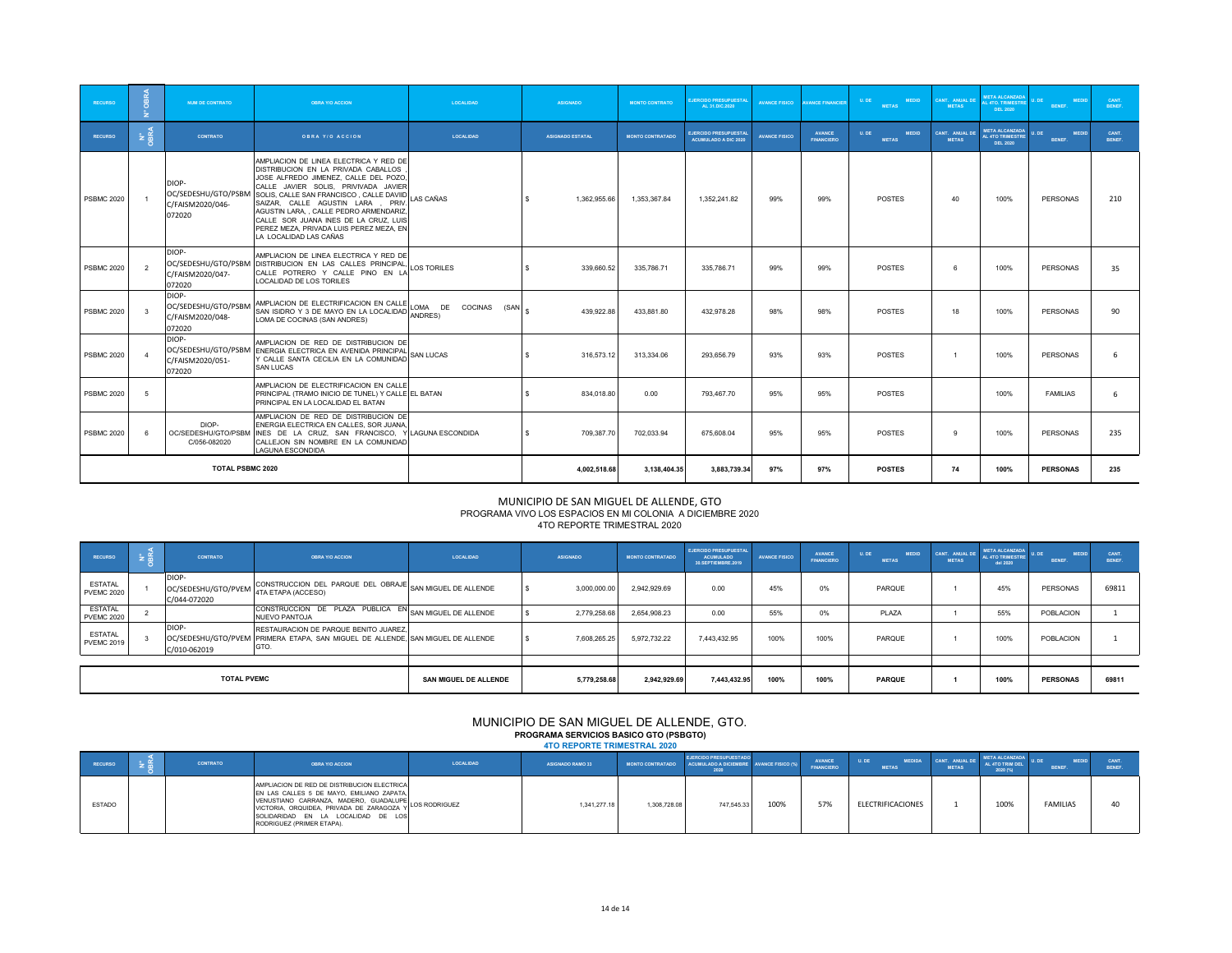| <b>RECURSO</b>    | $\sqrt{2}$        | <b>NUM DE CONTRATO</b>                                     | <b>OBRA Y/O ACCION</b>                                                                                                                                                                                                                                                                                                                                                                              | <b>LOCALIDAD</b>                        | <b>ASIGNADO</b>            | <b>MONTO CONTRATO</b>   | <b>EJERCIDO PRESUPUESTAL</b><br>AL 31.DIC.2020              | <b>AVANCE FISICO</b> | <b>AVANCE FINANCIER</b>            | <b>MEDID</b><br>U.DE<br><b>METAS</b> | CANT. ANUAL DE<br><b>METAS</b> | <b>META ALCANZADA</b><br><b>L 4TO, TRIMESTRI</b><br><b>DEL 2020</b> | <b>MEDID</b><br><b>DF</b><br>BENEF. | CANT.<br>BENEF. |
|-------------------|-------------------|------------------------------------------------------------|-----------------------------------------------------------------------------------------------------------------------------------------------------------------------------------------------------------------------------------------------------------------------------------------------------------------------------------------------------------------------------------------------------|-----------------------------------------|----------------------------|-------------------------|-------------------------------------------------------------|----------------------|------------------------------------|--------------------------------------|--------------------------------|---------------------------------------------------------------------|-------------------------------------|-----------------|
| <b>RECURSO</b>    | <b>Pa</b><br>OBRA | <b>CONTRATO</b>                                            | <b>OBRA Y/O ACCION</b>                                                                                                                                                                                                                                                                                                                                                                              | <b>LOCALIDAD</b>                        | <b>ASIGNADO ESTATAL</b>    | <b>MONTO CONTRATADO</b> | <b>EJERCIDO PRESUPUESTAL</b><br><b>ACUMULADO A DIC 2020</b> | <b>AVANCE FISICO</b> | <b>AVANCE</b><br><b>FINANCIERO</b> | <b>MEDID</b><br>U.DE<br><b>METAS</b> | CANT. ANUAL DE<br><b>METAS</b> | <b>META ALCANZADA</b><br><b>L 4TO TRIMESTRE</b><br><b>DEL 2020</b>  | <b>MEDID</b><br>I. DE<br>BENEF.     | CANT.<br>BENEF. |
| <b>PSBMC 2020</b> |                   | DIOP-<br>OC/SEDESHU/GTO/PSBM<br>C/FAISM2020/046-<br>072020 | AMPLIACION DE LINEA ELECTRICA Y RED DE<br>DISTRIBUCION EN LA PRIVADA CABALLOS<br>JOSE ALFREDO JIMENEZ, CALLE DEL POZO<br>CALLE JAVIER SOLIS. PRIVIVADA JAVIER<br>SOLIS, CALLE SAN FRANCISCO, CALLE DAVIID<br>SAIZAR, CALLE AGUSTIN LARA, PRIV.<br>AGUSTIN LARA CALLE PEDRO ARMENDARIZ<br>CALLE SOR JUANA INES DE LA CRUZ. LUIS<br>PEREZ MEZA, PRIVADA LUIS PEREZ MEZA, EN<br>LA LOCALIDAD LAS CAÑAS | <b>LAS CAÑAS</b>                        | 1,362,955.66               | 1,353,367.84            | 1.352.241.82                                                | 99%                  | 99%                                | <b>POSTES</b>                        | 40                             | 100%                                                                | PERSONAS                            | 210             |
| <b>PSBMC 2020</b> |                   | DIOP-<br>OC/SEDESHU/GTO/PSBM<br>C/FAISM2020/047-<br>072020 | AMPLIACION DE LINEA ELECTRICA Y RED DE<br>DISTRIBUCION EN LAS CALLES PRINCIPAL<br>CALLE POTRERO Y CALLE PINO EN LA<br>LOCALIDAD DE LOS TORILES                                                                                                                                                                                                                                                      | LOS TORILES                             | s<br>339.660.52            | 335.786.71              | 335.786.71                                                  | 99%                  | 99%                                | <b>POSTES</b>                        | ĥ                              | 100%                                                                | <b>PERSONAS</b>                     | 35              |
| <b>PSBMC 2020</b> |                   | DIOP-<br>OC/SEDESHU/GTO/PSBM<br>C/FAISM2020/048-<br>072020 | AMPLIACION DE ELECTRIFICACION EN CALLE<br>SAN ISIDRO Y 3 DE MAYO EN LA LOCALIDAD<br>LOMA DE COCINAS (SAN ANDRES)                                                                                                                                                                                                                                                                                    | LOMA DE COCINAS (SAN $_{\$}$<br>ANDRES) | 439.922.88                 | 433.881.80              | 432.978.28                                                  | 98%                  | 98%                                | <b>POSTES</b>                        | 18                             | 100%                                                                | <b>PERSONAS</b>                     | 90              |
| <b>PSBMC 2020</b> |                   | DIOP-<br>OC/SEDESHU/GTO/PSBM<br>C/FAISM2020/051-<br>072020 | AMPLIACION DE RED DE DISTRIBUCION DE<br>ENERGIA ELECTRICA EN AVENIDA PRINCIPAL<br>Y CALLE SANTA CECILIA EN LA COMUNIDAD<br><b>SAN LUCAS</b>                                                                                                                                                                                                                                                         | <b>SAN LUCAS</b>                        | 316,573.12<br><sub>S</sub> | 313.334.06              | 293.656.79                                                  | 93%                  | 93%                                | <b>POSTES</b>                        |                                | 100%                                                                | PERSONAS                            | 6               |
| <b>PSBMC 2020</b> | -5                |                                                            | AMPLIACION DE ELECTRIFICACION EN CALLE<br>PRINCIPAL (TRAMO INICIO DE TUNEL) Y CALLE EL BATAN<br>PRINCIPAL EN LA LOCALIDAD EL BATAN                                                                                                                                                                                                                                                                  |                                         | 834.018.80<br><b>s</b>     | 0.00                    | 793.467.70                                                  | 95%                  | 95%                                | <b>POSTES</b>                        |                                | 100%                                                                | <b>FAMILIAS</b>                     | 6               |
| <b>PSBMC 2020</b> |                   | DIOP-<br>OC/SEDESHU/GTO/PSBM<br>C/056-082020               | AMPLIACION DE RED DE DISTRIBUCION DE<br>ENERGIA ELECTRICA EN CALLES. SOR JUANA<br>INES DE LA CRUZ. SAN FRANCISCO.<br>CALLEJON SIN NOMBRE EN LA COMUNIDAD<br><b>LAGUNA ESCONDIDA</b>                                                                                                                                                                                                                 | LAGUNA ESCONDIDA                        | 709.387.70<br><b>s</b>     | 702.033.94              | 675,608.04                                                  | 95%                  | 95%                                | <b>POSTES</b>                        | 9                              | 100%                                                                | <b>PERSONAS</b>                     | 235             |
|                   |                   | <b>TOTAL PSBMC 2020</b>                                    |                                                                                                                                                                                                                                                                                                                                                                                                     |                                         | 4.002.518.68               | 3.138.404.35            | 3,883,739.34                                                | 97%                  | 97%                                | <b>POSTES</b>                        | 74                             | 100%                                                                | <b>PERSONAS</b>                     | 235             |

### PROGRAMA VIVO LOS ESPACIOS EN MI COLONIA A DICIEMBRE 2020 4TO REPORTE TRIMESTRAL 2020 MUNICIPIO DE SAN MIGUEL DE ALLENDE, GTO

| <b>RECURSO</b>                      | <b>CONTRATO</b>                              | <b>OBRA Y/O ACCION</b>                                                                                                           | LOCALIDAD                    | <b>ASIGNADO</b> | <b>MONTO CONTRATADO</b> | <b>EJERCIDO PRESUPUESTAL</b><br><b>ACUMULADO</b><br>30.SEPTIEMBRE.2019 | <b>AVANCE FISICO</b> | <b>AVANCE</b><br><b>FINANCIERO</b> | U. DE<br><b>MEDID</b><br><b>METAS</b> | <b>METAS</b> | <b>META ALCANZADA</b><br>CANT. ANUAL DE AL 4TO TRIMESTRE<br>del 2020 | <b>MEDID</b><br><b>BENEF.</b> | CANT<br><b>BENEF</b> |
|-------------------------------------|----------------------------------------------|----------------------------------------------------------------------------------------------------------------------------------|------------------------------|-----------------|-------------------------|------------------------------------------------------------------------|----------------------|------------------------------------|---------------------------------------|--------------|----------------------------------------------------------------------|-------------------------------|----------------------|
| <b>ESTATAL</b><br><b>PVEMC 2020</b> | DIOP-<br>OC/SEDESHU/GTO/PVEM<br>C/044-072020 | CONSTRUCCION DEL PARQUE DEL OBRAJE SAN MIGUEL DE ALLENDE<br>4TA ETAPA (ACCESO)                                                   |                              | 3,000,000.00    | 2.942.929.69            | 0.00                                                                   | 45%                  | 0%                                 | PARQUE                                |              | 45%                                                                  | PERSONAS                      | 69811                |
| <b>ESTATAL</b><br><b>PVEMC 2020</b> |                                              | CONSTRUCCION DE PLAZA PUBLICA EN SAN MIGUEL DE ALLENDE<br><b>NUEVO PANTOJA</b>                                                   |                              | 2.779.258.68    | 2.654.908.23            | 0.00                                                                   | 55%                  | 0%                                 | PLAZA                                 |              | 55%                                                                  | POBLACION                     |                      |
| <b>ESTATAL</b><br><b>PVEMC 2019</b> | DIOP-<br>C/010-062019                        | RESTAURACION DE PARQUE BENITO JUAREZ.<br>OC/SEDESHU/GTO/PVEM PRIMERA ETAPA, SAN MIGUEL DE ALLENDE, SAN MIGUEL DE ALLENDE<br>GTO. |                              | 7.608.265.25    | 5.972.732.22            | 7.443.432.95                                                           | 100%                 | 100%                               | PARQUE                                |              | 100%                                                                 | POBLACION                     |                      |
|                                     |                                              |                                                                                                                                  |                              |                 |                         |                                                                        |                      |                                    |                                       |              |                                                                      |                               |                      |
|                                     | <b>TOTAL PVEMC</b>                           |                                                                                                                                  | <b>SAN MIGUEL DE ALLENDE</b> | 5.779.258.68    | 2.942.929.69            | 7,443,432.95                                                           | 100%                 | 100%                               | <b>PARQUE</b>                         |              | 100%                                                                 | <b>PERSONAS</b>               | 69811                |

#### MUNICIPIO DE SAN MIGUEL DE ALLENDE, GTO. **PROGRAMA SERVICIOS BASICO GTO (PSBGTO) 4TO REPORTE TRIMESTRAL 2020**

| RECURSO       | <b>CONTRATO</b> | <b>OBRA Y/O ACCION</b>                                                                                                                                                                                              | LOCALIDAD | <b>ASIGNADO RAMO 33</b> |              | <b>EJERCIDO PRESUPUESTADO</b><br>MONTO CONTRATADO ACUMULADO A DICIEMBRE AVANCE FISICO (%) |      | <b>AVANCE</b><br><b>FINANCIERO</b> | <b>MEDIDA</b><br>U. DE<br><b>METAS</b> | <b>METAS</b> | <b>META ALCANZADA</b><br>AL 4TO TRIM DEL<br>2020 (%) | MEDID.<br><b>BENER</b> | <b>CANT</b><br><b>BENEF</b> |
|---------------|-----------------|---------------------------------------------------------------------------------------------------------------------------------------------------------------------------------------------------------------------|-----------|-------------------------|--------------|-------------------------------------------------------------------------------------------|------|------------------------------------|----------------------------------------|--------------|------------------------------------------------------|------------------------|-----------------------------|
| <b>ESTADO</b> |                 | AMPLIACION DE RED DE DISTRIBUCION ELECTRICA<br>EN LAS CALLES 5 DE MAYO. EMILIANO ZAPATA.<br>VENUSTIANO CARRANZA, MADERO, GUADALUPE LOS RODRIGUEZ<br>SOLIDARIDAD EN LA LOCALIDAD DE LOS<br>RODRIGUEZ (PRIMER ETAPA). |           | 1.341.277.18            | 1.308.728.08 | 747.545.33                                                                                | 100% | 57%                                | ELECTRIFICACIONES                      |              | 100%                                                 | <b>FAMILIAS</b>        |                             |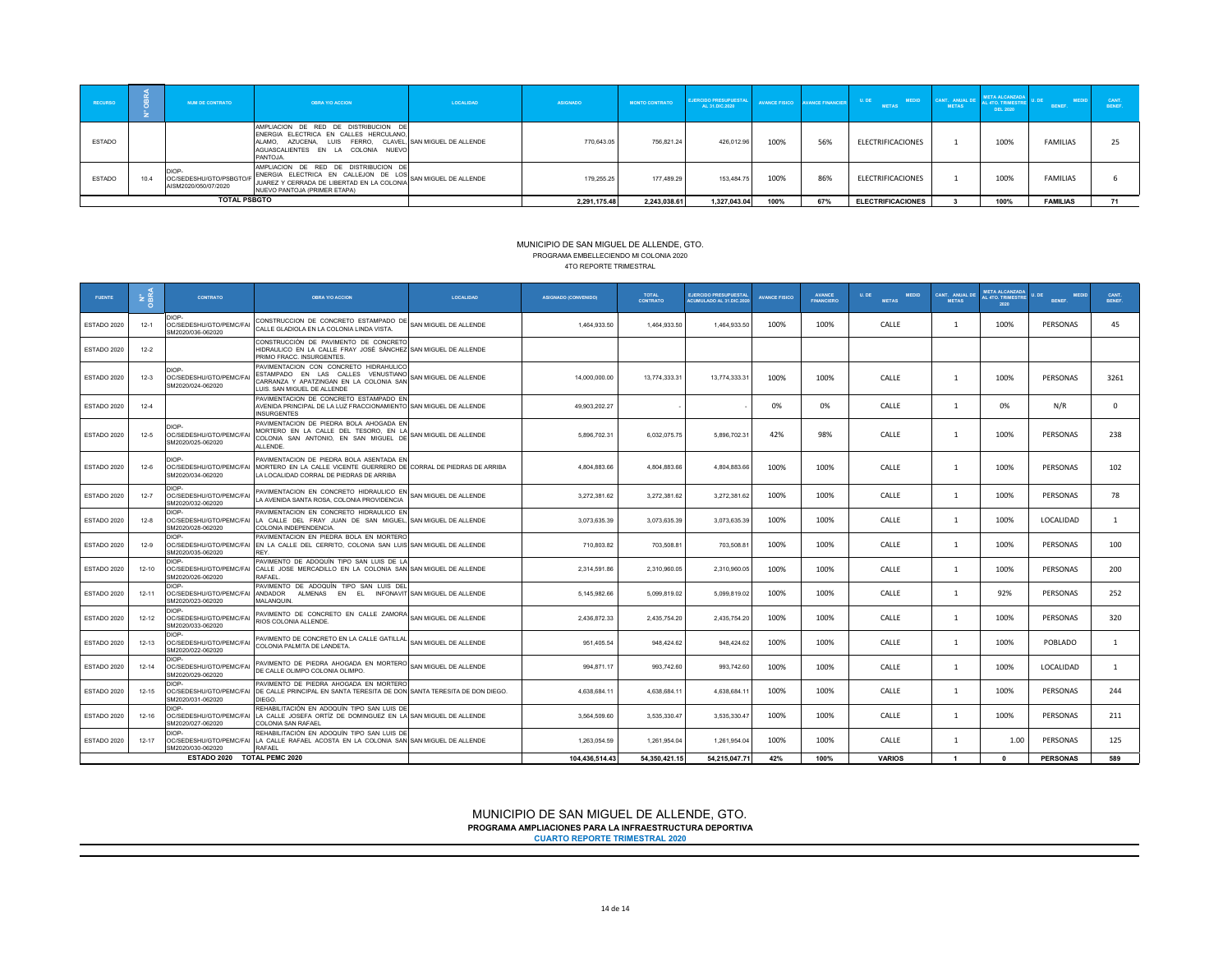| <b>RECURSO</b> | NUM DE CONTRATO                                                | <b>OBRA Y/O ACCION</b>                                                                                                                                                                        | <b>LOCALIDAD</b> | <b>ASIGNADO</b> | <b>MONTO CONTRATO</b> | <b>EJERCIDO PRESUPUESTAL</b><br>AL 31.DIC.2020 | <b>AVANCE FISICO</b> | <b>AVANCE FINANCIER</b> | U. DE<br><b>MEDID</b><br><b>METAS</b> | <b>METAS</b> | <b>META ALCANZADA</b><br>CANT. ANUAL DE AL 4TO. TRIMESTRE L'ON<br><b>DEL 2020</b> | <b>MEDID</b><br><b>BENEF</b> | CANT<br><b>RENEE</b> |
|----------------|----------------------------------------------------------------|-----------------------------------------------------------------------------------------------------------------------------------------------------------------------------------------------|------------------|-----------------|-----------------------|------------------------------------------------|----------------------|-------------------------|---------------------------------------|--------------|-----------------------------------------------------------------------------------|------------------------------|----------------------|
| <b>ESTADO</b>  |                                                                | AMPLIACION DE RED DE DISTRIBUCION DE<br>ENERGIA ELECTRICA EN CALLES HERCULANO.<br>ALAMO. AZUCENA. LUIS FERRO. CLAVEL. SAN MIGUEL DE ALLENDE<br>AGUASCALIENTES EN LA COLONIA NUEVO<br>PANTOJA. |                  | 770.643.05      | 756.821.24            | 426,012.96                                     | 100%                 | 56%                     | ELECTRIFICACIONES                     |              | 100%                                                                              | <b>FAMILIAS</b>              |                      |
| <b>ESTADO</b>  | <b>DIOP</b><br>OC/SEDESHU/GTO/PSBGTO/F<br>AISM2020/050/07/2020 | AMPLIACION DE RED DE DISTRIBUCION DE<br>ENERGIA ELECTRICA EN CALLEJON DE LOS<br>" JUAREZ Y CERRADA DE LIBERTAD EN LA COLONIA SAN MIGUEL DE ALLENDE<br>NUEVO PANTOJA (PRIMER ETAPA)            |                  | 179.255.25      | 177,489.29            | 153,484.75                                     | 100%                 | 86%                     | ELECTRIFICACIONES                     |              | 100%                                                                              | <b>FAMILIAS</b>              |                      |
|                | <b>TOTAL PSBGTO</b>                                            |                                                                                                                                                                                               |                  | 2,291,175.48    | 2,243,038.61          | 1,327,043.04                                   | 100%                 | 67%                     | <b>ELECTRIFICACIONES</b>              |              | 100%                                                                              | <b>FAMILIAS</b>              |                      |

#### PROGRAMA EMBELLECIENDO MI COLONIA 2020 MUNICIPIO DE SAN MIGUEL DE ALLENDE, GTO. 4TO REPORTE TRIMESTRAL

| <b>FUENTE</b> | 호흡        | <b>CONTRATO</b>                                             | <b>OBRA Y/O ACCION</b>                                                                                                                                      | <b>LOCALIDAD</b>      | <b>ASIGNADO (CONVENIDO)</b> | <b>TOTAL</b><br><b>CONTRATO</b> | <b>EJERCIDO PRESUPUESTAL</b><br><b>ACUMULADO AL 31.DIC.2020</b> | <b>AVANCE FISICO</b> | <b>AVANCE</b><br><b>FINANCIERO</b> | U. DE<br><b>MEDID</b><br><b>METAS</b> | CANT ANIIAI DE<br><b>METAS</b> | <b>META ALCANZADA</b><br>AL 4TO, TRIMESTRE<br>2020 | <b>MEDID</b><br><b>BENEF.</b> | CANT.<br>BENEF. |
|---------------|-----------|-------------------------------------------------------------|-------------------------------------------------------------------------------------------------------------------------------------------------------------|-----------------------|-----------------------------|---------------------------------|-----------------------------------------------------------------|----------------------|------------------------------------|---------------------------------------|--------------------------------|----------------------------------------------------|-------------------------------|-----------------|
| ESTADO 2020   | $12-1$    | DIOP-<br>OC/SEDESHU/GTO/PEMC/FAI<br>SM2020/036-062020       | CONSTRUCCION DE CONCRETO ESTAMPADO DE<br>CALLE GLADIOLA EN LA COLONIA LINDA VISTA.                                                                          | SAN MIGUEL DE ALLENDE | 1,464,933.50                | 1,464,933.50                    | 1,464,933.50                                                    | 100%                 | 100%                               | CALLE                                 | -1                             | 100%                                               | PERSONAS                      | 45              |
| ESTADO 2020   | $12 - 2$  |                                                             | CONSTRUCCIÓN DE PAVIMENTO DE CONCRETO<br>HIDRAULICO EN LA CALLE FRAY JOSÉ SÁNCHEZ SAN MIGUEL DE ALLENDE<br>PRIMO FRACC. INSURGENTES.                        |                       |                             |                                 |                                                                 |                      |                                    |                                       |                                |                                                    |                               |                 |
| ESTADO 2020   | $12-3$    | <b>DIOP</b><br>OC/SEDESHU/GTO/PEMC/FAI<br>SM2020/024-062020 | PAVIMENTACION CON CONCRETO HIDRAHULICO<br>ESTAMPADO EN LAS CALLES VENUSTIANO<br>CARRANZA Y APATZINGAN EN LA COLONIA SAN<br>LUIS. SAN MIGUEL DE ALLENDE      | SAN MIGUEL DE ALLENDE | 14,000,000.00               | 13,774,333.31                   | 13.774.333.31                                                   | 100%                 | 100%                               | CALLE                                 | -1                             | 100%                                               | PERSONAS                      | 3261            |
| ESTADO 2020   | $12-4$    |                                                             | PAVIMENTACION DE CONCRETO ESTAMPADO EN<br>AVENIDA PRINCIPAL DE LA LUZ FRACCIONAMIENTO SAN MIGUEL DE ALLENDE<br><b>INSURGENTES</b>                           |                       | 49,903,202.27               |                                 |                                                                 | 0%                   | 0%                                 | CALLE                                 | -1                             | 0%                                                 | N/R                           | $\Omega$        |
| ESTADO 2020   | $12 - 5$  | DIOP-<br>OC/SEDESHU/GTO/PEMC/FAI<br>SM2020/025-062020       | PAVIMENTACION DE PIEDRA BOLA AHOGADA EN<br>MORTERO EN LA CALLE DEL TESORO, EN LA<br>COLONIA SAN ANTONIO, EN SAN MIGUEL DE<br>ALLENDE.                       | SAN MIGUEL DE ALLENDE | 5.896.702.31                | 6.032.075.75                    | 5,896,702.31                                                    | 42%                  | 98%                                | CALLE                                 | -1                             | 100%                                               | PERSONAS                      | 238             |
| ESTADO 2020   | $12-6$    | DIOP-<br>OC/SEDESHU/GTO/PEMC/FAI<br>SM2020/034-062020       | PAVIMENTACION DE PIEDRA BOLA ASENTADA EN<br>MORTERO EN LA CALLE VICENTE GUERRERO DE CORRAL DE PIEDRAS DE ARRIBA<br>LA LOCALIDAD CORRAL DE PIEDRAS DE ARRIBA |                       | 4,804,883.66                | 4,804,883.66                    | 4,804,883.66                                                    | 100%                 | 100%                               | CALLE                                 | -1                             | 100%                                               | PERSONAS                      | 102             |
| ESTADO 2020   | $12 - 7$  | DIOP-<br>OC/SEDESHU/GTO/PEMC/FAI<br>SM2020/032-062020       | PAVIMENTACION EN CONCRETO HIDRAULICO EN<br>LA AVENIDA SANTA ROSA, COLONIA PROVIDENCIA                                                                       | SAN MIGUEL DE ALLENDE | 3,272,381.62                | 3,272,381.62                    | 3,272,381.62                                                    | 100%                 | 100%                               | CALLE                                 |                                | 100%                                               | PERSONAS                      | 78              |
| ESTADO 2020   | $12 - 8$  | DIOP-<br>OC/SEDESHU/GTO/PEMC/FAI<br>SM2020/028-062020       | PAVIMENTACION EN CONCRETO HIDRAULICO EN<br>LA CALLE DEL FRAY JUAN DE SAN MIGUEL, SAN MIGUEL DE ALLENDE<br>COLONIA INDEPENDENCIA.                            |                       | 3,073,635.39                | 3,073,635.39                    | 3,073,635.39                                                    | 100%                 | 100%                               | CALLE                                 | -1                             | 100%                                               | LOCALIDAD                     | $\mathbf{1}$    |
| ESTADO 2020   | $12-9$    | DIOP-<br>SM2020/035-062020                                  | PAVIMENTACION EN PIEDRA BOLA EN MORTERO<br>OC/SEDESHU/GTO/PEMC/FAI EN LA CALLE DEL CERRITO, COLONIA SAN LUIS SAN MIGUEL DE ALLENDE<br><b>RFY</b>            |                       | 710,803.82                  | 703,508.81                      | 703,508.81                                                      | 100%                 | 100%                               | CALLE                                 | -1                             | 100%                                               | PERSONAS                      | 100             |
| ESTADO 2020   | $12 - 10$ | DIOP-<br>OC/SEDESHU/GTO/PEMC/FAI<br>SM2020/026-062020       | PAVIMENTO DE ADOQUÍN TIPO SAN LUIS DE LA<br>CALLE JOSE MERCADILLO EN LA COLONIA SAN SAN MIGUEL DE ALLENDE<br>RAFAEL                                         |                       | 2.314.591.86                | 2.310.960.05                    | 2.310.960.05                                                    | 100%                 | 100%                               | CALLE                                 | -1                             | 100%                                               | PERSONAS                      | 200             |
| ESTADO 2020   | $12 - 11$ | DIOP-<br>OC/SEDESHU/GTO/PEMC/FAI<br>SM2020/023-062020       | PAVIMENTO DE ADOQUÍN TIPO SAN LUIS DEL<br>ANDADOR<br>ALMENAS EN EL INFONAVIT SAN MIGUEL DE ALLENDE<br><b>MALANQUIN</b>                                      |                       | 5,145,982.66                | 5,099,819.02                    | 5,099,819.02                                                    | 100%                 | 100%                               | CALLE                                 | -1                             | 92%                                                | PERSONAS                      | 252             |
| ESTADO 2020   | $12 - 12$ | DIOP-<br>OC/SEDESHU/GTO/PEMC/FAI<br>SM2020/033-062020       | PAVIMENTO DE CONCRETO EN CALLE ZAMORA SAN MIGUEL DE ALLENDE<br>RIOS COLONIA ALLENDE.                                                                        |                       | 2,436,872.33                | 2,435,754.20                    | 2,435,754.20                                                    | 100%                 | 100%                               | CALLE                                 | -1                             | 100%                                               | PERSONAS                      | 320             |
| ESTADO 2020   | $12 - 13$ | DIOP-<br>OC/SEDESHU/GTO/PEMC/FAI<br>SM2020/022-062020       | PAVIMENTO DE CONCRETO EN LA CALLE GATILLAL SAN MIGUEL DE ALLENDE<br>COLONIA PALMITA DE LANDETA.                                                             |                       | 951,405.54                  | 948.424.62                      | 948.424.62                                                      | 100%                 | 100%                               | CALLE                                 | -1                             | 100%                                               | POBLADO                       | $\mathbf{1}$    |
| ESTADO 2020   | $12 - 14$ | DIOP-<br>OC/SEDESHU/GTO/PEMC/FAI<br>SM2020/029-062020       | PAVIMENTO DE PIEDRA AHOGADA EN MORTERO<br>DE CALLE OLIMPO COLONIA OLIMPO                                                                                    | SAN MIGUEL DE ALLENDE | 994,871.17                  | 993.742.60                      | 993.742.60                                                      | 100%                 | 100%                               | CALLE                                 | -1                             | 100%                                               | LOCALIDAD                     | $\mathbf{1}$    |
| ESTADO 2020   | $12 - 15$ | DIOP-<br>SM2020/031-062020                                  | PAVIMENTO DE PIEDRA AHOGADA EN MORTERO<br>OC/SEDESHU/GTO/PEMC/FAI DE CALLE PRINCIPAL EN SANTA TERESITA DE DON SANTA TERESITA DE DON DIEGO.<br>DIEGO.        |                       | 4,638,684.11                | 4,638,684.11                    | 4,638,684.1                                                     | 100%                 | 100%                               | CALLE                                 | $\overline{1}$                 | 100%                                               | PERSONAS                      | 244             |
| ESTADO 2020   | $12 - 16$ | DIOP-<br>OC/SEDESHU/GTO/PEMC/FAI<br>SM2020/027-062020       | REHABILITACIÓN EN ADOQUÍN TIPO SAN LUIS DE<br>LA CALLE JOSEFA ORTIZ DE DOMINGUEZ EN LA SAN MIGUEL DE ALLENDE<br>COLONIA SAN RAFAEL                          |                       | 3,564,509.60                | 3,535,330.47                    | 3,535,330.47                                                    | 100%                 | 100%                               | CALLE                                 | -1                             | 100%                                               | PERSONAS                      | 211             |
| ESTADO 2020   | $12 - 17$ | DIOP-<br>OC/SEDESHU/GTO/PEMC/FAI<br>SM2020/030-062020       | REHABILITACIÓN EN ADOQUÍN TIPO SAN LUIS DE<br>LA CALLE RAFAEL ACOSTA EN LA COLONIA SAN SAN MIGUEL DE ALLENDE<br>RAFAFI                                      |                       | 1,263,054.59                | 1,261,954.04                    | 1,261,954.04                                                    | 100%                 | 100%                               | CALLE                                 | -1                             | 1.00                                               | PERSONAS                      | 125             |
|               |           | ESTADO 2020 TOTAL PEMC 2020                                 |                                                                                                                                                             |                       | 104.436.514.43              | 54.350.421.15                   | 54.215.047.71                                                   | 42%                  | 100%                               | <b>VARIOS</b>                         | $\overline{1}$                 | $\mathbf{r}$                                       | <b>PERSONAS</b>               | 589             |

MUNICIPIO DE SAN MIGUEL DE ALLENDE, GTO. **PROGRAMA AMPLIACIONES PARA LA INFRAESTRUCTURA DEPORTIVA CUARTO REPORTE TRIMESTRAL 2020**